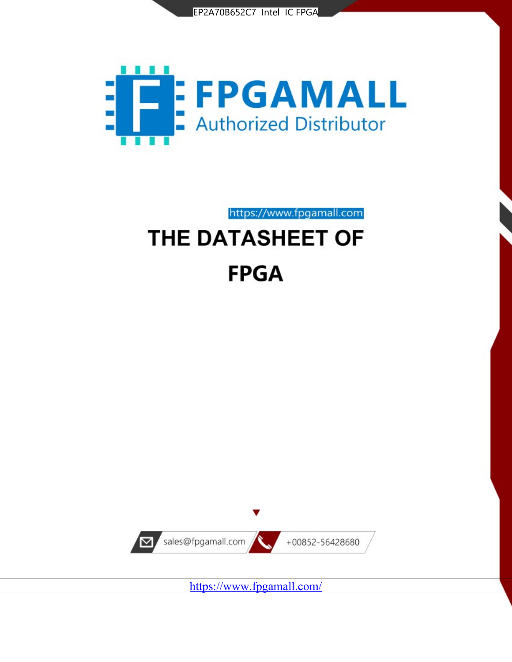



## https://www.fpgamall.com

# THE DATASHEET OF **FPGA**



<https://www.fpgamall.com/>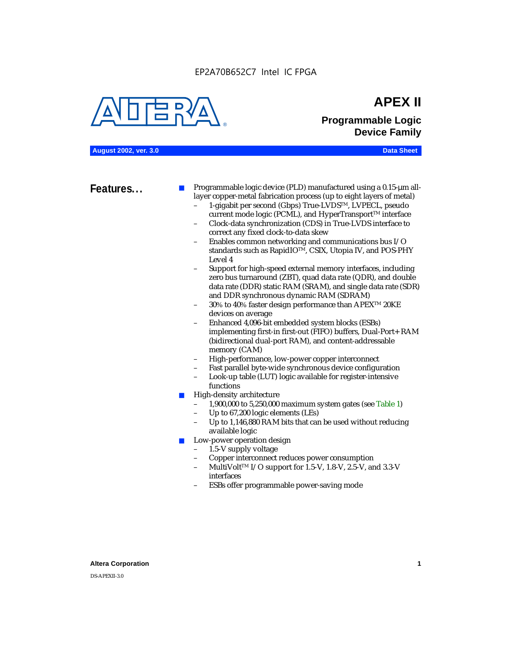EP2A70B652C7 Intel IC FPGA



## **APEX II Programmable Logic Device Family**

**August 2002, ver. 3.0 Data Sheet**

**Features...** ■ Programmable logic device (PLD) manufactured using a 0.15-µm alllayer copper-metal fabrication process (up to eight layers of metal)

- 1-gigabit per second (Gbps) True-LVDSTM, LVPECL, pseudo current mode logic (PCML), and HyperTransport<sup>™</sup> interface
- Clock-data synchronization (CDS) in True-LVDS interface to correct any fixed clock-to-data skew
- Enables common networking and communications bus I/O standards such as RapidIOTM, CSIX, Utopia IV, and POS-PHY Level 4
- Support for high-speed external memory interfaces, including zero bus turnaround (ZBT), quad data rate (QDR), and double data rate (DDR) static RAM (SRAM), and single data rate (SDR) and DDR synchronous dynamic RAM (SDRAM)
- 30% to 40% faster design performance than APEX<sup>™</sup> 20KE devices on average
- Enhanced 4,096-bit embedded system blocks (ESBs) implementing first-in first-out (FIFO) buffers, Dual-Port+ RAM (bidirectional dual-port RAM), and content-addressable memory (CAM)
- High-performance, low-power copper interconnect
- Fast parallel byte-wide synchronous device configuration
- Look-up table (LUT) logic available for register-intensive functions
- High-density architecture
	- 1,900,000 to 5,250,000 maximum system gates (see Table 1)
	- Up to 67,200 logic elements (LEs)
	- Up to 1,146,880 RAM bits that can be used without reducing available logic
- Low-power operation design
	- 1.5-V supply voltage
	- Copper interconnect reduces power consumption
	- MultiVolt<sup>™</sup> I/O support for 1.5-V, 1.8-V, 2.5-V, and 3.3-V interfaces
	- ESBs offer programmable power-saving mode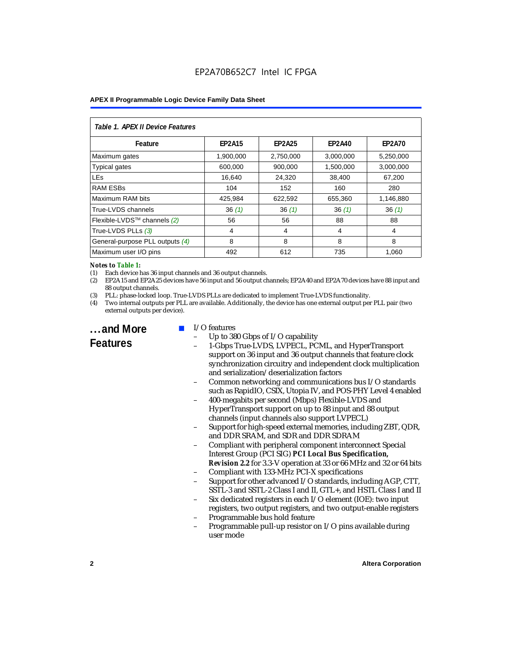| Table 1. APEX II Device Features |               |               |               |               |  |  |
|----------------------------------|---------------|---------------|---------------|---------------|--|--|
| Feature                          | <b>EP2A15</b> | <b>EP2A25</b> | <b>EP2A40</b> | <b>EP2A70</b> |  |  |
| Maximum gates                    | 1.900.000     | 2,750,000     | 3,000,000     | 5,250,000     |  |  |
| <b>Typical gates</b>             | 600,000       | 900,000       | 1,500,000     | 3,000,000     |  |  |
| <b>LEs</b>                       | 16,640        | 24,320        | 38,400        | 67,200        |  |  |
| <b>RAM ESBs</b>                  | 104           | 152           | 160           | 280           |  |  |
| Maximum RAM bits                 | 425,984       | 622,592       | 655,360       | 1,146,880     |  |  |
| True-LVDS channels               | 36(1)         | 36(1)         | 36(1)         | 36(1)         |  |  |
| Flexible-LVDS™ channels $(2)$    | 56            | 56            | 88            | 88            |  |  |
| True-LVDS PLLs (3)               | 4             | 4             | 4             | 4             |  |  |
| General-purpose PLL outputs (4)  | 8             | 8             | 8             | 8             |  |  |
| Maximum user I/O pins            | 492           | 612           | 735           | 1.060         |  |  |

#### *Notes to Table 1:*

(1) Each device has 36 input channels and 36 output channels.

(2) EP2A15 and EP2A25 devices have 56 input and 56 output channels; EP2A40 and EP2A70 devices have 88 input and 88 output channels.

(3) PLL: phase-locked loop. True-LVDS PLLs are dedicated to implement True-LVDS functionality.

(4) Two internal outputs per PLL are available. Additionally, the device has one external output per PLL pair (two external outputs per device).

## **...and More Features**

#### I/O features

- Up to 380 Gbps of I/O capability
- 1-Gbps True-LVDS, LVPECL, PCML, and HyperTransport support on 36 input and 36 output channels that feature clock synchronization circuitry and independent clock multiplication and serialization/deserialization factors
- Common networking and communications bus I/O standards such as RapidIO, CSIX, Utopia IV, and POS-PHY Level 4 enabled
- 400-megabits per second (Mbps) Flexible-LVDS and HyperTransport support on up to 88 input and 88 output channels (input channels also support LVPECL)
- Support for high-speed external memories, including ZBT, QDR, and DDR SRAM, and SDR and DDR SDRAM
- Compliant with peripheral component interconnect Special Interest Group (PCI SIG) *PCI Local Bus Specification, Revision 2.2* for 3.3-V operation at 33 or 66 MHz and 32 or 64 bits
- Compliant with 133-MHz PCI-X specifications
- Support for other advanced I/O standards, including AGP, CTT, SSTL-3 and SSTL-2 Class I and II, GTL+, and HSTL Class I and II
- Six dedicated registers in each I/O element (IOE): two input registers, two output registers, and two output-enable registers
- Programmable bus hold feature
- Programmable pull-up resistor on I/O pins available during user mode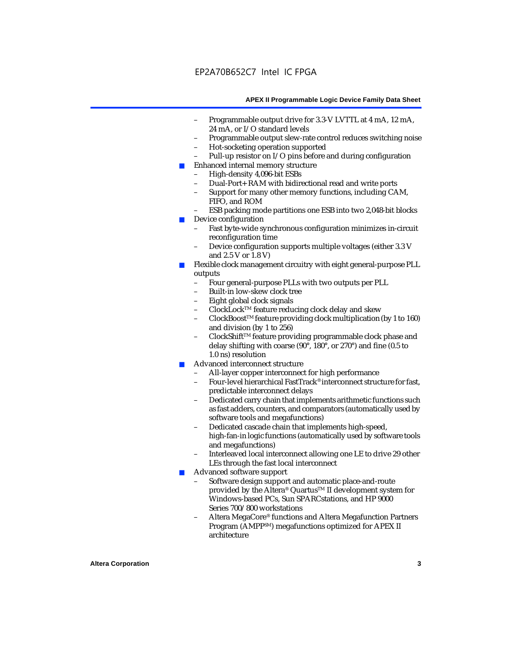- Programmable output drive for 3.3-V LVTTL at 4 mA, 12 mA, 24 mA, or I/O standard levels
- Programmable output slew-rate control reduces switching noise
- Hot-socketing operation supported
- Pull-up resistor on I/O pins before and during configuration
- Enhanced internal memory structure
	- High-density 4,096-bit ESBs
	- Dual-Port+ RAM with bidirectional read and write ports
	- Support for many other memory functions, including CAM, FIFO, and ROM
	- ESB packing mode partitions one ESB into two 2,048-bit blocks
- Device configuration
	- Fast byte-wide synchronous configuration minimizes in-circuit reconfiguration time
	- Device configuration supports multiple voltages (either 3.3 V and 2.5 V or 1.8 V)
- Flexible clock management circuitry with eight general-purpose PLL outputs
	- Four general-purpose PLLs with two outputs per PLL
	- Built-in low-skew clock tree
	- Eight global clock signals
	- ClockLockTM feature reducing clock delay and skew
	- ClockBoostTM feature providing clock multiplication (by 1 to 160) and division (by 1 to 256)
	- ClockShift™ feature providing programmable clock phase and delay shifting with coarse (90°, 180°, or 270°) and fine (0.5 to 1.0 ns) resolution
- Advanced interconnect structure
	- All-layer copper interconnect for high performance
	- Four-level hierarchical FastTrack® interconnect structure for fast, predictable interconnect delays
	- Dedicated carry chain that implements arithmetic functions such as fast adders, counters, and comparators (automatically used by software tools and megafunctions)
	- Dedicated cascade chain that implements high-speed, high-fan-in logic functions (automatically used by software tools and megafunctions)
	- Interleaved local interconnect allowing one LE to drive 29 other LEs through the fast local interconnect
- Advanced software support
	- Software design support and automatic place-and-route provided by the Altera® Quartus<sup>™</sup> II development system for Windows-based PCs, Sun SPARCstations, and HP 9000 Series 700/800 workstations
	- Altera MegaCore® functions and Altera Megafunction Partners Program (AMPPSM) megafunctions optimized for APEX II architecture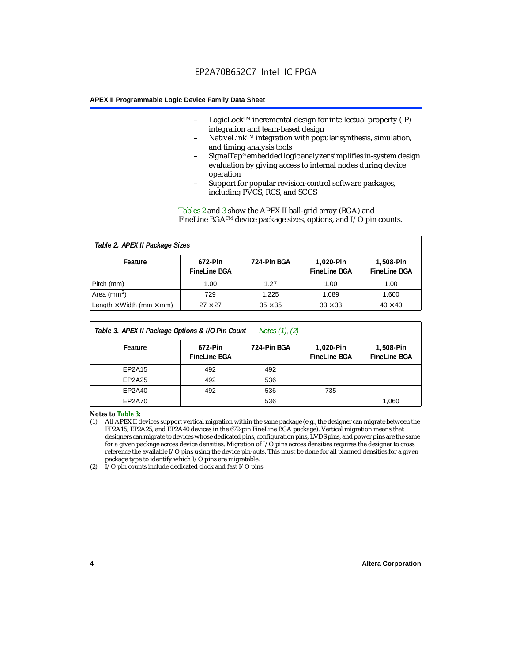- LogicLock<sup>TM</sup> incremental design for intellectual property  $(IP)$ integration and team-based design
- NativeLink™ integration with popular synthesis, simulation, and timing analysis tools
- SignalTap® embedded logic analyzer simplifies in-system design evaluation by giving access to internal nodes during device operation
- Support for popular revision-control software packages, including PVCS, RCS, and SCCS

Tables 2 and 3 show the APEX II ball-grid array (BGA) and FineLine BGATM device package sizes, options, and I/O pin counts.

#### *Table 2. APEX II Package Sizes* **Feature 672-Pin FineLine BGA 724-Pin BGA 1,020-Pin FineLine BGA 1,508-Pin FineLine BGA** Pitch (mm)  $\begin{array}{|c|c|c|c|c|c|c|c|} \hline \text{Pitch (mm)} & \text{1.00} & \text{1.00} & \text{1.00} \ \hline \end{array}$ Area (mm<sup>2</sup>) | 729 | 1,225 | 1,089 | 1,600 Length  $\times$  Width (mm  $\times$  mm)  $\begin{array}{|l|} \hline \end{array}$  27  $\times$  27  $\begin{array}{|l|} \hline \end{array}$  35  $\times$  35  $\begin{array}{|l|} \hline \end{array}$  33  $\times$  33  $\begin{array}{|l|} \hline \end{array}$  40  $\times$  40

| Table 3. APEX II Package Options & I/O Pin Count<br>Notes $(1)$ , $(2)$ |                                |             |                                  |                                  |  |
|-------------------------------------------------------------------------|--------------------------------|-------------|----------------------------------|----------------------------------|--|
| Feature                                                                 | 672-Pin<br><b>FineLine BGA</b> | 724-Pin BGA | 1,020-Pin<br><b>FineLine BGA</b> | 1,508-Pin<br><b>FineLine BGA</b> |  |
| EP2A15                                                                  | 492                            | 492         |                                  |                                  |  |
| EP2A25                                                                  | 492                            | 536         |                                  |                                  |  |
| EP2A40                                                                  | 492                            | 536         | 735                              |                                  |  |
| EP2A70                                                                  |                                | 536         |                                  | 1,060                            |  |

*Notes to Table 3:*

(1) All APEX II devices support vertical migration within the same package (e.g., the designer can migrate between the EP2A15, EP2A25, and EP2A40 devices in the 672-pin FineLine BGA package). Vertical migration means that designers can migrate to devices whose dedicated pins, configuration pins, LVDS pins, and power pins are the same for a given package across device densities. Migration of I/O pins across densities requires the designer to cross reference the available I/O pins using the device pin-outs. This must be done for all planned densities for a given package type to identify which I/O pins are migratable.

(2) I/O pin counts include dedicated clock and fast I/O pins.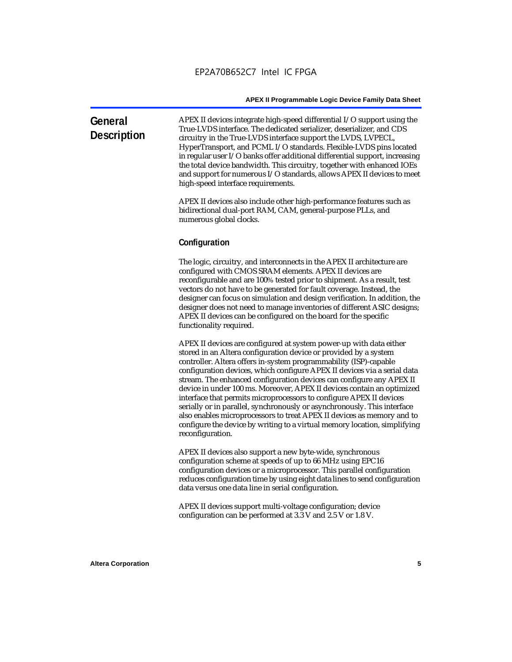| General<br><b>Description</b> | APEX II devices integrate high-speed differential $I/O$ support using the<br>True-LVDS interface. The dedicated serializer, deserializer, and CDS |
|-------------------------------|---------------------------------------------------------------------------------------------------------------------------------------------------|
|                               | circuitry in the True-LVDS interface support the LVDS, LVPECL,                                                                                    |
|                               | HyperTransport, and PCML I/O standards. Flexible-LVDS pins located                                                                                |
|                               | in regular user I/O banks offer additional differential support, increasing                                                                       |
|                               | the total device bandwidth. This circuitry, together with enhanced IOEs                                                                           |
|                               | and support for numerous I/O standards, allows APEX II devices to meet                                                                            |
|                               | high-speed interface requirements.                                                                                                                |
|                               |                                                                                                                                                   |
|                               | A DEV II. Jacques also de de de silve la cidade e coference e festecer e code se                                                                  |

APEX II devices also include other high-performance features such as bidirectional dual-port RAM, CAM, general-purpose PLLs, and numerous global clocks.

#### **Configuration**

The logic, circuitry, and interconnects in the APEX II architecture are configured with CMOS SRAM elements. APEX II devices are reconfigurable and are 100% tested prior to shipment. As a result, test vectors do not have to be generated for fault coverage. Instead, the designer can focus on simulation and design verification. In addition, the designer does not need to manage inventories of different ASIC designs; APEX II devices can be configured on the board for the specific functionality required.

APEX II devices are configured at system power-up with data either stored in an Altera configuration device or provided by a system controller. Altera offers in-system programmability (ISP)-capable configuration devices, which configure APEX II devices via a serial data stream. The enhanced configuration devices can configure any APEX II device in under 100 ms. Moreover, APEX II devices contain an optimized interface that permits microprocessors to configure APEX II devices serially or in parallel, synchronously or asynchronously. This interface also enables microprocessors to treat APEX II devices as memory and to configure the device by writing to a virtual memory location, simplifying reconfiguration.

APEX II devices also support a new byte-wide, synchronous configuration scheme at speeds of up to 66 MHz using EPC16 configuration devices or a microprocessor. This parallel configuration reduces configuration time by using eight data lines to send configuration data versus one data line in serial configuration.

APEX II devices support multi-voltage configuration; device configuration can be performed at 3.3 V and 2.5 V or 1.8 V.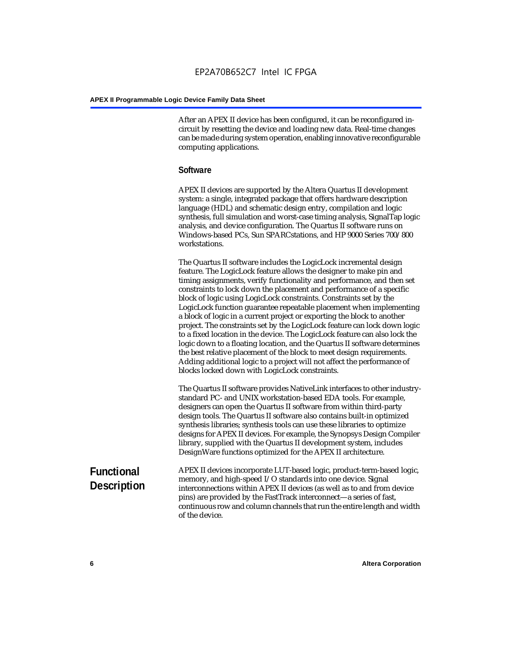After an APEX II device has been configured, it can be reconfigured incircuit by resetting the device and loading new data. Real-time changes can be made during system operation, enabling innovative reconfigurable computing applications.

#### **Software**

APEX II devices are supported by the Altera Quartus II development system: a single, integrated package that offers hardware description language (HDL) and schematic design entry, compilation and logic synthesis, full simulation and worst-case timing analysis, SignalTap logic analysis, and device configuration. The Quartus II software runs on Windows-based PCs, Sun SPARCstations, and HP 9000 Series 700/800 workstations.

The Quartus II software includes the LogicLock incremental design feature. The LogicLock feature allows the designer to make pin and timing assignments, verify functionality and performance, and then set constraints to lock down the placement and performance of a specific block of logic using LogicLock constraints. Constraints set by the LogicLock function guarantee repeatable placement when implementing a block of logic in a current project or exporting the block to another project. The constraints set by the LogicLock feature can lock down logic to a fixed location in the device. The LogicLock feature can also lock the logic down to a floating location, and the Quartus II software determines the best relative placement of the block to meet design requirements. Adding additional logic to a project will not affect the performance of blocks locked down with LogicLock constraints.

The Quartus II software provides NativeLink interfaces to other industrystandard PC- and UNIX workstation-based EDA tools. For example, designers can open the Quartus II software from within third-party design tools. The Quartus II software also contains built-in optimized synthesis libraries; synthesis tools can use these libraries to optimize designs for APEX II devices. For example, the Synopsys Design Compiler library, supplied with the Quartus II development system, includes DesignWare functions optimized for the APEX II architecture.

#### **Functional Description** APEX II devices incorporate LUT-based logic, product-term-based logic, memory, and high-speed I/O standards into one device. Signal interconnections within APEX II devices (as well as to and from device pins) are provided by the FastTrack interconnect—a series of fast, continuous row and column channels that run the entire length and width of the device.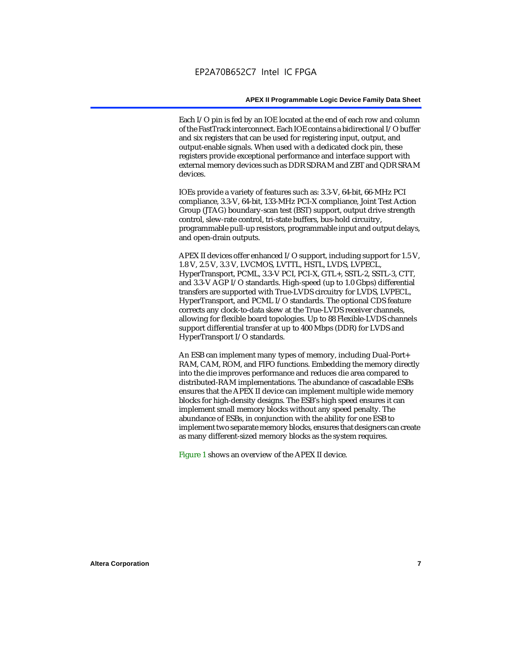Each I/O pin is fed by an IOE located at the end of each row and column of the FastTrack interconnect. Each IOE contains a bidirectional I/O buffer and six registers that can be used for registering input, output, and output-enable signals. When used with a dedicated clock pin, these registers provide exceptional performance and interface support with external memory devices such as DDR SDRAM and ZBT and QDR SRAM devices.

IOEs provide a variety of features such as: 3.3-V, 64-bit, 66-MHz PCI compliance, 3.3-V, 64-bit, 133-MHz PCI-X compliance, Joint Test Action Group (JTAG) boundary-scan test (BST) support, output drive strength control, slew-rate control, tri-state buffers, bus-hold circuitry, programmable pull-up resistors, programmable input and output delays, and open-drain outputs.

APEX II devices offer enhanced I/O support, including support for 1.5 V, 1.8 V, 2.5 V, 3.3 V, LVCMOS, LVTTL, HSTL, LVDS, LVPECL, HyperTransport, PCML, 3.3-V PCI, PCI-X, GTL+, SSTL-2, SSTL-3, CTT, and 3.3-V AGP I/O standards. High-speed (up to 1.0 Gbps) differential transfers are supported with True-LVDS circuitry for LVDS, LVPECL, HyperTransport, and PCML I/O standards. The optional CDS feature corrects any clock-to-data skew at the True-LVDS receiver channels, allowing for flexible board topologies. Up to 88 Flexible-LVDS channels support differential transfer at up to 400 Mbps (DDR) for LVDS and HyperTransport I/O standards.

An ESB can implement many types of memory, including Dual-Port+ RAM, CAM, ROM, and FIFO functions. Embedding the memory directly into the die improves performance and reduces die area compared to distributed-RAM implementations. The abundance of cascadable ESBs ensures that the APEX II device can implement multiple wide memory blocks for high-density designs. The ESB's high speed ensures it can implement small memory blocks without any speed penalty. The abundance of ESBs, in conjunction with the ability for one ESB to implement two separate memory blocks, ensures that designers can create as many different-sized memory blocks as the system requires.

Figure 1 shows an overview of the APEX II device.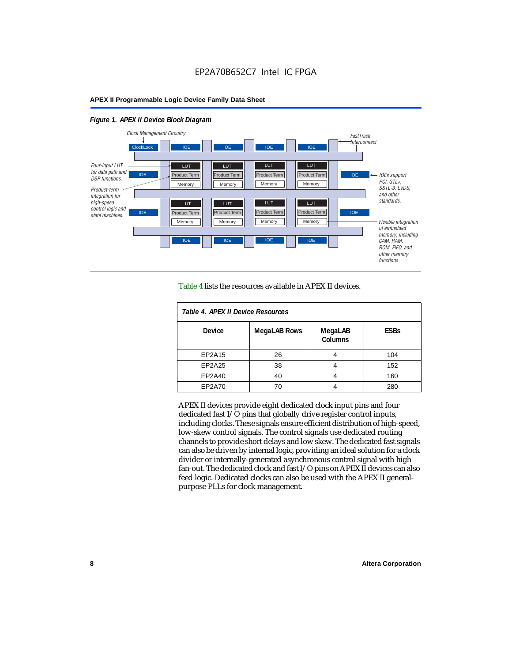#### *Figure 1. APEX II Device Block Diagram*



Table 4 lists the resources available in APEX II devices.

| Table 4. APEX II Device Resources |                     |                           |             |  |  |
|-----------------------------------|---------------------|---------------------------|-------------|--|--|
| <b>Device</b>                     | <b>MegaLAB Rows</b> | MegaLAB<br><b>Columns</b> | <b>ESBs</b> |  |  |
| EP2A15                            | 26                  |                           | 104         |  |  |
| EP2A25                            | 38                  |                           | 152         |  |  |
| EP2A40                            | 40                  |                           | 160         |  |  |
| EP2A70                            | 70                  |                           | 280         |  |  |

APEX II devices provide eight dedicated clock input pins and four dedicated fast I/O pins that globally drive register control inputs, including clocks. These signals ensure efficient distribution of high-speed, low-skew control signals. The control signals use dedicated routing channels to provide short delays and low skew. The dedicated fast signals can also be driven by internal logic, providing an ideal solution for a clock divider or internally-generated asynchronous control signal with high fan-out. The dedicated clock and fast I/O pins on APEX II devices can also feed logic. Dedicated clocks can also be used with the APEX II generalpurpose PLLs for clock management.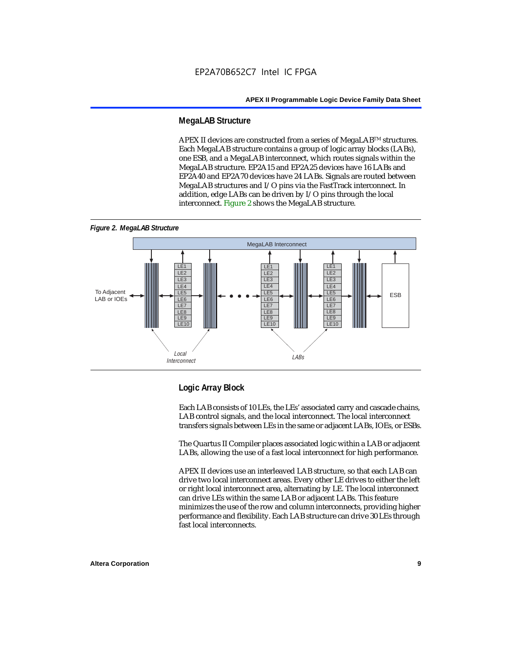#### **MegaLAB Structure**

APEX II devices are constructed from a series of MegaLAB<sup>TM</sup> structures. Each MegaLAB structure contains a group of logic array blocks (LABs), one ESB, and a MegaLAB interconnect, which routes signals within the MegaLAB structure. EP2A15 and EP2A25 devices have 16 LABs and EP2A40 and EP2A70 devices have 24 LABs. Signals are routed between MegaLAB structures and I/O pins via the FastTrack interconnect. In addition, edge LABs can be driven by I/O pins through the local interconnect. Figure 2 shows the MegaLAB structure.





#### **Logic Array Block**

Each LAB consists of 10 LEs, the LEs' associated carry and cascade chains, LAB control signals, and the local interconnect. The local interconnect transfers signals between LEs in the same or adjacent LABs, IOEs, or ESBs.

The Quartus II Compiler places associated logic within a LAB or adjacent LABs, allowing the use of a fast local interconnect for high performance.

APEX II devices use an interleaved LAB structure, so that each LAB can drive two local interconnect areas. Every other LE drives to either the left or right local interconnect area, alternating by LE. The local interconnect can drive LEs within the same LAB or adjacent LABs. This feature minimizes the use of the row and column interconnects, providing higher performance and flexibility. Each LAB structure can drive 30 LEs through fast local interconnects.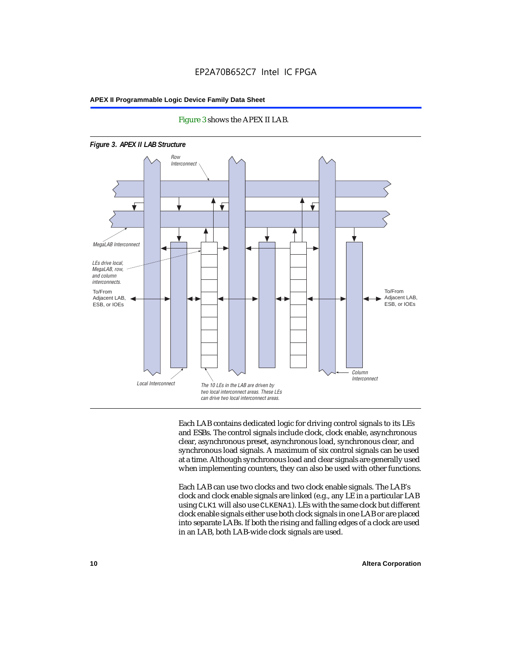



Each LAB contains dedicated logic for driving control signals to its LEs and ESBs. The control signals include clock, clock enable, asynchronous clear, asynchronous preset, asynchronous load, synchronous clear, and synchronous load signals. A maximum of six control signals can be used at a time. Although synchronous load and clear signals are generally used when implementing counters, they can also be used with other functions.

Each LAB can use two clocks and two clock enable signals. The LAB's clock and clock enable signals are linked (e.g., any LE in a particular LAB using CLK1 will also use CLKENA1). LEs with the same clock but different clock enable signals either use both clock signals in one LAB or are placed into separate LABs. If both the rising and falling edges of a clock are used in an LAB, both LAB-wide clock signals are used.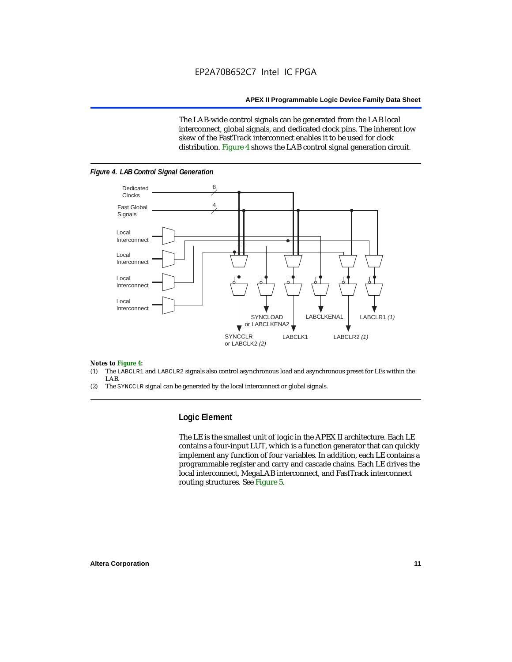The LAB-wide control signals can be generated from the LAB local interconnect, global signals, and dedicated clock pins. The inherent low skew of the FastTrack interconnect enables it to be used for clock distribution. Figure 4 shows the LAB control signal generation circuit.



#### *Figure 4. LAB Control Signal Generation*

#### *Notes to Figure 4:*

- (1) The LABCLR1 and LABCLR2 signals also control asynchronous load and asynchronous preset for LEs within the LAB.
- (2) The SYNCCLR signal can be generated by the local interconnect or global signals.

#### **Logic Element**

The LE is the smallest unit of logic in the APEX II architecture. Each LE contains a four-input LUT, which is a function generator that can quickly implement any function of four variables. In addition, each LE contains a programmable register and carry and cascade chains. Each LE drives the local interconnect, MegaLAB interconnect, and FastTrack interconnect routing structures. See Figure 5.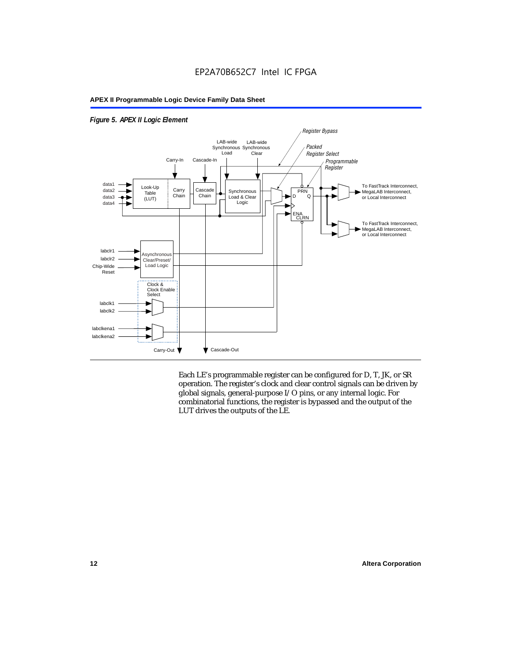

#### *Figure 5. APEX II Logic Element*

Each LE's programmable register can be configured for D, T, JK, or SR operation. The register's clock and clear control signals can be driven by global signals, general-purpose I/O pins, or any internal logic. For combinatorial functions, the register is bypassed and the output of the LUT drives the outputs of the LE.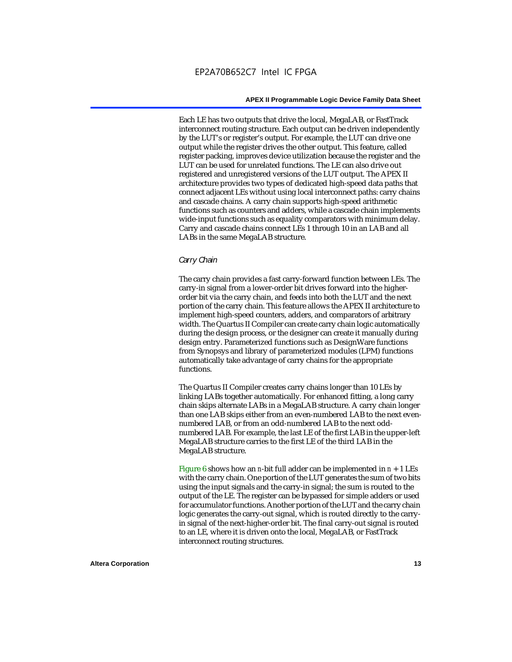Each LE has two outputs that drive the local, MegaLAB, or FastTrack interconnect routing structure. Each output can be driven independently by the LUT's or register's output. For example, the LUT can drive one output while the register drives the other output. This feature, called register packing, improves device utilization because the register and the LUT can be used for unrelated functions. The LE can also drive out registered and unregistered versions of the LUT output. The APEX II architecture provides two types of dedicated high-speed data paths that connect adjacent LEs without using local interconnect paths: carry chains and cascade chains. A carry chain supports high-speed arithmetic functions such as counters and adders, while a cascade chain implements wide-input functions such as equality comparators with minimum delay. Carry and cascade chains connect LEs 1 through 10 in an LAB and all LABs in the same MegaLAB structure.

#### *Carry Chain*

The carry chain provides a fast carry-forward function between LEs. The carry-in signal from a lower-order bit drives forward into the higherorder bit via the carry chain, and feeds into both the LUT and the next portion of the carry chain. This feature allows the APEX II architecture to implement high-speed counters, adders, and comparators of arbitrary width. The Quartus II Compiler can create carry chain logic automatically during the design process, or the designer can create it manually during design entry. Parameterized functions such as DesignWare functions from Synopsys and library of parameterized modules (LPM) functions automatically take advantage of carry chains for the appropriate functions.

The Quartus II Compiler creates carry chains longer than 10 LEs by linking LABs together automatically. For enhanced fitting, a long carry chain skips alternate LABs in a MegaLAB structure. A carry chain longer than one LAB skips either from an even-numbered LAB to the next evennumbered LAB, or from an odd-numbered LAB to the next oddnumbered LAB. For example, the last LE of the first LAB in the upper-left MegaLAB structure carries to the first LE of the third LAB in the MegaLAB structure.

Figure 6 shows how an *n*-bit full adder can be implemented in *n* + 1 LEs with the carry chain. One portion of the LUT generates the sum of two bits using the input signals and the carry-in signal; the sum is routed to the output of the LE. The register can be bypassed for simple adders or used for accumulator functions. Another portion of the LUT and the carry chain logic generates the carry-out signal, which is routed directly to the carryin signal of the next-higher-order bit. The final carry-out signal is routed to an LE, where it is driven onto the local, MegaLAB, or FastTrack interconnect routing structures.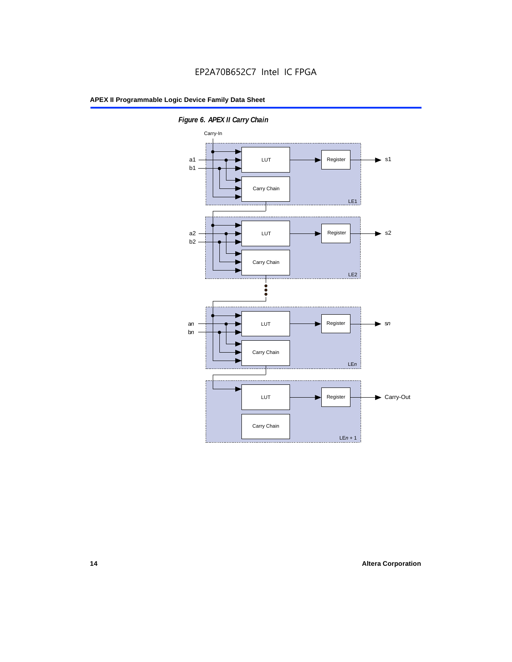

*Figure 6. APEX II Carry Chain*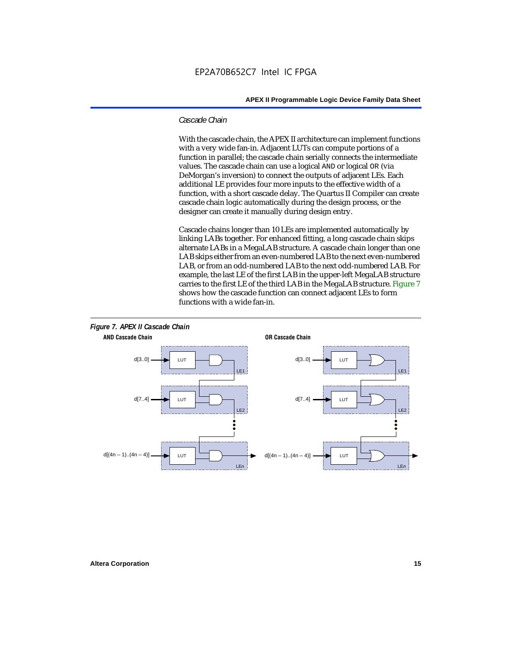#### *Cascade Chain*

With the cascade chain, the APEX II architecture can implement functions with a very wide fan-in. Adjacent LUTs can compute portions of a function in parallel; the cascade chain serially connects the intermediate values. The cascade chain can use a logical AND or logical OR (via DeMorgan's inversion) to connect the outputs of adjacent LEs. Each additional LE provides four more inputs to the effective width of a function, with a short cascade delay. The Quartus II Compiler can create cascade chain logic automatically during the design process, or the designer can create it manually during design entry.

Cascade chains longer than 10 LEs are implemented automatically by linking LABs together. For enhanced fitting, a long cascade chain skips alternate LABs in a MegaLAB structure. A cascade chain longer than one LAB skips either from an even-numbered LAB to the next even-numbered LAB, or from an odd-numbered LAB to the next odd-numbered LAB. For example, the last LE of the first LAB in the upper-left MegaLAB structure carries to the first LE of the third LAB in the MegaLAB structure. Figure 7 shows how the cascade function can connect adjacent LEs to form functions with a wide fan-in.



## **Altera Corporation 15**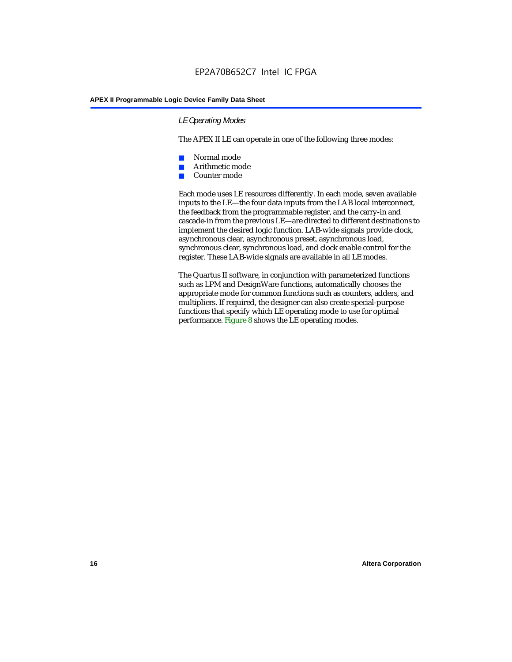#### *LE Operating Modes*

The APEX II LE can operate in one of the following three modes:

- Normal mode
- Arithmetic mode
- Counter mode

Each mode uses LE resources differently. In each mode, seven available inputs to the LE—the four data inputs from the LAB local interconnect, the feedback from the programmable register, and the carry-in and cascade-in from the previous LE—are directed to different destinations to implement the desired logic function. LAB-wide signals provide clock, asynchronous clear, asynchronous preset, asynchronous load, synchronous clear, synchronous load, and clock enable control for the register. These LAB-wide signals are available in all LE modes.

The Quartus II software, in conjunction with parameterized functions such as LPM and DesignWare functions, automatically chooses the appropriate mode for common functions such as counters, adders, and multipliers. If required, the designer can also create special-purpose functions that specify which LE operating mode to use for optimal performance. Figure 8 shows the LE operating modes.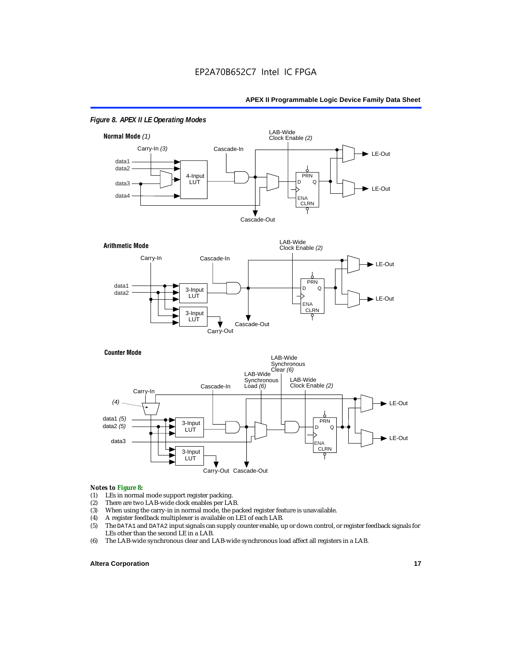

#### *Figure 8. APEX II LE Operating Modes*





#### *Notes to Figure 8:*

- (1) LEs in normal mode support register packing.<br>(2) There are two LAB-wide clock enables per LA
- (2) There are two LAB-wide clock enables per LAB.<br>(3) When using the carry-in in normal mode, the pa
- (3) When using the carry-in in normal mode, the packed register feature is unavailable.<br>(4) A register feedback multiplexer is available on LE1 of each LAB.
- (4) A register feedback multiplexer is available on LE1 of each LAB.<br>(5) The DATA1 and DATA2 input signals can supply counter enable, u
- (5) The DATA1 and DATA2 input signals can supply counter enable, up or down control, or register feedback signals for LEs other than the second LE in a LAB.
- (6) The LAB-wide synchronous clear and LAB-wide synchronous load affect all registers in a LAB.

#### **Altera Corporation 17 17**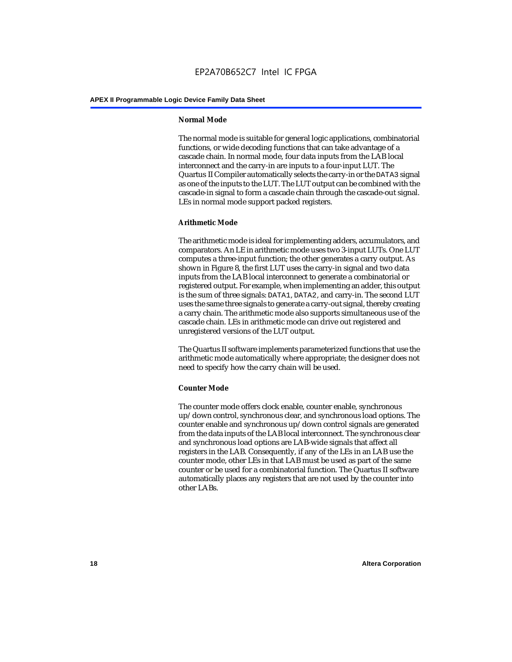#### **Normal Mode**

The normal mode is suitable for general logic applications, combinatorial functions, or wide decoding functions that can take advantage of a cascade chain. In normal mode, four data inputs from the LAB local interconnect and the carry-in are inputs to a four-input LUT. The Quartus II Compiler automatically selects the carry-in or the DATA3 signal as one of the inputs to the LUT. The LUT output can be combined with the cascade-in signal to form a cascade chain through the cascade-out signal. LEs in normal mode support packed registers.

#### **Arithmetic Mode**

The arithmetic mode is ideal for implementing adders, accumulators, and comparators. An LE in arithmetic mode uses two 3-input LUTs. One LUT computes a three-input function; the other generates a carry output. As shown in Figure 8, the first LUT uses the carry-in signal and two data inputs from the LAB local interconnect to generate a combinatorial or registered output. For example, when implementing an adder, this output is the sum of three signals: DATA1, DATA2, and carry-in. The second LUT uses the same three signals to generate a carry-out signal, thereby creating a carry chain. The arithmetic mode also supports simultaneous use of the cascade chain. LEs in arithmetic mode can drive out registered and unregistered versions of the LUT output.

The Quartus II software implements parameterized functions that use the arithmetic mode automatically where appropriate; the designer does not need to specify how the carry chain will be used.

#### **Counter Mode**

The counter mode offers clock enable, counter enable, synchronous up/down control, synchronous clear, and synchronous load options. The counter enable and synchronous up/down control signals are generated from the data inputs of the LAB local interconnect. The synchronous clear and synchronous load options are LAB-wide signals that affect all registers in the LAB. Consequently, if any of the LEs in an LAB use the counter mode, other LEs in that LAB must be used as part of the same counter or be used for a combinatorial function. The Quartus II software automatically places any registers that are not used by the counter into other LABs.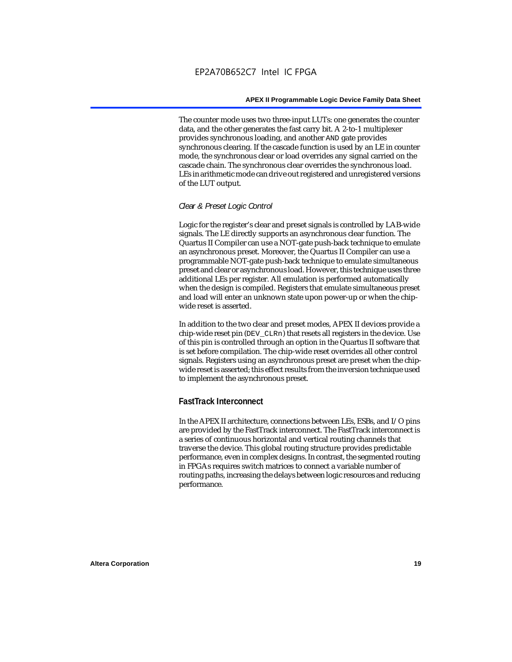The counter mode uses two three-input LUTs: one generates the counter data, and the other generates the fast carry bit. A 2-to-1 multiplexer provides synchronous loading, and another AND gate provides synchronous clearing. If the cascade function is used by an LE in counter mode, the synchronous clear or load overrides any signal carried on the cascade chain. The synchronous clear overrides the synchronous load. LEs in arithmetic mode can drive out registered and unregistered versions of the LUT output.

#### *Clear & Preset Logic Control*

Logic for the register's clear and preset signals is controlled by LAB-wide signals. The LE directly supports an asynchronous clear function. The Quartus II Compiler can use a NOT-gate push-back technique to emulate an asynchronous preset. Moreover, the Quartus II Compiler can use a programmable NOT-gate push-back technique to emulate simultaneous preset and clear or asynchronous load. However, this technique uses three additional LEs per register. All emulation is performed automatically when the design is compiled. Registers that emulate simultaneous preset and load will enter an unknown state upon power-up or when the chipwide reset is asserted.

In addition to the two clear and preset modes, APEX II devices provide a chip-wide reset pin (DEV\_CLRn) that resets all registers in the device. Use of this pin is controlled through an option in the Quartus II software that is set before compilation. The chip-wide reset overrides all other control signals. Registers using an asynchronous preset are preset when the chipwide reset is asserted; this effect results from the inversion technique used to implement the asynchronous preset.

### **FastTrack Interconnect**

In the APEX II architecture, connections between LEs, ESBs, and I/O pins are provided by the FastTrack interconnect. The FastTrack interconnect is a series of continuous horizontal and vertical routing channels that traverse the device. This global routing structure provides predictable performance, even in complex designs. In contrast, the segmented routing in FPGAs requires switch matrices to connect a variable number of routing paths, increasing the delays between logic resources and reducing performance.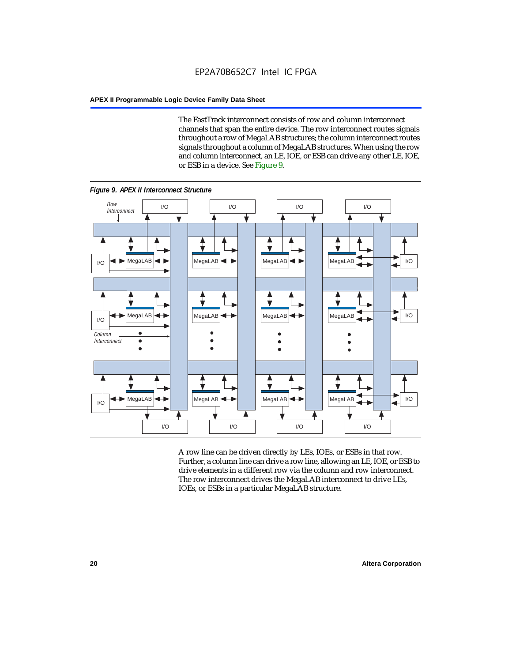The FastTrack interconnect consists of row and column interconnect channels that span the entire device. The row interconnect routes signals throughout a row of MegaLAB structures; the column interconnect routes signals throughout a column of MegaLAB structures. When using the row and column interconnect, an LE, IOE, or ESB can drive any other LE, IOE, or ESB in a device. See Figure 9.



*Figure 9. APEX II Interconnect Structure*

A row line can be driven directly by LEs, IOEs, or ESBs in that row. Further, a column line can drive a row line, allowing an LE, IOE, or ESB to drive elements in a different row via the column and row interconnect. The row interconnect drives the MegaLAB interconnect to drive LEs, IOEs, or ESBs in a particular MegaLAB structure.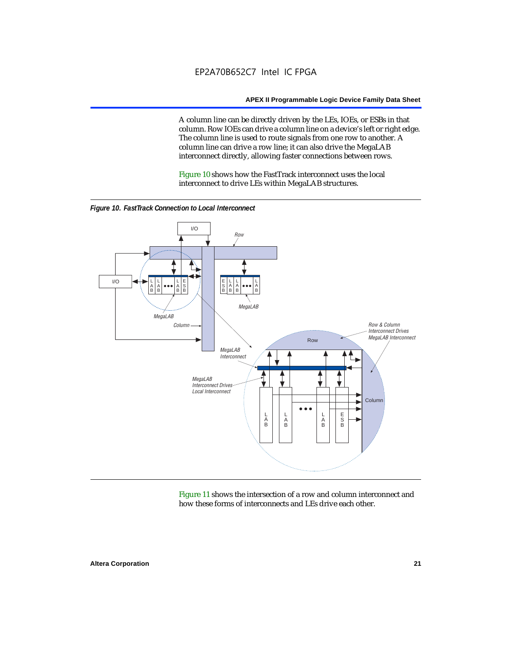A column line can be directly driven by the LEs, IOEs, or ESBs in that column. Row IOEs can drive a column line on a device's left or right edge. The column line is used to route signals from one row to another. A column line can drive a row line; it can also drive the MegaLAB interconnect directly, allowing faster connections between rows.

Figure 10 shows how the FastTrack interconnect uses the local interconnect to drive LEs within MegaLAB structures.



*Figure 10. FastTrack Connection to Local Interconnect*

Figure 11 shows the intersection of a row and column interconnect and how these forms of interconnects and LEs drive each other.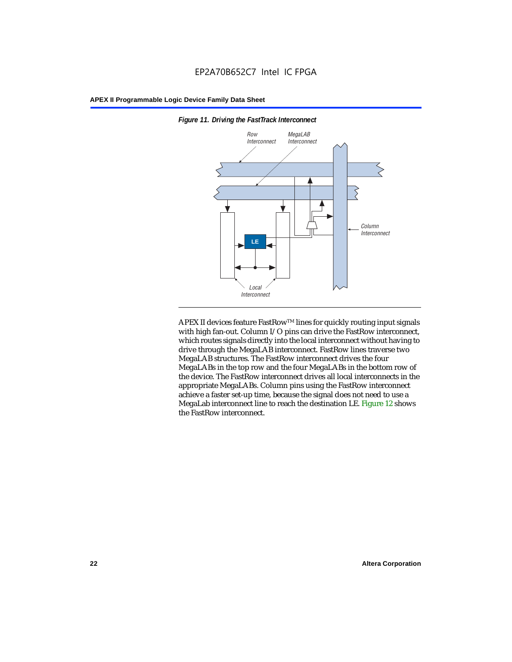

*Figure 11. Driving the FastTrack Interconnect*

APEX II devices feature FastRow™ lines for quickly routing input signals with high fan-out. Column I/O pins can drive the FastRow interconnect, which routes signals directly into the local interconnect without having to drive through the MegaLAB interconnect. FastRow lines traverse two MegaLAB structures. The FastRow interconnect drives the four MegaLABs in the top row and the four MegaLABs in the bottom row of the device. The FastRow interconnect drives all local interconnects in the appropriate MegaLABs. Column pins using the FastRow interconnect achieve a faster set-up time, because the signal does not need to use a MegaLab interconnect line to reach the destination LE. Figure 12 shows the FastRow interconnect.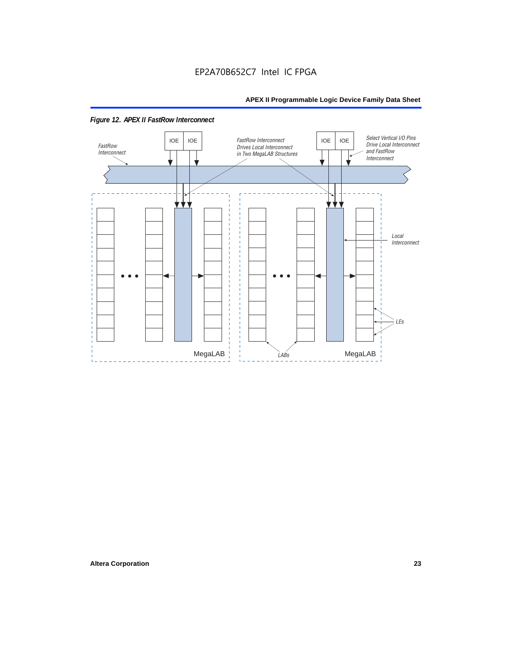

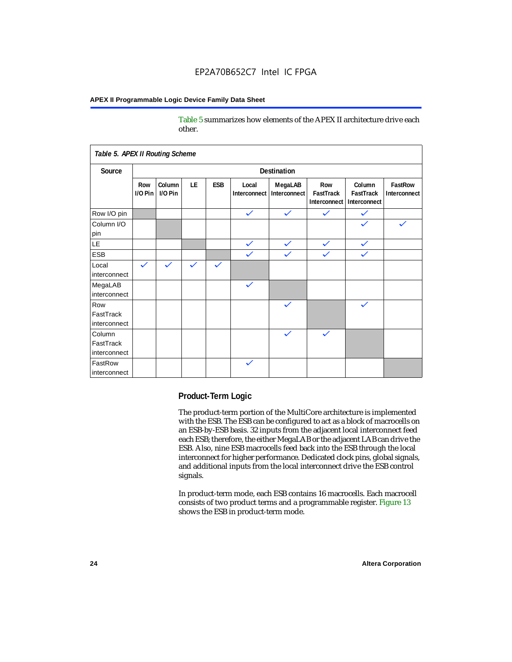Table 5 summarizes how elements of the APEX II architecture drive each other.

| Table 5. APEX II Routing Scheme     |                    |                   |              |              |                       |                         |                                  |                                     |                         |
|-------------------------------------|--------------------|-------------------|--------------|--------------|-----------------------|-------------------------|----------------------------------|-------------------------------------|-------------------------|
| Source                              | <b>Destination</b> |                   |              |              |                       |                         |                                  |                                     |                         |
|                                     | Row<br>$1/0$ Pin   | Column<br>I/O Pin | <b>LE</b>    | ESB          | Local<br>Interconnect | MegaLAB<br>Interconnect | Row<br>FastTrack<br>Interconnect | Column<br>FastTrack<br>Interconnect | FastRow<br>Interconnect |
| Row I/O pin                         |                    |                   |              |              | $\checkmark$          | $\checkmark$            | $\checkmark$                     | $\checkmark$                        |                         |
| Column I/O<br>pin                   |                    |                   |              |              |                       |                         |                                  |                                     |                         |
| <b>LE</b>                           |                    |                   |              |              | $\checkmark$          | $\checkmark$            | $\checkmark$                     | $\checkmark$                        |                         |
| <b>ESB</b>                          |                    |                   |              |              | $\checkmark$          | $\checkmark$            | $\checkmark$                     | $\checkmark$                        |                         |
| Local<br>interconnect               | $\checkmark$       | $\checkmark$      | $\checkmark$ | $\checkmark$ |                       |                         |                                  |                                     |                         |
| MegaLAB<br>interconnect             |                    |                   |              |              | $\checkmark$          |                         |                                  |                                     |                         |
| Row<br>FastTrack<br>interconnect    |                    |                   |              |              |                       | $\checkmark$            |                                  | $\checkmark$                        |                         |
| Column<br>FastTrack<br>interconnect |                    |                   |              |              |                       | $\checkmark$            | $\checkmark$                     |                                     |                         |
| FastRow<br>interconnect             |                    |                   |              |              | $\checkmark$          |                         |                                  |                                     |                         |

#### **Product-Term Logic**

The product-term portion of the MultiCore architecture is implemented with the ESB. The ESB can be configured to act as a block of macrocells on an ESB-by-ESB basis. 32 inputs from the adjacent local interconnect feed each ESB; therefore, the either MegaLAB or the adjacent LAB can drive the ESB. Also, nine ESB macrocells feed back into the ESB through the local interconnect for higher performance. Dedicated clock pins, global signals, and additional inputs from the local interconnect drive the ESB control signals.

In product-term mode, each ESB contains 16 macrocells. Each macrocell consists of two product terms and a programmable register. Figure 13 shows the ESB in product-term mode.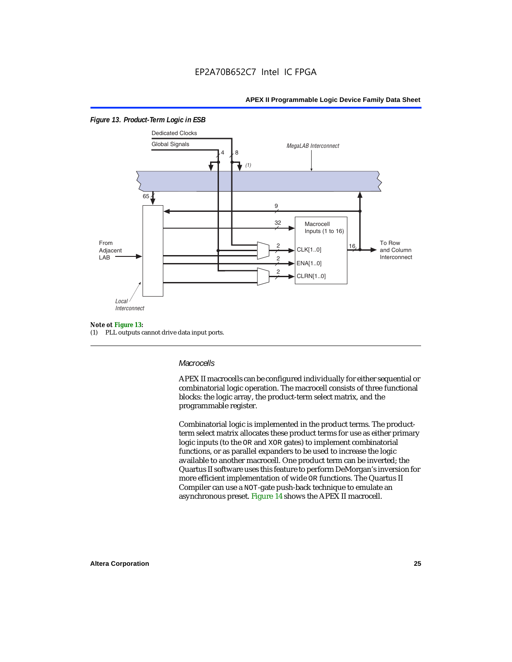

#### *Figure 13. Product-Term Logic in ESB*

#### *Note ot Figure 13:*

(1) PLL outputs cannot drive data input ports.

#### *Macrocells*

APEX II macrocells can be configured individually for either sequential or combinatorial logic operation. The macrocell consists of three functional blocks: the logic array, the product-term select matrix, and the programmable register.

Combinatorial logic is implemented in the product terms. The productterm select matrix allocates these product terms for use as either primary logic inputs (to the OR and XOR gates) to implement combinatorial functions, or as parallel expanders to be used to increase the logic available to another macrocell. One product term can be inverted; the Quartus II software uses this feature to perform DeMorgan's inversion for more efficient implementation of wide OR functions. The Quartus II Compiler can use a NOT-gate push-back technique to emulate an asynchronous preset. Figure 14 shows the APEX II macrocell.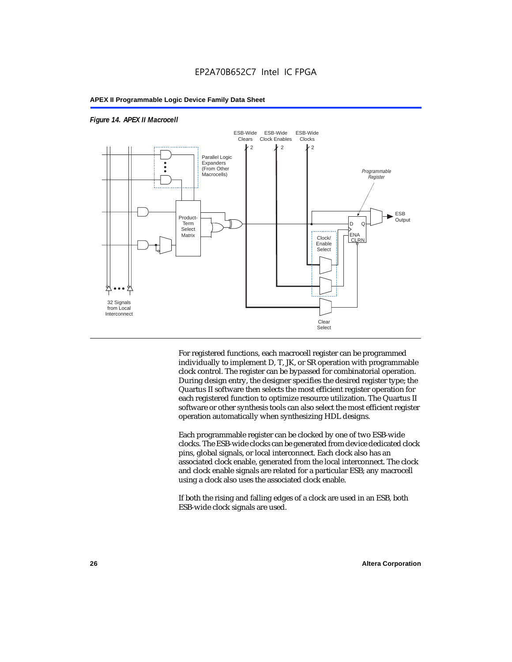



For registered functions, each macrocell register can be programmed individually to implement D, T, JK, or SR operation with programmable clock control. The register can be bypassed for combinatorial operation. During design entry, the designer specifies the desired register type; the Quartus II software then selects the most efficient register operation for each registered function to optimize resource utilization. The Quartus II software or other synthesis tools can also select the most efficient register operation automatically when synthesizing HDL designs.

Each programmable register can be clocked by one of two ESB-wide clocks. The ESB-wide clocks can be generated from device dedicated clock pins, global signals, or local interconnect. Each clock also has an associated clock enable, generated from the local interconnect. The clock and clock enable signals are related for a particular ESB; any macrocell using a clock also uses the associated clock enable.

If both the rising and falling edges of a clock are used in an ESB, both ESB-wide clock signals are used.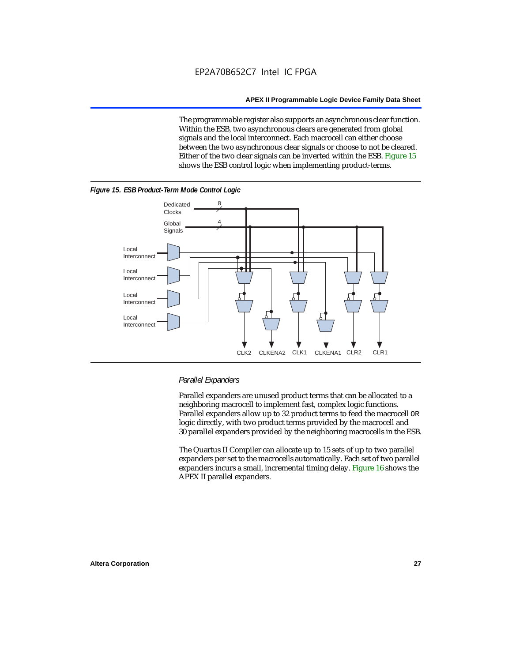The programmable register also supports an asynchronous clear function. Within the ESB, two asynchronous clears are generated from global signals and the local interconnect. Each macrocell can either choose between the two asynchronous clear signals or choose to not be cleared. Either of the two clear signals can be inverted within the ESB. Figure 15 shows the ESB control logic when implementing product-terms.





#### *Parallel Expanders*

Parallel expanders are unused product terms that can be allocated to a neighboring macrocell to implement fast, complex logic functions. Parallel expanders allow up to 32 product terms to feed the macrocell OR logic directly, with two product terms provided by the macrocell and 30 parallel expanders provided by the neighboring macrocells in the ESB.

The Quartus II Compiler can allocate up to 15 sets of up to two parallel expanders per set to the macrocells automatically. Each set of two parallel expanders incurs a small, incremental timing delay. Figure 16 shows the APEX II parallel expanders.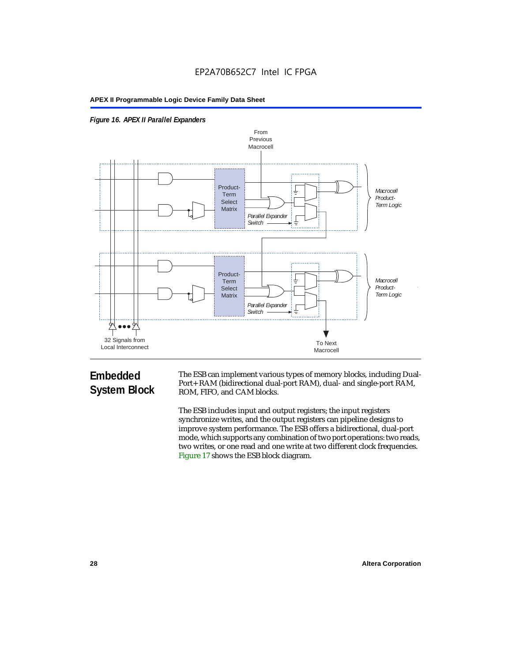



## **Embedded System Block**

The ESB can implement various types of memory blocks, including Dual-Port+ RAM (bidirectional dual-port RAM), dual- and single-port RAM, ROM, FIFO, and CAM blocks.

The ESB includes input and output registers; the input registers synchronize writes, and the output registers can pipeline designs to improve system performance. The ESB offers a bidirectional, dual-port mode, which supports any combination of two port operations: two reads, two writes, or one read and one write at two different clock frequencies. Figure 17 shows the ESB block diagram.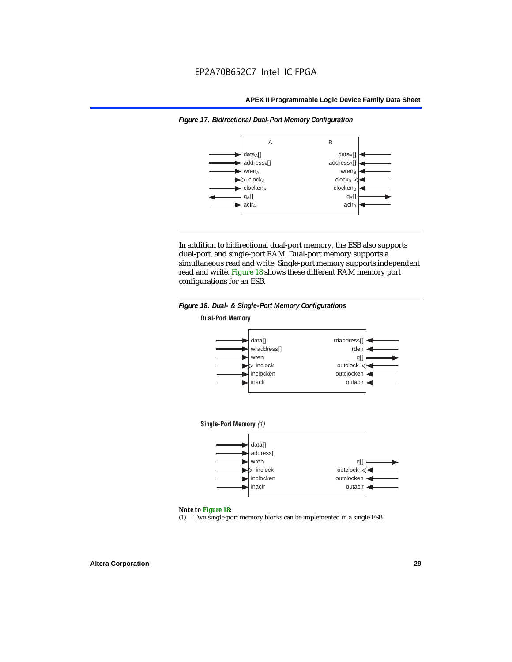

*Figure 17. Bidirectional Dual-Port Memory Configuration*

In addition to bidirectional dual-port memory, the ESB also supports dual-port, and single-port RAM. Dual-port memory supports a simultaneous read and write. Single-port memory supports independent read and write. Figure 18 shows these different RAM memory port configurations for an ESB.



#### *Note to Figure 18:*

(1) Two single-port memory blocks can be implemented in a single ESB.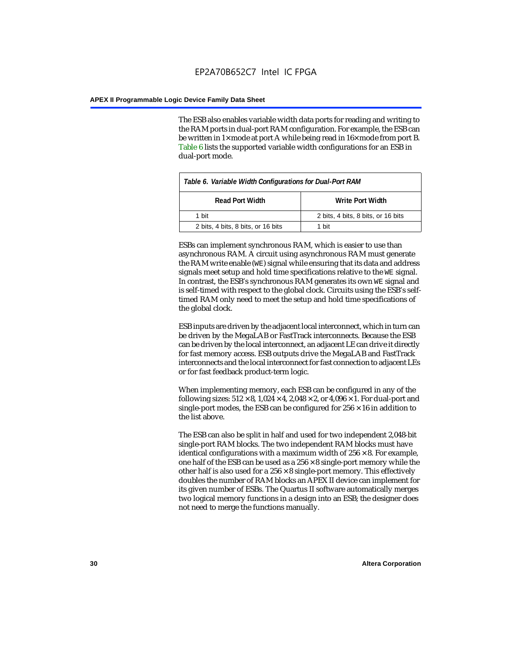The ESB also enables variable width data ports for reading and writing to the RAM ports in dual-port RAM configuration. For example, the ESB can be written in 1× mode at port A while being read in 16× mode from port B. Table 6 lists the supported variable width configurations for an ESB in dual-port mode.

| Table 6. Variable Width Configurations for Dual-Port RAM |                                    |  |  |
|----------------------------------------------------------|------------------------------------|--|--|
| <b>Read Port Width</b>                                   | Write Port Width                   |  |  |
| 1 hit                                                    | 2 bits, 4 bits, 8 bits, or 16 bits |  |  |
| 2 bits, 4 bits, 8 bits, or 16 bits                       | 1 hit                              |  |  |

ESBs can implement synchronous RAM, which is easier to use than asynchronous RAM. A circuit using asynchronous RAM must generate the RAM write enable (WE) signal while ensuring that its data and address signals meet setup and hold time specifications relative to the WE signal. In contrast, the ESB's synchronous RAM generates its own WE signal and is self-timed with respect to the global clock. Circuits using the ESB's selftimed RAM only need to meet the setup and hold time specifications of the global clock.

ESB inputs are driven by the adjacent local interconnect, which in turn can be driven by the MegaLAB or FastTrack interconnects. Because the ESB can be driven by the local interconnect, an adjacent LE can drive it directly for fast memory access. ESB outputs drive the MegaLAB and FastTrack interconnects and the local interconnect for fast connection to adjacent LEs or for fast feedback product-term logic.

When implementing memory, each ESB can be configured in any of the following sizes:  $512 \times 8$ ,  $1,024 \times 4$ ,  $2,048 \times 2$ , or  $4,096 \times 1$ . For dual-port and single-port modes, the ESB can be configured for  $256 \times 16$  in addition to the list above.

The ESB can also be split in half and used for two independent 2,048-bit single-port RAM blocks. The two independent RAM blocks must have identical configurations with a maximum width of  $256 \times 8$ . For example, one half of the ESB can be used as a  $256 \times 8$  single-port memory while the other half is also used for a  $256 \times 8$  single-port memory. This effectively doubles the number of RAM blocks an APEX II device can implement for its given number of ESBs. The Quartus II software automatically merges two logical memory functions in a design into an ESB; the designer does not need to merge the functions manually.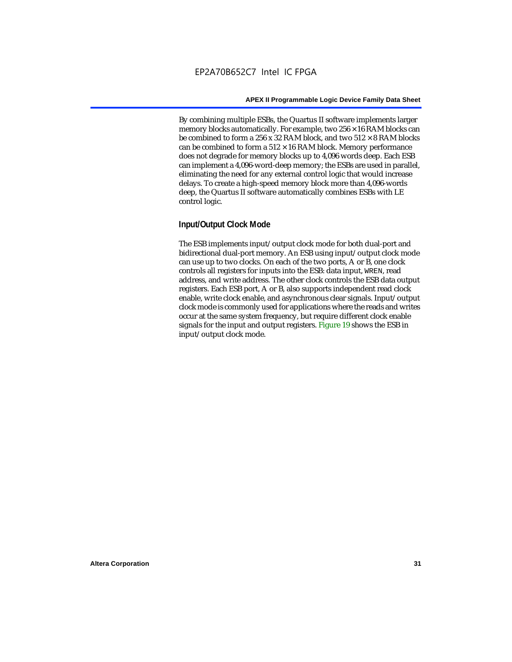By combining multiple ESBs, the Quartus II software implements larger memory blocks automatically. For example, two  $256 \times 16$  RAM blocks can be combined to form a 256 x 32 RAM block, and two  $512 \times 8$  RAM blocks can be combined to form a  $512 \times 16$  RAM block. Memory performance does not degrade for memory blocks up to 4,096 words deep. Each ESB can implement a 4,096-word-deep memory; the ESBs are used in parallel, eliminating the need for any external control logic that would increase delays. To create a high-speed memory block more than 4,096-words deep, the Quartus II software automatically combines ESBs with LE control logic.

#### **Input/Output Clock Mode**

The ESB implements input/output clock mode for both dual-port and bidirectional dual-port memory. An ESB using input/output clock mode can use up to two clocks. On each of the two ports, A or B, one clock controls all registers for inputs into the ESB: data input, WREN, read address, and write address. The other clock controls the ESB data output registers. Each ESB port, A or B, also supports independent read clock enable, write clock enable, and asynchronous clear signals. Input/output clock mode is commonly used for applications where the reads and writes occur at the same system frequency, but require different clock enable signals for the input and output registers. Figure 19 shows the ESB in input/output clock mode.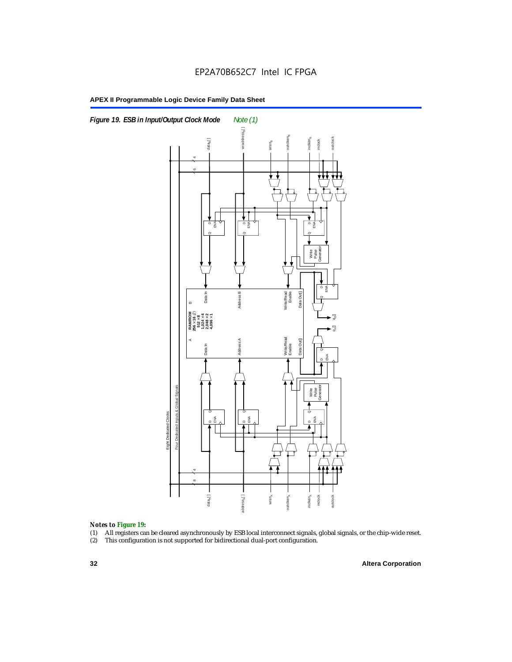



#### *Notes to Figure 19:*

- (1) All registers can be cleared asynchronously by ESB local interconnect signals, global signals, or the chip-wide reset.
-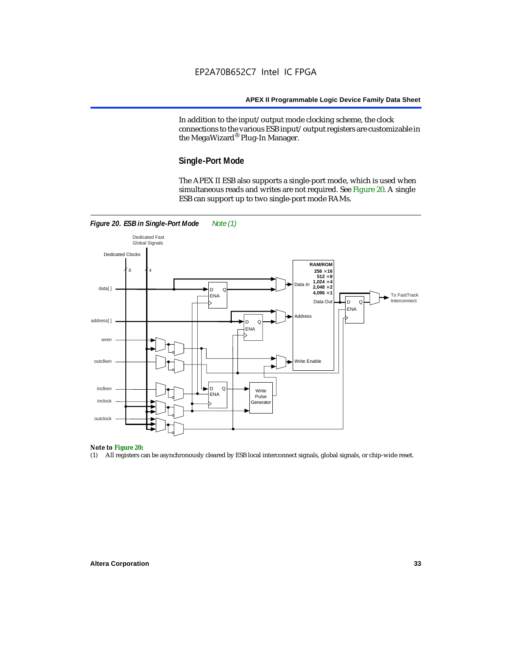In addition to the input/output mode clocking scheme, the clock connections to the various ESB input/output registers are customizable in the MegaWizard® Plug-In Manager.

#### **Single-Port Mode**

The APEX II ESB also supports a single-port mode, which is used when simultaneous reads and writes are not required. See Figure 20. A single ESB can support up to two single-port mode RAMs.



### *Note to Figure 20:*

(1) All registers can be asynchronously cleared by ESB local interconnect signals, global signals, or chip-wide reset.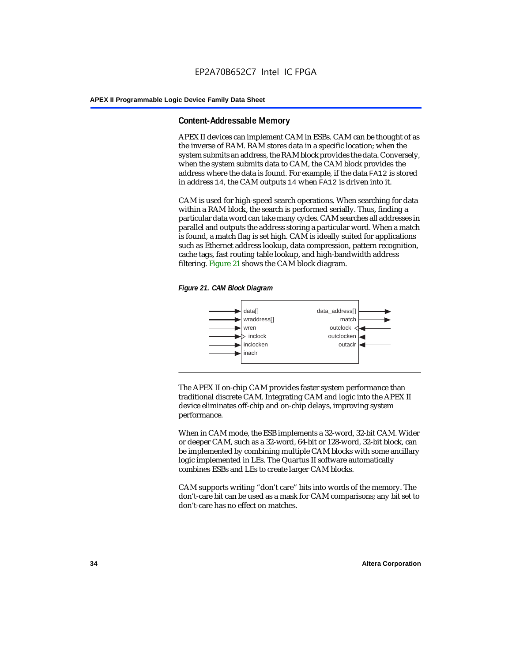#### **Content-Addressable Memory**

APEX II devices can implement CAM in ESBs. CAM can be thought of as the inverse of RAM. RAM stores data in a specific location; when the system submits an address, the RAM block provides the data. Conversely, when the system submits data to CAM, the CAM block provides the address where the data is found. For example, if the data FA12 is stored in address 14, the CAM outputs 14 when FA12 is driven into it.

CAM is used for high-speed search operations. When searching for data within a RAM block, the search is performed serially. Thus, finding a particular data word can take many cycles. CAM searches all addresses in parallel and outputs the address storing a particular word. When a match is found, a match flag is set high. CAM is ideally suited for applications such as Ethernet address lookup, data compression, pattern recognition, cache tags, fast routing table lookup, and high-bandwidth address filtering. Figure 21 shows the CAM block diagram.





The APEX II on-chip CAM provides faster system performance than traditional discrete CAM. Integrating CAM and logic into the APEX II device eliminates off-chip and on-chip delays, improving system performance.

When in CAM mode, the ESB implements a 32-word, 32-bit CAM. Wider or deeper CAM, such as a 32-word, 64-bit or 128-word, 32-bit block, can be implemented by combining multiple CAM blocks with some ancillary logic implemented in LEs. The Quartus II software automatically combines ESBs and LEs to create larger CAM blocks.

CAM supports writing "don't care" bits into words of the memory. The don't-care bit can be used as a mask for CAM comparisons; any bit set to don't-care has no effect on matches.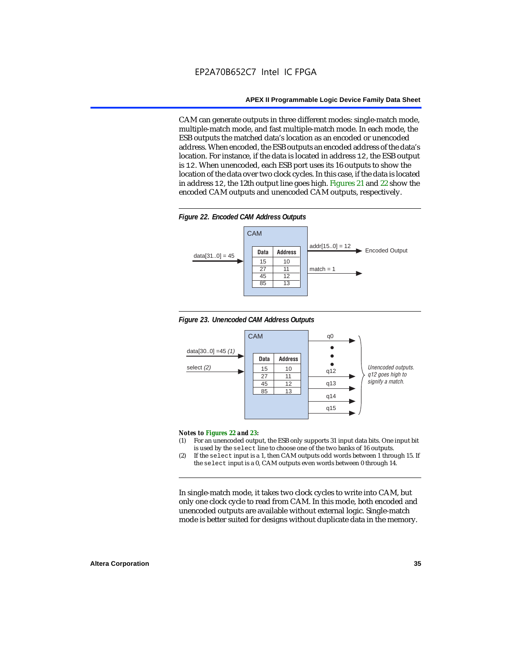CAM can generate outputs in three different modes: single-match mode, multiple-match mode, and fast multiple-match mode. In each mode, the ESB outputs the matched data's location as an encoded or unencoded address. When encoded, the ESB outputs an encoded address of the data's location. For instance, if the data is located in address 12, the ESB output is 12. When unencoded, each ESB port uses its 16 outputs to show the location of the data over two clock cycles. In this case, if the data is located in address 12, the 12th output line goes high. Figures 21 and 22 show the encoded CAM outputs and unencoded CAM outputs, respectively.









#### *Notes to Figures 22 and 23:*

- (1) For an unencoded output, the ESB only supports 31 input data bits. One input bit is used by the select line to choose one of the two banks of 16 outputs.
- (2) If the select input is a 1, then CAM outputs odd words between 1 through 15. If the select input is a 0, CAM outputs even words between 0 through 14.

In single-match mode, it takes two clock cycles to write into CAM, but only one clock cycle to read from CAM. In this mode, both encoded and unencoded outputs are available without external logic. Single-match mode is better suited for designs without duplicate data in the memory.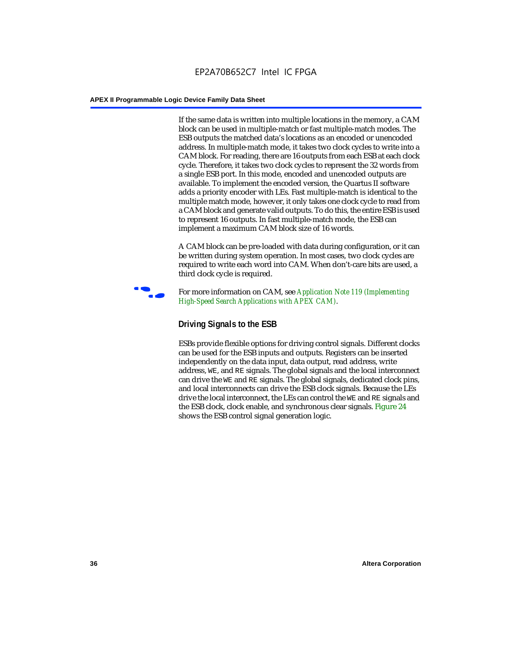If the same data is written into multiple locations in the memory, a CAM block can be used in multiple-match or fast multiple-match modes. The ESB outputs the matched data's locations as an encoded or unencoded address. In multiple-match mode, it takes two clock cycles to write into a CAM block. For reading, there are 16 outputs from each ESB at each clock cycle. Therefore, it takes two clock cycles to represent the 32 words from a single ESB port. In this mode, encoded and unencoded outputs are available. To implement the encoded version, the Quartus II software adds a priority encoder with LEs. Fast multiple-match is identical to the multiple match mode, however, it only takes one clock cycle to read from a CAM block and generate valid outputs. To do this, the entire ESB is used to represent 16 outputs. In fast multiple-match mode, the ESB can implement a maximum CAM block size of 16 words.

A CAM block can be pre-loaded with data during configuration, or it can be written during system operation. In most cases, two clock cycles are required to write each word into CAM. When don't-care bits are used, a third clock cycle is required.



f For more information on CAM, see *Application Note 119 (Implementing High-Speed Search Applications with APEX CAM)*.

# **Driving Signals to the ESB**

ESBs provide flexible options for driving control signals. Different clocks can be used for the ESB inputs and outputs. Registers can be inserted independently on the data input, data output, read address, write address, WE, and RE signals. The global signals and the local interconnect can drive the WE and RE signals. The global signals, dedicated clock pins, and local interconnects can drive the ESB clock signals. Because the LEs drive the local interconnect, the LEs can control the WE and RE signals and the ESB clock, clock enable, and synchronous clear signals. Figure 24 shows the ESB control signal generation logic.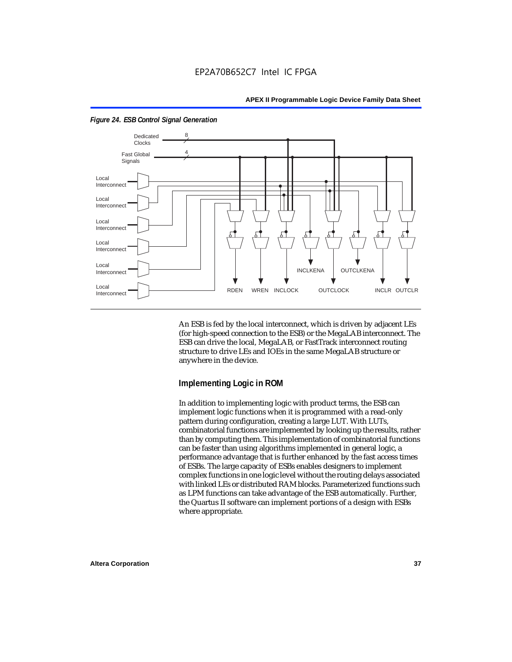

*Figure 24. ESB Control Signal Generation*

An ESB is fed by the local interconnect, which is driven by adjacent LEs (for high-speed connection to the ESB) or the MegaLAB interconnect. The ESB can drive the local, MegaLAB, or FastTrack interconnect routing structure to drive LEs and IOEs in the same MegaLAB structure or anywhere in the device.

### **Implementing Logic in ROM**

In addition to implementing logic with product terms, the ESB can implement logic functions when it is programmed with a read-only pattern during configuration, creating a large LUT. With LUTs, combinatorial functions are implemented by looking up the results, rather than by computing them. This implementation of combinatorial functions can be faster than using algorithms implemented in general logic, a performance advantage that is further enhanced by the fast access times of ESBs. The large capacity of ESBs enables designers to implement complex functions in one logic level without the routing delays associated with linked LEs or distributed RAM blocks. Parameterized functions such as LPM functions can take advantage of the ESB automatically. Further, the Quartus II software can implement portions of a design with ESBs where appropriate.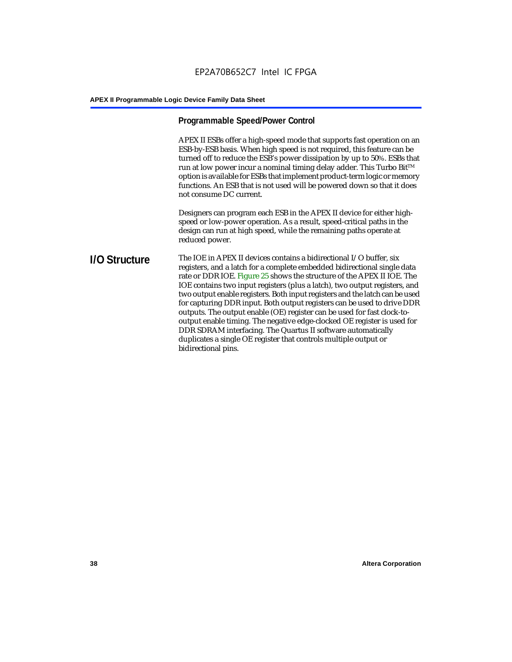## **Programmable Speed/Power Control**

APEX II ESBs offer a high-speed mode that supports fast operation on an ESB-by-ESB basis. When high speed is not required, this feature can be turned off to reduce the ESB's power dissipation by up to 50%. ESBs that run at low power incur a nominal timing delay adder. This Turbo Bit $TM$ option is available for ESBs that implement product-term logic or memory functions. An ESB that is not used will be powered down so that it does not consume DC current.

Designers can program each ESB in the APEX II device for either highspeed or low-power operation. As a result, speed-critical paths in the design can run at high speed, while the remaining paths operate at reduced power.

**I/O Structure** The IOE in APEX II devices contains a bidirectional I/O buffer, six registers, and a latch for a complete embedded bidirectional single data rate or DDR IOE. Figure 25 shows the structure of the APEX II IOE. The IOE contains two input registers (plus a latch), two output registers, and two output enable registers. Both input registers and the latch can be used for capturing DDR input. Both output registers can be used to drive DDR outputs. The output enable (OE) register can be used for fast clock-tooutput enable timing. The negative edge-clocked OE register is used for DDR SDRAM interfacing. The Quartus II software automatically duplicates a single OE register that controls multiple output or bidirectional pins.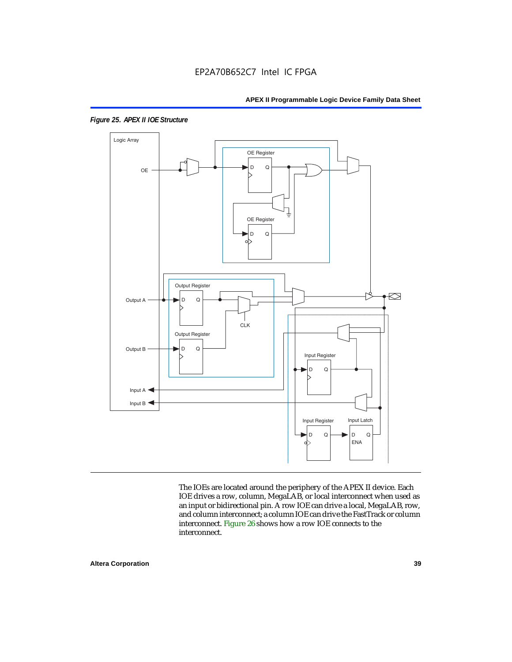

*Figure 25. APEX II IOE Structure*

The IOEs are located around the periphery of the APEX II device. Each IOE drives a row, column, MegaLAB, or local interconnect when used as an input or bidirectional pin. A row IOE can drive a local, MegaLAB, row, and column interconnect; a column IOE can drive the FastTrack or column interconnect. Figure 26 shows how a row IOE connects to the interconnect.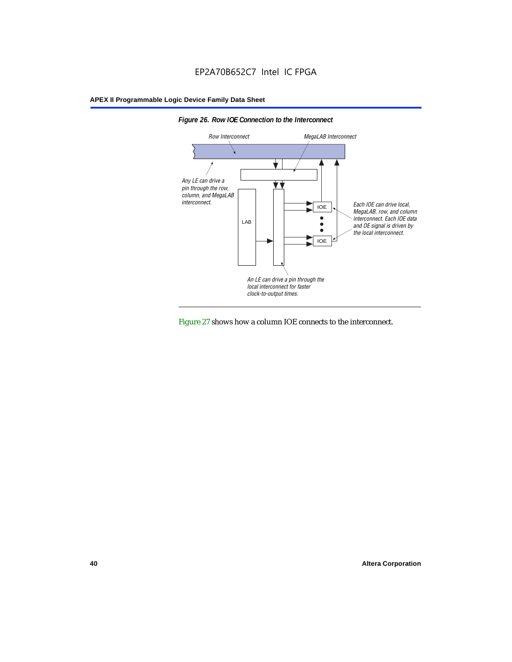



Figure 27 shows how a column IOE connects to the interconnect.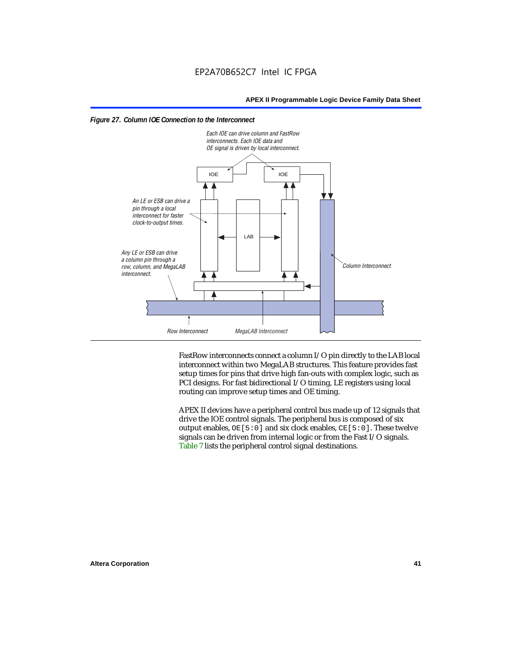



FastRow interconnects connect a column I/O pin directly to the LAB local interconnect within two MegaLAB structures. This feature provides fast setup times for pins that drive high fan-outs with complex logic, such as PCI designs. For fast bidirectional I/O timing, LE registers using local routing can improve setup times and OE timing.

APEX II devices have a peripheral control bus made up of 12 signals that drive the IOE control signals. The peripheral bus is composed of six output enables,  $OE[5:0]$  and six clock enables,  $CE[5:0]$ . These twelve signals can be driven from internal logic or from the Fast I/O signals. Table 7 lists the peripheral control signal destinations.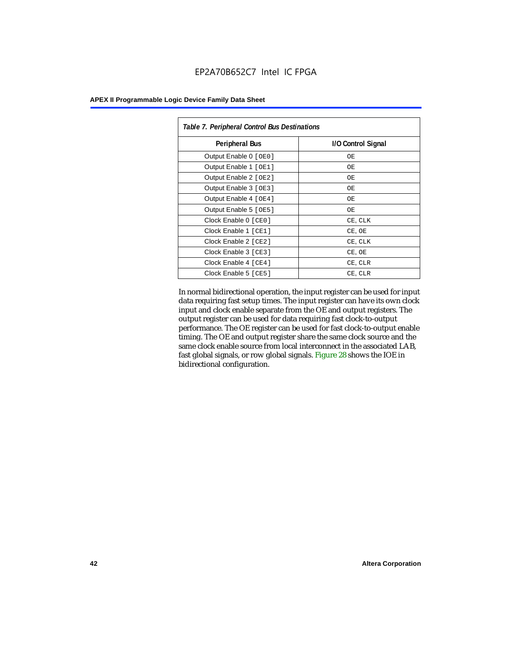| <b>APEX II Programmable Logic Device Family Data Sheet</b> |  |  |  |
|------------------------------------------------------------|--|--|--|
|------------------------------------------------------------|--|--|--|

| Table 7. Peripheral Control Bus Destinations |                    |  |  |  |
|----------------------------------------------|--------------------|--|--|--|
| <b>Peripheral Bus</b>                        | I/O Control Signal |  |  |  |
| Output Enable 0 [OE0]                        | OE.                |  |  |  |
| Output Enable 1 [OE1]                        | OЕ                 |  |  |  |
| Output Enable 2 [OE2]                        | OЕ                 |  |  |  |
| Output Enable 3 [OE3]                        | OЕ                 |  |  |  |
| Output Enable 4 [OE4]                        | OE.                |  |  |  |
| Output Enable 5 [OE5]                        | OЕ                 |  |  |  |
| Clock Enable 0 [ CE0 ]                       | CE, CLK            |  |  |  |
| Clock Enable 1 [CE1]                         | CE, OE             |  |  |  |
| Clock Enable 2 [ CE2 ]                       | CE, CLK            |  |  |  |
| Clock Enable 3 [ CE3 ]                       | CE, OE             |  |  |  |
| Clock Enable 4 [CE4]                         | CE, CLR            |  |  |  |
| Clock Enable 5 [ CE5 ]                       | CE, CLR            |  |  |  |

In normal bidirectional operation, the input register can be used for input data requiring fast setup times. The input register can have its own clock input and clock enable separate from the OE and output registers. The output register can be used for data requiring fast clock-to-output performance. The OE register can be used for fast clock-to-output enable timing. The OE and output register share the same clock source and the same clock enable source from local interconnect in the associated LAB, fast global signals, or row global signals. Figure 28 shows the IOE in bidirectional configuration.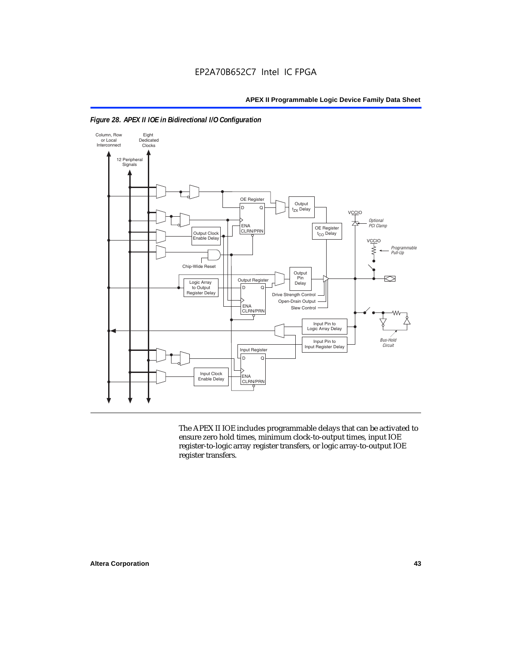



The APEX II IOE includes programmable delays that can be activated to ensure zero hold times, minimum clock-to-output times, input IOE register-to-logic array register transfers, or logic array-to-output IOE register transfers.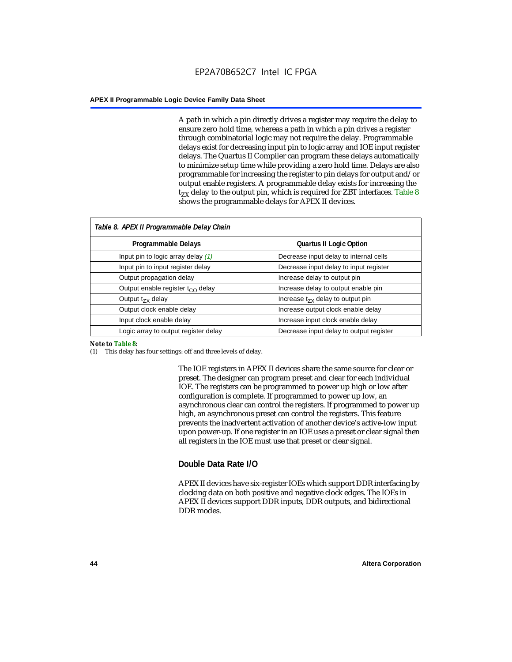A path in which a pin directly drives a register may require the delay to ensure zero hold time, whereas a path in which a pin drives a register through combinatorial logic may not require the delay. Programmable delays exist for decreasing input pin to logic array and IOE input register delays. The Quartus II Compiler can program these delays automatically to minimize setup time while providing a zero hold time. Delays are also programmable for increasing the register to pin delays for output and/or output enable registers. A programmable delay exists for increasing the  $t_{ZX}$  delay to the output pin, which is required for ZBT interfaces. Table 8 shows the programmable delays for APEX II devices.

| Table 8. APEX II Programmable Delay Chain |                                         |
|-------------------------------------------|-----------------------------------------|
| Programmable Delays                       | <b>Quartus II Logic Option</b>          |
| Input pin to logic array delay $(1)$      | Decrease input delay to internal cells  |
| Input pin to input register delay         | Decrease input delay to input register  |
| Output propagation delay                  | Increase delay to output pin            |
| Output enable register $t_{\rm CO}$ delay | Increase delay to output enable pin     |
| Output $t_{\rm rx}$ delay                 | Increase $t_{zx}$ delay to output pin   |
| Output clock enable delay                 | Increase output clock enable delay      |
| Input clock enable delay                  | Increase input clock enable delay       |
| Logic array to output register delay      | Decrease input delay to output register |

#### *Note to Table 8:*

(1) This delay has four settings: off and three levels of delay.

The IOE registers in APEX II devices share the same source for clear or preset. The designer can program preset and clear for each individual IOE. The registers can be programmed to power up high or low after configuration is complete. If programmed to power up low, an asynchronous clear can control the registers. If programmed to power up high, an asynchronous preset can control the registers. This feature prevents the inadvertent activation of another device's active-low input upon power-up. If one register in an IOE uses a preset or clear signal then all registers in the IOE must use that preset or clear signal.

#### **Double Data Rate I/O**

APEX II devices have six-register IOEs which support DDR interfacing by clocking data on both positive and negative clock edges. The IOEs in APEX II devices support DDR inputs, DDR outputs, and bidirectional DDR modes.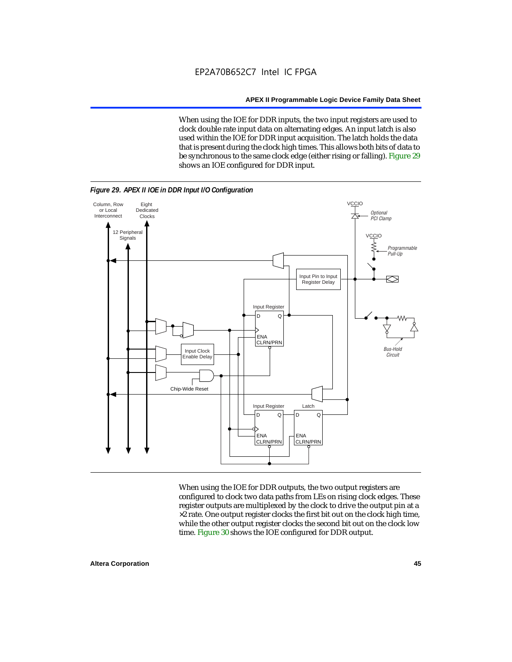When using the IOE for DDR inputs, the two input registers are used to clock double rate input data on alternating edges. An input latch is also used within the IOE for DDR input acquisition. The latch holds the data that is present during the clock high times. This allows both bits of data to be synchronous to the same clock edge (either rising or falling). Figure 29 shows an IOE configured for DDR input.



When using the IOE for DDR outputs, the two output registers are configured to clock two data paths from LEs on rising clock edges. These register outputs are multiplexed by the clock to drive the output pin at a  $\times 2$  rate. One output register clocks the first bit out on the clock high time, while the other output register clocks the second bit out on the clock low time. Figure 30 shows the IOE configured for DDR output.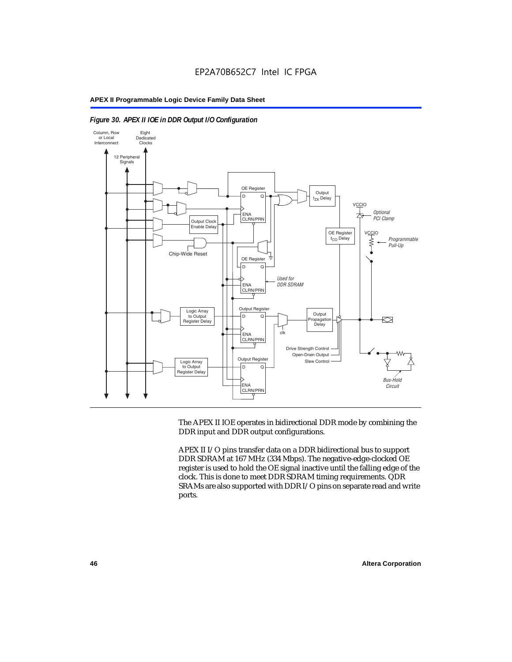

#### *Figure 30. APEX II IOE in DDR Output I/O Configuration*

The APEX II IOE operates in bidirectional DDR mode by combining the DDR input and DDR output configurations.

APEX II I/O pins transfer data on a DDR bidirectional bus to support DDR SDRAM at 167 MHz (334 Mbps). The negative-edge-clocked OE register is used to hold the OE signal inactive until the falling edge of the clock. This is done to meet DDR SDRAM timing requirements. QDR SRAMs are also supported with DDR I/O pins on separate read and write ports.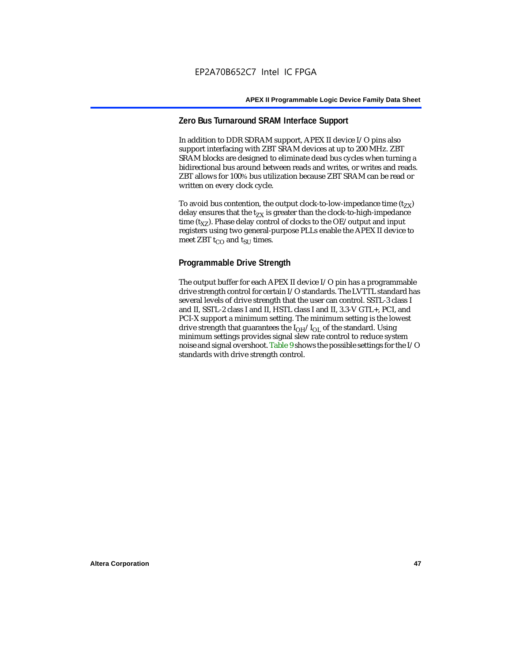# **Zero Bus Turnaround SRAM Interface Support**

In addition to DDR SDRAM support, APEX II device I/O pins also support interfacing with ZBT SRAM devices at up to 200 MHz. ZBT SRAM blocks are designed to eliminate dead bus cycles when turning a bidirectional bus around between reads and writes, or writes and reads. ZBT allows for 100% bus utilization because ZBT SRAM can be read or written on every clock cycle.

To avoid bus contention, the output clock-to-low-impedance time  $(t_{ZX})$ delay ensures that the  $t_{zx}$  is greater than the clock-to-high-impedance time  $(t_{XZ})$ . Phase delay control of clocks to the OE/output and input registers using two general-purpose PLLs enable the APEX II device to meet ZBT  $t_{CO}$  and  $t_{SUI}$  times.

# **Programmable Drive Strength**

The output buffer for each APEX II device I/O pin has a programmable drive strength control for certain I/O standards. The LVTTL standard has several levels of drive strength that the user can control. SSTL-3 class I and II, SSTL-2 class I and II, HSTL class I and II, 3.3-V GTL+, PCI, and PCI-X support a minimum setting. The minimum setting is the lowest drive strength that guarantees the  $I<sub>OH</sub>/I<sub>OL</sub>$  of the standard. Using minimum settings provides signal slew rate control to reduce system noise and signal overshoot. Table 9 shows the possible settings for the I/O standards with drive strength control.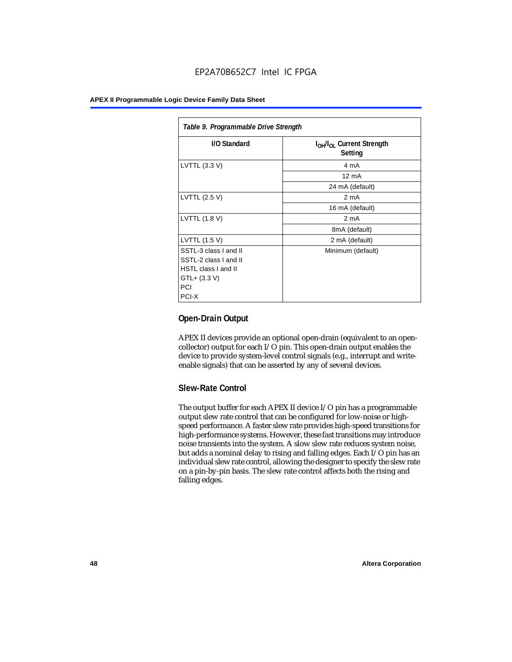| Table 9. Programmable Drive Strength |                                                              |  |  |  |  |
|--------------------------------------|--------------------------------------------------------------|--|--|--|--|
| I/O Standard                         | I <sub>OH</sub> /I <sub>OL</sub> Current Strength<br>Setting |  |  |  |  |
| LVTTL (3.3 V)                        | 4 mA                                                         |  |  |  |  |
|                                      | $12 \text{ mA}$                                              |  |  |  |  |
|                                      | 24 mA (default)                                              |  |  |  |  |
| LVTTL (2.5 V)                        | 2 <sub>m</sub> A                                             |  |  |  |  |
|                                      | 16 mA (default)                                              |  |  |  |  |
| LVTTL (1.8 V)                        | 2 mA                                                         |  |  |  |  |
|                                      | 8mA (default)                                                |  |  |  |  |
| LVTTL (1.5 V)                        | 2 mA (default)                                               |  |  |  |  |
| SSTL-3 class I and II                | Minimum (default)                                            |  |  |  |  |
| SSTL-2 class I and II                |                                                              |  |  |  |  |
| <b>HSTL class I and II</b>           |                                                              |  |  |  |  |
| $GTL+ (3.3 V)$                       |                                                              |  |  |  |  |
| PCI                                  |                                                              |  |  |  |  |
| PCI-X                                |                                                              |  |  |  |  |

# **Open-Drain Output**

APEX II devices provide an optional open-drain (equivalent to an opencollector) output for each I/O pin. This open-drain output enables the device to provide system-level control signals (e.g., interrupt and writeenable signals) that can be asserted by any of several devices.

# **Slew-Rate Control**

The output buffer for each APEX II device I/O pin has a programmable output slew rate control that can be configured for low-noise or highspeed performance. A faster slew rate provides high-speed transitions for high-performance systems. However, these fast transitions may introduce noise transients into the system. A slow slew rate reduces system noise, but adds a nominal delay to rising and falling edges. Each I/O pin has an individual slew rate control, allowing the designer to specify the slew rate on a pin-by-pin basis. The slew rate control affects both the rising and falling edges.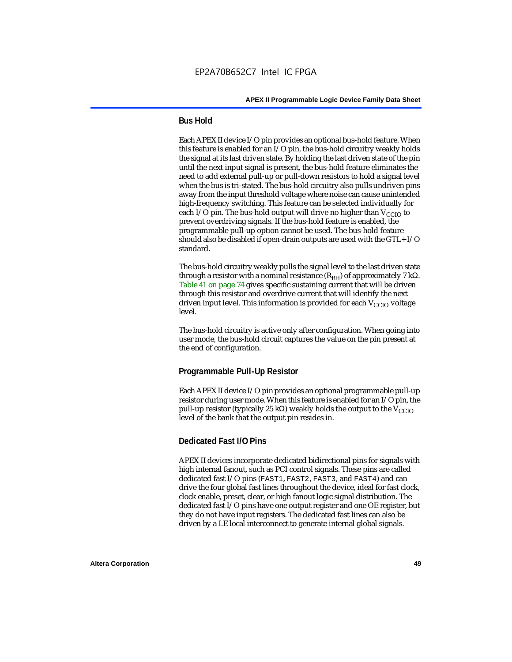## **Bus Hold**

Each APEX II device I/O pin provides an optional bus-hold feature. When this feature is enabled for an I/O pin, the bus-hold circuitry weakly holds the signal at its last driven state. By holding the last driven state of the pin until the next input signal is present, the bus-hold feature eliminates the need to add external pull-up or pull-down resistors to hold a signal level when the bus is tri-stated. The bus-hold circuitry also pulls undriven pins away from the input threshold voltage where noise can cause unintended high-frequency switching. This feature can be selected individually for each I/O pin. The bus-hold output will drive no higher than  $V_{CCIO}$  to prevent overdriving signals. If the bus-hold feature is enabled, the programmable pull-up option cannot be used. The bus-hold feature should also be disabled if open-drain outputs are used with the GTL+ I/O standard.

The bus-hold circuitry weakly pulls the signal level to the last driven state through a resistor with a nominal resistance  $(R_{BH})$  of approximately 7 kΩ. Table 41 on page 74 gives specific sustaining current that will be driven through this resistor and overdrive current that will identify the next driven input level. This information is provided for each  $V_{CCIO}$  voltage level.

The bus-hold circuitry is active only after configuration. When going into user mode, the bus-hold circuit captures the value on the pin present at the end of configuration.

#### **Programmable Pull-Up Resistor**

Each APEX II device I/O pin provides an optional programmable pull-up resistor during user mode. When this feature is enabled for an I/O pin, the pull-up resistor (typically 25 kΩ) weakly holds the output to the  $V_{CCIO}$ level of the bank that the output pin resides in.

## **Dedicated Fast I/O Pins**

APEX II devices incorporate dedicated bidirectional pins for signals with high internal fanout, such as PCI control signals. These pins are called dedicated fast I/O pins (FAST1, FAST2, FAST3, and FAST4) and can drive the four global fast lines throughout the device, ideal for fast clock, clock enable, preset, clear, or high fanout logic signal distribution. The dedicated fast I/O pins have one output register and one OE register, but they do not have input registers. The dedicated fast lines can also be driven by a LE local interconnect to generate internal global signals.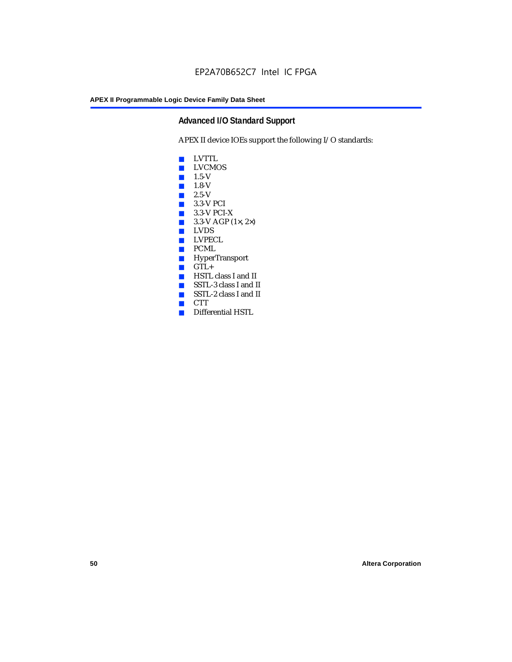# **Advanced I/O Standard Support**

APEX II device IOEs support the following I/O standards:

- LVTTL
- LVCMOS
- $\blacksquare$  1.5-V
- $\blacksquare$  1.8-V
- 2.5-V
- 3.3-V PCI
- 3.3-V PCI-X
- $\blacksquare$  3.3-V AGP (1 $\times$ , 2 $\times$ )
- LVDS<br>■ LVPEC
- LVPECL
- PCML
- HyperTransport
- GTL+<br>■ HSTL
- HSTL class I and II
- SSTL-3 class I and II
- SSTL-2 class I and II
- CTT
- Differential HSTL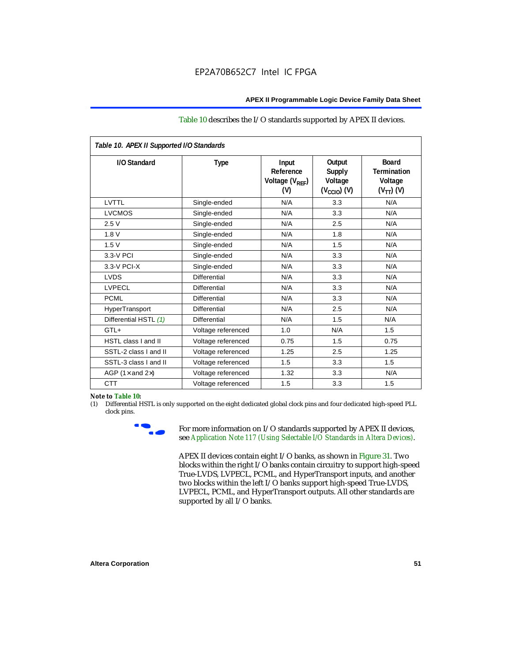#### Table 10 describes the I/O standards supported by APEX II devices.

| Table 10. APEX II Supported I/O Standards |                     |                                                  |                                                               |                                                                   |
|-------------------------------------------|---------------------|--------------------------------------------------|---------------------------------------------------------------|-------------------------------------------------------------------|
| I/O Standard                              | Type                | Input<br>Reference<br>Voltage $(V_{RFF})$<br>(V) | Output<br><b>Supply</b><br>Voltage<br>$(V_{\text{CCIO}})$ (V) | <b>Board</b><br><b>Termination</b><br>Voltage<br>$(V_{TT})$ $(V)$ |
| LVTTL                                     | Single-ended        | N/A                                              | 3.3                                                           | N/A                                                               |
| <b>LVCMOS</b>                             | Single-ended        | N/A                                              | 3.3                                                           | N/A                                                               |
| 2.5V                                      | Single-ended        | N/A                                              | 2.5                                                           | N/A                                                               |
| 1.8V                                      | Single-ended        | N/A                                              | 1.8                                                           | N/A                                                               |
| 1.5V                                      | Single-ended        | N/A                                              | 1.5                                                           | N/A                                                               |
| 3.3-V PCI                                 | Single-ended        | N/A                                              | 3.3                                                           | N/A                                                               |
| $3.3-V$ PCI-X                             | Single-ended        | N/A                                              | 3.3                                                           | N/A                                                               |
| <b>LVDS</b>                               | Differential        | N/A                                              | 3.3                                                           | N/A                                                               |
| <b>LVPECL</b>                             | <b>Differential</b> | N/A                                              | 3.3                                                           | N/A                                                               |
| <b>PCML</b>                               | <b>Differential</b> | N/A                                              | 3.3                                                           | N/A                                                               |
| HyperTransport                            | Differential        | N/A                                              | 2.5                                                           | N/A                                                               |
| Differential HSTL (1)                     | <b>Differential</b> | N/A                                              | 1.5                                                           | N/A                                                               |
| $GTL+$                                    | Voltage referenced  | 1.0                                              | N/A                                                           | 1.5                                                               |
| <b>HSTL class I and II</b>                | Voltage referenced  | 0.75                                             | 1.5                                                           | 0.75                                                              |
| SSTL-2 class I and II                     | Voltage referenced  | 1.25                                             | 2.5                                                           | 1.25                                                              |
| SSTL-3 class I and II                     | Voltage referenced  | 1.5                                              | 3.3                                                           | 1.5                                                               |
| AGP (1 $\times$ and 2 $\times$ )          | Voltage referenced  | 1.32                                             | 3.3                                                           | N/A                                                               |
| <b>CTT</b>                                | Voltage referenced  | 1.5                                              | 3.3                                                           | 1.5                                                               |

#### *Note to Table 10:*

(1) Differential HSTL is only supported on the eight dedicated global clock pins and four dedicated high-speed PLL clock pins.



For more information on I/O standards supported by APEX II devices, see *Application Note 117 (Using Selectable I/O Standards in Altera Devices)*.

APEX II devices contain eight I/O banks, as shown in Figure 31. Two blocks within the right I/O banks contain circuitry to support high-speed True-LVDS, LVPECL, PCML, and HyperTransport inputs, and another two blocks within the left I/O banks support high-speed True-LVDS, LVPECL, PCML, and HyperTransport outputs. All other standards are supported by all I/O banks.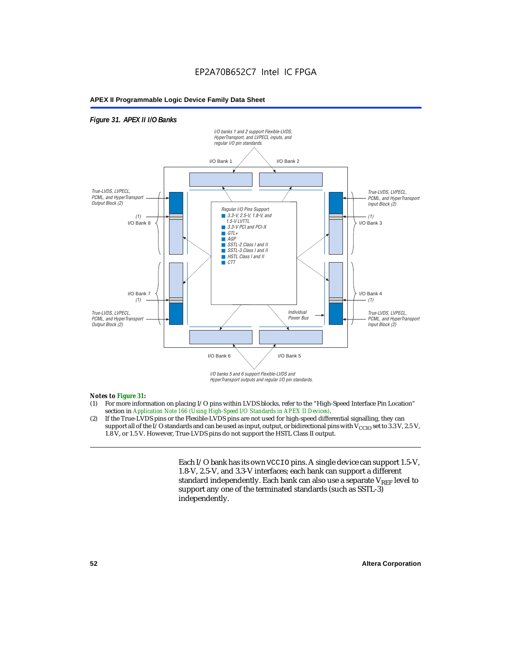# EP2A70B652C7 Intel IC FPGA

#### **APEX II Programmable Logic Device Family Data Sheet**

#### *Figure 31. APEX II I/O Banks*



HyperTransport outputs and regular I/O pin standards.

#### *Notes to Figure 31:*

- (1) For more information on placing I/O pins within LVDS blocks, refer to the "High-Speed Interface Pin Location" section in *Application Note 166 (Using High-Speed I/O Standards in APEX II Devices)*.
- (2) If the True-LVDS pins or the Flexible-LVDS pins are not used for high-speed differential signalling, they can support all of the I/O standards and can be used as input, output, or bidirectional pins with  $V_{CCIO}$  set to 3.3 V, 2.5 V, 1.8 V, or 1.5 V. However, True-LVDS pins do not support the HSTL Class II output.

Each I/O bank has its own VCCIO pins. A single device can support 1.5-V, 1.8-V, 2.5-V, and 3.3-V interfaces; each bank can support a different standard independently. Each bank can also use a separate  $V_{REF}$  level to support any one of the terminated standards (such as SSTL-3) independently.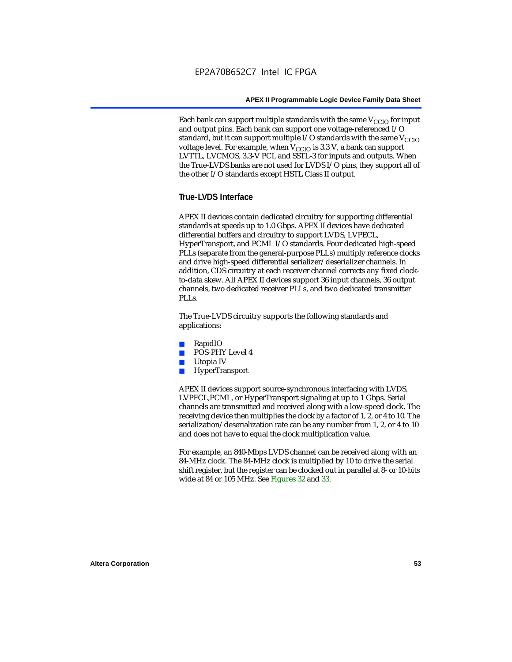Each bank can support multiple standards with the same  $V_{\text{CCIO}}$  for input and output pins. Each bank can support one voltage-referenced I/O standard, but it can support multiple I/O standards with the same  $V_{CCIO}$ voltage level. For example, when  $V_{CCIO}$  is 3.3 V, a bank can support LVTTL, LVCMOS, 3.3-V PCI, and SSTL-3 for inputs and outputs. When the True-LVDS banks are not used for LVDS I/O pins, they support all of the other I/O standards except HSTL Class II output.

# **True-LVDS Interface**

APEX II devices contain dedicated circuitry for supporting differential standards at speeds up to 1.0 Gbps. APEX II devices have dedicated differential buffers and circuitry to support LVDS, LVPECL, HyperTransport, and PCML I/O standards. Four dedicated high-speed PLLs (separate from the general-purpose PLLs) multiply reference clocks and drive high-speed differential serializer/deserializer channels. In addition, CDS circuitry at each receiver channel corrects any fixed clockto-data skew. All APEX II devices support 36 input channels, 36 output channels, two dedicated receiver PLLs, and two dedicated transmitter PLL<sub>s</sub>.

The True-LVDS circuitry supports the following standards and applications:

- RapidIO
- POS-PHY Level 4
- Utopia IV
- HyperTransport

APEX II devices support source-synchronous interfacing with LVDS, LVPECL,PCML, or HyperTransport signaling at up to 1 Gbps. Serial channels are transmitted and received along with a low-speed clock. The receiving device then multiplies the clock by a factor of 1, 2, or 4 to 10. The serialization/deserialization rate can be any number from 1, 2, or 4 to 10 and does not have to equal the clock multiplication value.

For example, an 840-Mbps LVDS channel can be received along with an 84-MHz clock. The 84-MHz clock is multiplied by 10 to drive the serial shift register, but the register can be clocked out in parallel at 8- or 10-bits wide at 84 or 105 MHz. See Figures 32 and 33.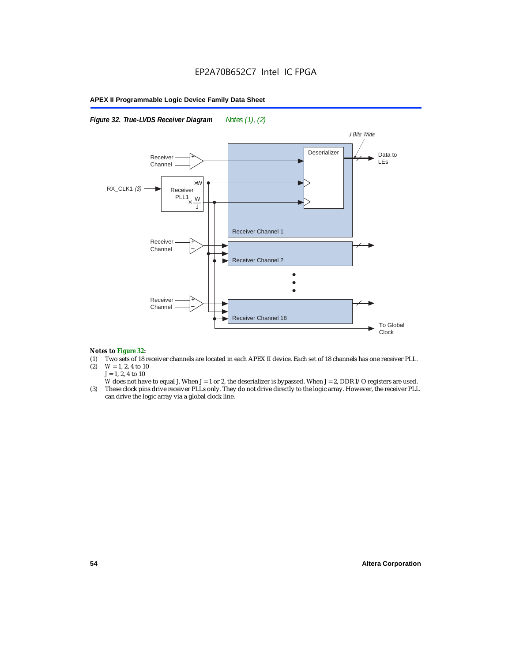*Figure 32. True-LVDS Receiver Diagram Notes (1), (2)*



#### *Notes to Figure 32:*

- (1) Two sets of 18 receiver channels are located in each APEX II device. Each set of 18 channels has one receiver PLL.<br>(2)  $W = 1, 2, 4$  to 10
- $W = 1, 2, 4$  to 10 *J* = 1, 2, 4 to 10
- *W* does not have to equal *J*. When *J* = 1 or 2, the deserializer is bypassed. When *J* = 2, DDR I/O registers are used.
- (3) These clock pins drive receiver PLLs only. They do not drive directly to the logic array. However, the receiver PLL can drive the logic array via a global clock line.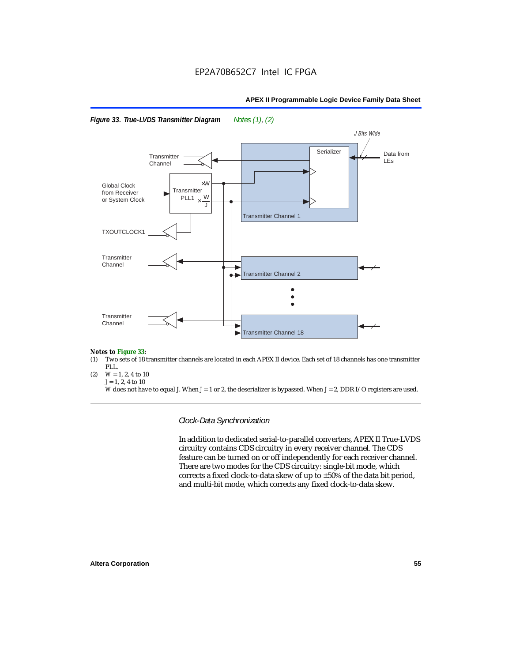



#### *Notes to Figure 33:*

- (1) Two sets of 18 transmitter channels are located in each APEX II device. Each set of 18 channels has one transmitter PLL.
- (2)  $W = 1, 2, 4$  to 10  $J = 1, 2, 4$  to 10

*W* does not have to equal *J*. When *J* = 1 or 2, the deserializer is bypassed. When *J* = 2, DDR I/O registers are used.

*Clock-Data Synchronization*

In addition to dedicated serial-to-parallel converters, APEX II True-LVDS circuitry contains CDS circuitry in every receiver channel. The CDS feature can be turned on or off independently for each receiver channel. There are two modes for the CDS circuitry: single-bit mode, which corrects a fixed clock-to-data skew of up to ±50% of the data bit period, and multi-bit mode, which corrects any fixed clock-to-data skew.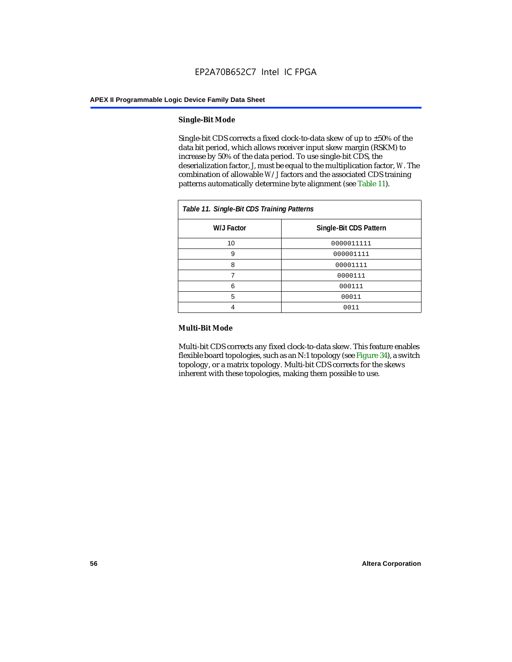#### **Single-Bit Mode**

Single-bit CDS corrects a fixed clock-to-data skew of up to  $\pm 50\%$  of the data bit period, which allows receiver input skew margin (RSKM) to increase by 50% of the data period. To use single-bit CDS, the deserialization factor, *J*, must be equal to the multiplication factor, *W*. The combination of allowable *W*/*J* factors and the associated CDS training patterns automatically determine byte alignment (see Table 11).

| Table 11. Single-Bit CDS Training Patterns |                        |  |  |
|--------------------------------------------|------------------------|--|--|
| W/J Factor                                 | Single-Bit CDS Pattern |  |  |
| 10                                         | 0000011111             |  |  |
| 9                                          | 000001111              |  |  |
| 8                                          | 00001111               |  |  |
|                                            | 0000111                |  |  |
| 6                                          | 000111                 |  |  |
| 5                                          | 00011                  |  |  |
|                                            | 0011                   |  |  |

#### **Multi-Bit Mode**

Multi-bit CDS corrects any fixed clock-to-data skew. This feature enables flexible board topologies, such as an N:1 topology (see Figure 34), a switch topology, or a matrix topology. Multi-bit CDS corrects for the skews inherent with these topologies, making them possible to use.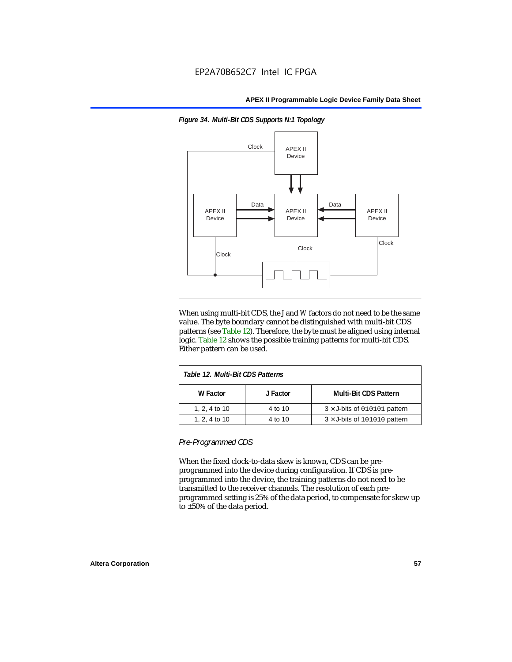

*Figure 34. Multi-Bit CDS Supports N:1 Topology*

When using multi-bit CDS, the *J* and *W* factors do not need to be the same value. The byte boundary cannot be distinguished with multi-bit CDS patterns (see Table 12). Therefore, the byte must be aligned using internal logic. Table 12 shows the possible training patterns for multi-bit CDS. Either pattern can be used.

| Table 12. Multi-Bit CDS Patterns |          |                                     |  |
|----------------------------------|----------|-------------------------------------|--|
| W Factor                         | J Factor | <b>Multi-Bit CDS Pattern</b>        |  |
| 1, 2, 4 to 10                    | 4 to 10  | $3 \times$ J-bits of 010101 pattern |  |
| 1, 2, 4 to 10                    | 4 to 10  | $3 \times$ J-bits of 101010 pattern |  |

*Pre-Programmed CDS*

When the fixed clock-to-data skew is known, CDS can be preprogrammed into the device during configuration. If CDS is preprogrammed into the device, the training patterns do not need to be transmitted to the receiver channels. The resolution of each preprogrammed setting is 25% of the data period, to compensate for skew up to ±50% of the data period.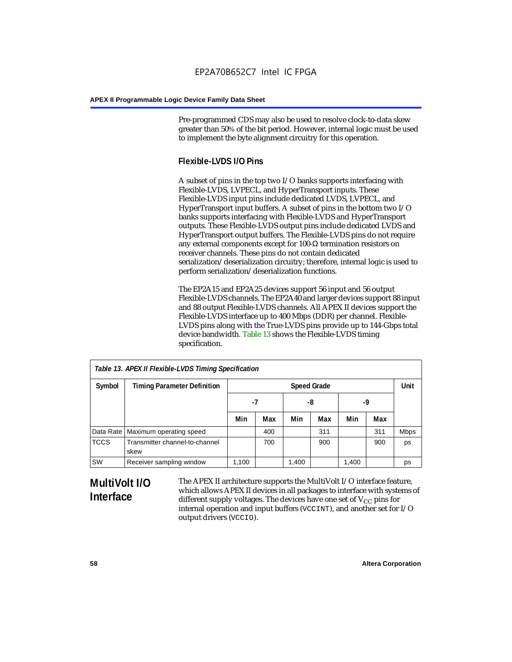Pre-programmed CDS may also be used to resolve clock-to-data skew greater than 50% of the bit period. However, internal logic must be used to implement the byte alignment circuitry for this operation.

# **Flexible-LVDS I/O Pins**

A subset of pins in the top two I/O banks supports interfacing with Flexible-LVDS, LVPECL, and HyperTransport inputs. These Flexible-LVDS input pins include dedicated LVDS, LVPECL, and HyperTransport input buffers. A subset of pins in the bottom two I/O banks supports interfacing with Flexible-LVDS and HyperTransport outputs. These Flexible-LVDS output pins include dedicated LVDS and HyperTransport output buffers. The Flexible-LVDS pins do not require any external components except for 100-Ω termination resistors on receiver channels. These pins do not contain dedicated serialization/deserialization circuitry; therefore, internal logic is used to perform serialization/deserialization functions.

The EP2A15 and EP2A25 devices support 56 input and 56 output Flexible-LVDS channels. The EP2A40 and larger devices support 88 input and 88 output Flexible-LVDS channels. All APEX II devices support the Flexible-LVDS interface up to 400 Mbps (DDR) per channel. Flexible-LVDS pins along with the True-LVDS pins provide up to 144-Gbps total device bandwidth. Table 13 shows the Flexible-LVDS timing specification.

| Table 13. APEX II Flexible-LVDS Timing Specification |                                        |                    |     |       |     |       |      |             |
|------------------------------------------------------|----------------------------------------|--------------------|-----|-------|-----|-------|------|-------------|
| Symbol                                               | <b>Timing Parameter Definition</b>     | <b>Speed Grade</b> |     |       |     |       | Unit |             |
|                                                      |                                        | -7                 |     | -8    |     | -9    |      |             |
|                                                      |                                        | Min                | Max | Min   | Max | Min   | Max  |             |
|                                                      | Data Rate   Maximum operating speed    |                    | 400 |       | 311 |       | 311  | <b>Mbps</b> |
| <b>TCCS</b>                                          | Transmitter channel-to-channel<br>skew |                    | 700 |       | 900 |       | 900  | ps          |
| SW                                                   | Receiver sampling window               | 1,100              |     | 1,400 |     | 1,400 |      | ps          |

# **MultiVolt I/O Interface**

The APEX II architecture supports the MultiVolt I/O interface feature, which allows APEX II devices in all packages to interface with systems of different supply voltages. The devices have one set of  $V_{CC}$  pins for internal operation and input buffers (VCCINT), and another set for I/O output drivers (VCCIO).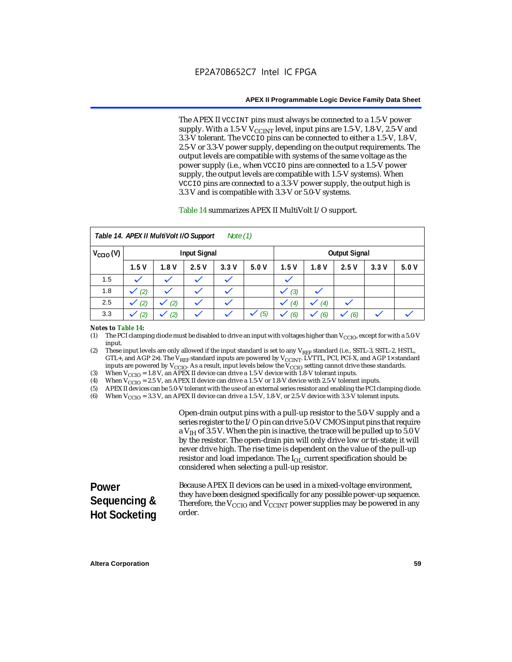The APEX II VCCINT pins must always be connected to a 1.5-V power supply. With a 1.5-V  $V_{\text{CCINT}}$  level, input pins are 1.5-V, 1.8-V, 2.5-V and 3.3-V tolerant. The VCCIO pins can be connected to either a 1.5-V, 1.8-V, 2.5-V or 3.3-V power supply, depending on the output requirements. The output levels are compatible with systems of the same voltage as the power supply (i.e., when VCCIO pins are connected to a 1.5-V power supply, the output levels are compatible with 1.5-V systems). When VCCIO pins are connected to a 3.3-V power supply, the output high is 3.3 V and is compatible with 3.3-V or 5.0-V systems.

#### Table 14 summarizes APEX II MultiVolt I/O support.

|                      |      | Table 14. APEX II MultiVolt I/O Support |                     | Note $(1)$ |      |      |      |                      |      |      |
|----------------------|------|-----------------------------------------|---------------------|------------|------|------|------|----------------------|------|------|
| $V_{\text{CCIO}}(V)$ |      |                                         | <b>Input Signal</b> |            |      |      |      | <b>Output Signal</b> |      |      |
|                      | 1.5V | 1.8V                                    | 2.5V                | 3.3V       | 5.0V | 1.5V | 1.8V | 2.5V                 | 3.3V | 5.0V |
| 1.5                  |      |                                         |                     |            |      |      |      |                      |      |      |
| 1.8                  | (2)  |                                         |                     |            |      | (3)  |      |                      |      |      |
| 2.5                  | (2)  | (2)                                     |                     | k.         |      | (4)  | (4)  |                      |      |      |
| 3.3                  | (2)  | (2)                                     |                     |            | (5)  | (6)  | (6)  | (6)                  |      |      |

#### *Notes to Table 14:*

(1) The PCI clamping diode must be disabled to drive an input with voltages higher than  $V_{\rm CClO}$ , except for with a 5.0-V input.

(2) These input levels are only allowed if the input standard is set to any V<sub>REF</sub> standard (i.e., SSTL-3, SSTL-2, HSTL, GTL+, and AGP 2×). The V<sub>REF</sub> standard inputs are powered by V<sub>CCINT</sub>. LVTTL, PCI, PCI-X, and AGP 1× standard inputs are powered by  $V_{\text{CCIO}}$ . As a result, input levels below the  $V_{\text{CCIO}}$  setting cannot drive these standards.

(3) When  $V_{\text{CCIO}} = 1.8$  V, an APEX II device can drive a 1.5-V device with 1.8-V tolerant inputs.<br>(4) When  $V_{\text{CCIO}} = 2.5$  V, an APEX II device can drive a 1.5-V or 1.8-V device with 2.5-V toleran

(4) When  $V_{\text{CCIO}} = 2.5$  V, an APEX II device can drive a 1.5-V or 1.8-V device with 2.5-V tolerant inputs.<br>(5) APEX II devices can be 5.0-V tolerant with the use of an external series resistor and enabling the PCI cl

APEX II devices can be 5.0-V tolerant with the use of an external series resistor and enabling the PCI clamping diode.

(6) When  $V_{\text{CCIO}} = 3.3$  V, an APEX II device can drive a 1.5-V, 1.8-V, or 2.5-V device with 3.3-V tolerant inputs.

Open-drain output pins with a pull-up resistor to the 5.0-V supply and a series register to the I/O pin can drive 5.0-V CMOS input pins that require a  $V<sub>IH</sub>$  of 3.5 V. When the pin is inactive, the trace will be pulled up to 5.0 V by the resistor. The open-drain pin will only drive low or tri-state; it will never drive high. The rise time is dependent on the value of the pull-up resistor and load impedance. The  $I_{OL}$  current specification should be considered when selecting a pull-up resistor.

| <b>Power</b>         | Because APEX II devices can be used in a mixed-voltage environment.                                                                                                      |
|----------------------|--------------------------------------------------------------------------------------------------------------------------------------------------------------------------|
| Sequencing &         | they have been designed specifically for any possible power-up sequence.<br>Therefore, the $V_{\text{CCIO}}$ and $V_{\text{CCINT}}$ power supplies may be powered in any |
| <b>Hot Socketing</b> | order.                                                                                                                                                                   |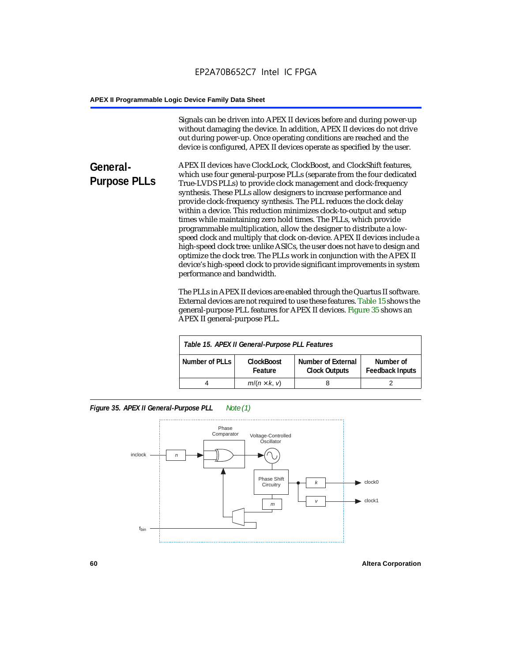Signals can be driven into APEX II devices before and during power-up without damaging the device. In addition, APEX II devices do not drive out during power-up. Once operating conditions are reached and the device is configured, APEX II devices operate as specified by the user.

**General-Purpose PLLs** APEX II devices have ClockLock, ClockBoost, and ClockShift features, which use four general-purpose PLLs (separate from the four dedicated True-LVDS PLLs) to provide clock management and clock-frequency synthesis. These PLLs allow designers to increase performance and provide clock-frequency synthesis. The PLL reduces the clock delay within a device. This reduction minimizes clock-to-output and setup times while maintaining zero hold times. The PLLs, which provide programmable multiplication, allow the designer to distribute a lowspeed clock and multiply that clock on-device. APEX II devices include a high-speed clock tree: unlike ASICs, the user does not have to design and optimize the clock tree. The PLLs work in conjunction with the APEX II device's high-speed clock to provide significant improvements in system performance and bandwidth.

> The PLLs in APEX II devices are enabled through the Quartus II software. External devices are not required to use these features. Table 15 shows the general-purpose PLL features for APEX II devices. Figure 35 shows an APEX II general-purpose PLL.

|                | Table 15. APEX II General-Purpose PLL Features |                                                   |                                     |
|----------------|------------------------------------------------|---------------------------------------------------|-------------------------------------|
| Number of PLLs | <b>ClockBoost</b><br>Feature                   | <b>Number of External</b><br><b>Clock Outputs</b> | Number of<br><b>Feedback Inputs</b> |
|                | $m/(n \times k, v)$                            |                                                   |                                     |

*Figure 35. APEX II General-Purpose PLL Note (1)*

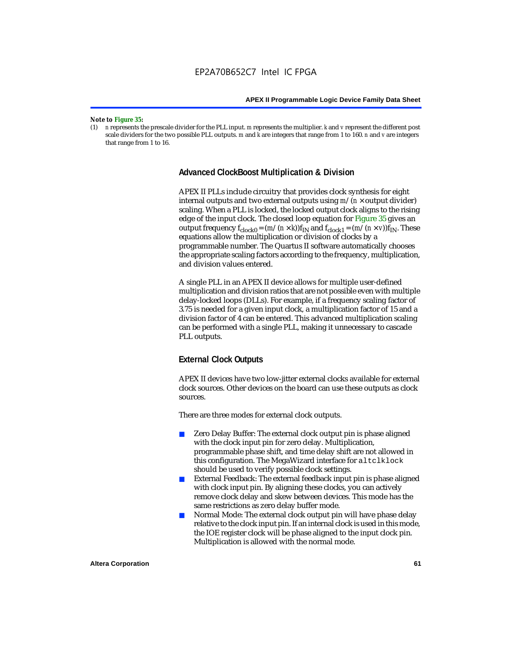#### *Note to Figure 35:*

(1) *n* represents the prescale divider for the PLL input. *m* represents the multiplier. *k* and *v* represent the different post scale dividers for the two possible PLL outputs. *m* and *k* are integers that range from 1 to 160. *n* and *v* are integers that range from 1 to 16.

#### **Advanced ClockBoost Multiplication & Division**

APEX II PLLs include circuitry that provides clock synthesis for eight internal outputs and two external outputs using  $m/(n \times$  output divider) scaling. When a PLL is locked, the locked output clock aligns to the rising edge of the input clock. The closed loop equation for Figure 35 gives an output frequency  $f_{clock0} = (m/(n \times k))f_{IN}$  and  $f_{clock1} = (m/(n \times v))f_{IN}$ . These equations allow the multiplication or division of clocks by a programmable number. The Quartus II software automatically chooses the appropriate scaling factors according to the frequency, multiplication, and division values entered.

A single PLL in an APEX II device allows for multiple user-defined multiplication and division ratios that are not possible even with multiple delay-locked loops (DLLs). For example, if a frequency scaling factor of 3.75 is needed for a given input clock, a multiplication factor of 15 and a division factor of 4 can be entered. This advanced multiplication scaling can be performed with a single PLL, making it unnecessary to cascade PLL outputs.

# **External Clock Outputs**

APEX II devices have two low-jitter external clocks available for external clock sources. Other devices on the board can use these outputs as clock sources.

There are three modes for external clock outputs.

- Zero Delay Buffer: The external clock output pin is phase aligned with the clock input pin for zero delay. Multiplication, programmable phase shift, and time delay shift are not allowed in this configuration. The MegaWizard interface for altclklock should be used to verify possible clock settings.
- External Feedback: The external feedback input pin is phase aligned with clock input pin. By aligning these clocks, you can actively remove clock delay and skew between devices. This mode has the same restrictions as zero delay buffer mode.
- Normal Mode: The external clock output pin will have phase delay relative to the clock input pin. If an internal clock is used in this mode, the IOE register clock will be phase aligned to the input clock pin. Multiplication is allowed with the normal mode.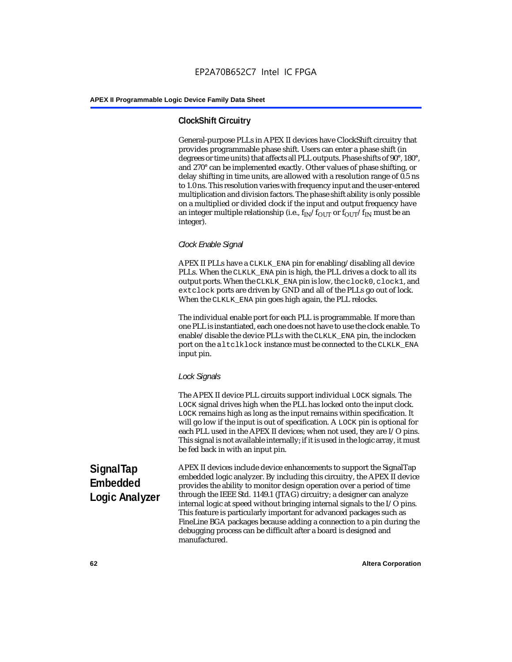# **ClockShift Circuitry**

General-purpose PLLs in APEX II devices have ClockShift circuitry that provides programmable phase shift. Users can enter a phase shift (in degrees or time units) that affects all PLL outputs. Phase shifts of 90°, 180°, and 270° can be implemented exactly. Other values of phase shifting, or delay shifting in time units, are allowed with a resolution range of 0.5 ns to 1.0 ns. This resolution varies with frequency input and the user-entered multiplication and division factors. The phase shift ability is only possible on a multiplied or divided clock if the input and output frequency have an integer multiple relationship (i.e.,  $f_{IN}/f_{OUT}$  or  $f_{OUT}/f_{IN}$  must be an integer).

## *Clock Enable Signal*

APEX II PLLs have a CLKLK\_ENA pin for enabling/disabling all device PLLs. When the CLKLK\_ENA pin is high, the PLL drives a clock to all its output ports. When the CLKLK\_ENA pin is low, the clock0, clock1, and extclock ports are driven by GND and all of the PLLs go out of lock. When the CLKLK\_ENA pin goes high again, the PLL relocks.

The individual enable port for each PLL is programmable. If more than one PLL is instantiated, each one does not have to use the clock enable. To enable/disable the device PLLs with the CLKLK\_ENA pin, the inclocken port on the altclklock instance must be connected to the CLKLK\_ENA input pin.

#### *Lock Signals*

The APEX II device PLL circuits support individual LOCK signals. The LOCK signal drives high when the PLL has locked onto the input clock. LOCK remains high as long as the input remains within specification. It will go low if the input is out of specification. A LOCK pin is optional for each PLL used in the APEX II devices; when not used, they are I/O pins. This signal is not available internally; if it is used in the logic array, it must be fed back in with an input pin.

**SignalTap Embedded Logic Analyzer** APEX II devices include device enhancements to support the SignalTap embedded logic analyzer. By including this circuitry, the APEX II device provides the ability to monitor design operation over a period of time through the IEEE Std. 1149.1 (JTAG) circuitry; a designer can analyze internal logic at speed without bringing internal signals to the I/O pins. This feature is particularly important for advanced packages such as FineLine BGA packages because adding a connection to a pin during the debugging process can be difficult after a board is designed and manufactured.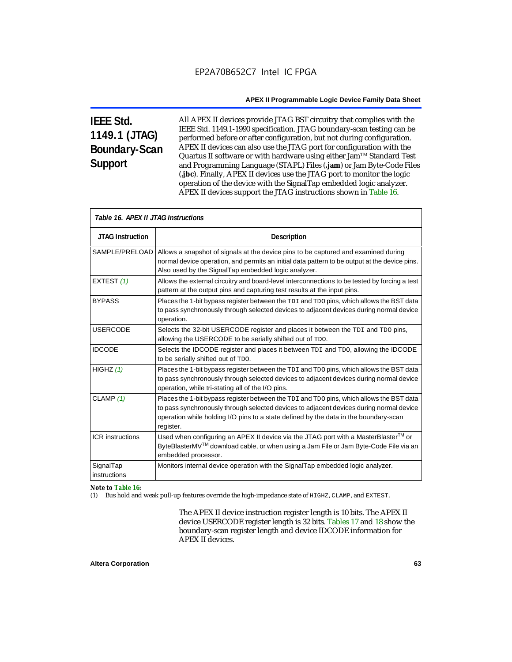# **IEEE Std. 1149.1 (JTAG) Boundary-Scan Support**

All APEX II devices provide JTAG BST circuitry that complies with the IEEE Std. 1149.1-1990 specification. JTAG boundary-scan testing can be performed before or after configuration, but not during configuration. APEX II devices can also use the JTAG port for configuration with the Quartus II software or with hardware using either Jam<sup>TM</sup> Standard Test and Programming Language (STAPL) Files (**.jam**) or Jam Byte-Code Files (**.jbc**). Finally, APEX II devices use the JTAG port to monitor the logic operation of the device with the SignalTap embedded logic analyzer. APEX II devices support the JTAG instructions shown in Table 16.

| Table 16. APEX II JTAG Instructions |                                                                                                                                                                                                                                                                                          |  |  |  |
|-------------------------------------|------------------------------------------------------------------------------------------------------------------------------------------------------------------------------------------------------------------------------------------------------------------------------------------|--|--|--|
| <b>JTAG Instruction</b>             | <b>Description</b>                                                                                                                                                                                                                                                                       |  |  |  |
| SAMPLE/PRELOAD                      | Allows a snapshot of signals at the device pins to be captured and examined during<br>normal device operation, and permits an initial data pattern to be output at the device pins.                                                                                                      |  |  |  |
|                                     | Also used by the SignalTap embedded logic analyzer.                                                                                                                                                                                                                                      |  |  |  |
| EXTEST (1)                          | Allows the external circuitry and board-level interconnections to be tested by forcing a test<br>pattern at the output pins and capturing test results at the input pins.                                                                                                                |  |  |  |
| <b>BYPASS</b>                       | Places the 1-bit bypass register between the TDI and TDO pins, which allows the BST data<br>to pass synchronously through selected devices to adjacent devices during normal device<br>operation.                                                                                        |  |  |  |
| <b>USERCODE</b>                     | Selects the 32-bit USERCODE register and places it between the TDI and TDO pins,<br>allowing the USERCODE to be serially shifted out of TDO.                                                                                                                                             |  |  |  |
| <b>IDCODE</b>                       | Selects the IDCODE register and places it between TDI and TDO, allowing the IDCODE<br>to be serially shifted out of TDO.                                                                                                                                                                 |  |  |  |
| HIGHZ $(1)$                         | Places the 1-bit bypass register between the TDI and TDO pins, which allows the BST data<br>to pass synchronously through selected devices to adjacent devices during normal device<br>operation, while tri-stating all of the I/O pins.                                                 |  |  |  |
| CLAMP $(1)$                         | Places the 1-bit bypass register between the TDI and TDO pins, which allows the BST data<br>to pass synchronously through selected devices to adjacent devices during normal device<br>operation while holding I/O pins to a state defined by the data in the boundary-scan<br>register. |  |  |  |
| <b>ICR</b> instructions             | Used when configuring an APEX II device via the JTAG port with a MasterBlaster™ or<br>ByteBlasterMV™ download cable, or when using a Jam File or Jam Byte-Code File via an<br>embedded processor.                                                                                        |  |  |  |
| SignalTap<br>instructions           | Monitors internal device operation with the SignalTap embedded logic analyzer.                                                                                                                                                                                                           |  |  |  |

#### *Note to Table 16:*

(1) Bus hold and weak pull-up features override the high-impedance state of HIGHZ, CLAMP, and EXTEST.

The APEX II device instruction register length is 10 bits. The APEX II device USERCODE register length is 32 bits. Tables 17 and 18 show the boundary-scan register length and device IDCODE information for APEX II devices.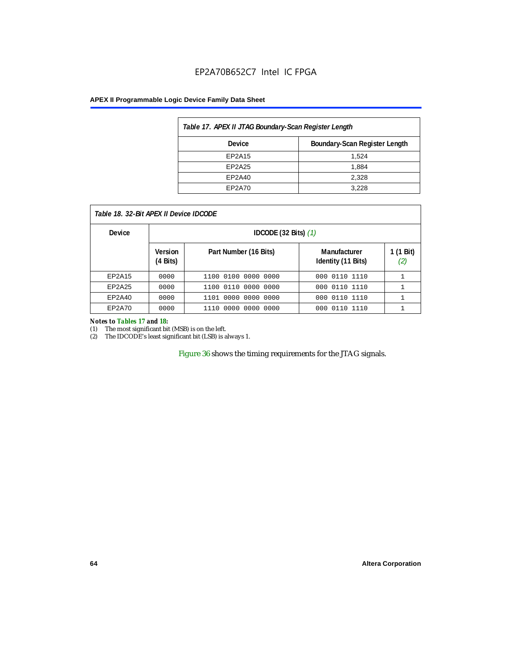# EP2A70B652C7 Intel IC FPGA

#### **APEX II Programmable Logic Device Family Data Sheet**

| Table 17. APEX II JTAG Boundary-Scan Register Length |       |  |  |  |
|------------------------------------------------------|-------|--|--|--|
| Boundary-Scan Register Length<br>Device              |       |  |  |  |
| EP2A15                                               | 1,524 |  |  |  |
| EP2A25                                               | 1,884 |  |  |  |
| EP2A40                                               | 2,328 |  |  |  |
| EP2A70                                               | 3.228 |  |  |  |

| Table 18. 32-Bit APEX II Device IDCODE |                            |                               |                                    |                  |  |  |
|----------------------------------------|----------------------------|-------------------------------|------------------------------------|------------------|--|--|
| <b>Device</b>                          | IDCODE (32 Bits) $(1)$     |                               |                                    |                  |  |  |
|                                        | <b>Version</b><br>(4 Bits) | Part Number (16 Bits)         | Manufacturer<br>Identity (11 Bits) | 1 (1 Bit)<br>(2) |  |  |
| EP2A15                                 | 0000                       | 1100 0100 0000 0000           | 0110 1110<br>000                   |                  |  |  |
| EP2A25                                 | 0000                       | 0110<br>0000 0000<br>1100     | 0110 1110<br>000                   |                  |  |  |
| EP2A40                                 | 0000                       | 1101 0000 0000 0000           | 000 0110 1110                      |                  |  |  |
| EP2A70                                 | 0000                       | 0000<br>. 0000 . 0000<br>1110 | 000 0110 1110                      |                  |  |  |

#### *Notes to Tables 17 and 18:*

(1) The most significant bit (MSB) is on the left.

(2) The IDCODE's least significant bit (LSB) is always 1.

Figure 36 shows the timing requirements for the JTAG signals.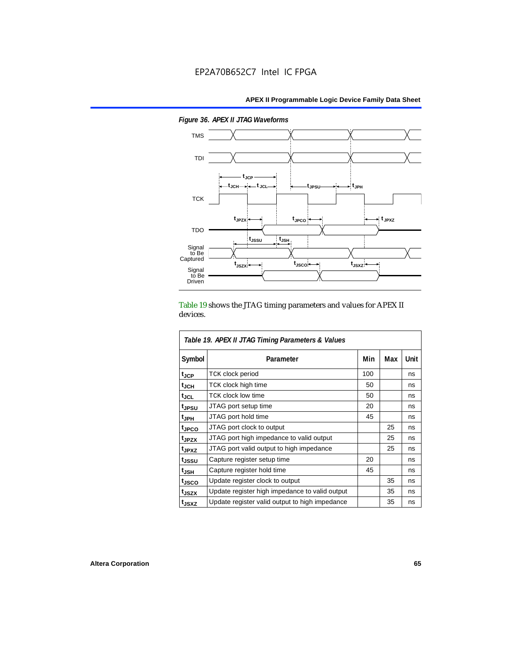

*Figure 36. APEX II JTAG Waveforms*

Table 19 shows the JTAG timing parameters and values for APEX II devices.

| Table 19. APEX II JTAG Timing Parameters & Values |                                                |     |     |      |  |
|---------------------------------------------------|------------------------------------------------|-----|-----|------|--|
| Symbol                                            | Parameter                                      | Min | Max | Unit |  |
| $t_{\sf JCP}$                                     | <b>TCK clock period</b>                        | 100 |     | ns   |  |
| $t_{JCH}$                                         | TCK clock high time                            | 50  |     | ns   |  |
| tjcl                                              | TCK clock low time                             | 50  |     | ns   |  |
| t <sub>JPSU</sub>                                 | JTAG port setup time                           | 20  |     | ns   |  |
| t <sub>JPH</sub>                                  | JTAG port hold time                            | 45  |     | ns   |  |
| <sup>t</sup> JPCO                                 | JTAG port clock to output                      |     | 25  | ns   |  |
| t <sub>JPZX</sub>                                 | JTAG port high impedance to valid output       |     | 25  | ns   |  |
| t <sub>JPXZ</sub>                                 | JTAG port valid output to high impedance       |     | 25  | ns   |  |
| tjssu                                             | Capture register setup time                    | 20  |     | ns   |  |
| $t_{\mathsf{JSH}}$                                | Capture register hold time                     | 45  |     | ns   |  |
| tjsco                                             | Update register clock to output                |     | 35  | ns   |  |
| t <sub>JSZX</sub>                                 | Update register high impedance to valid output |     | 35  | ns   |  |
| t <sub>JSXZ</sub>                                 | Update register valid output to high impedance |     | 35  | ns   |  |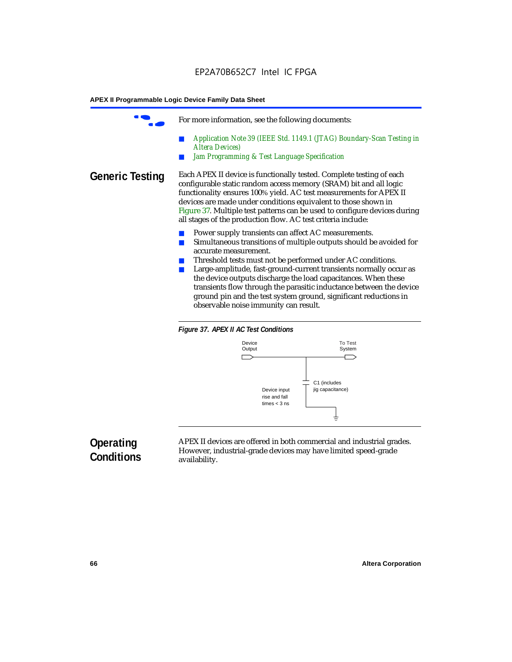For more information, see the following documents: ■ *Application Note 39 (IEEE Std. 1149.1 (JTAG) Boundary-Scan Testing in Altera Devices) Jam Programming & Test Language Specification* **Generic Testing** Each APEX II device is functionally tested. Complete testing of each configurable static random access memory (SRAM) bit and all logic functionality ensures 100% yield. AC test measurements for APEX II devices are made under conditions equivalent to those shown in Figure 37. Multiple test patterns can be used to configure devices during all stages of the production flow. AC test criteria include: Power supply transients can affect AC measurements. ■ Simultaneous transitions of multiple outputs should be avoided for accurate measurement. Threshold tests must not be performed under AC conditions. ■ Large-amplitude, fast-ground-current transients normally occur as the device outputs discharge the load capacitances. When these transients flow through the parasitic inductance between the device ground pin and the test system ground, significant reductions in

observable noise immunity can result.





# **Operating Conditions**

APEX II devices are offered in both commercial and industrial grades. However, industrial-grade devices may have limited speed-grade availability.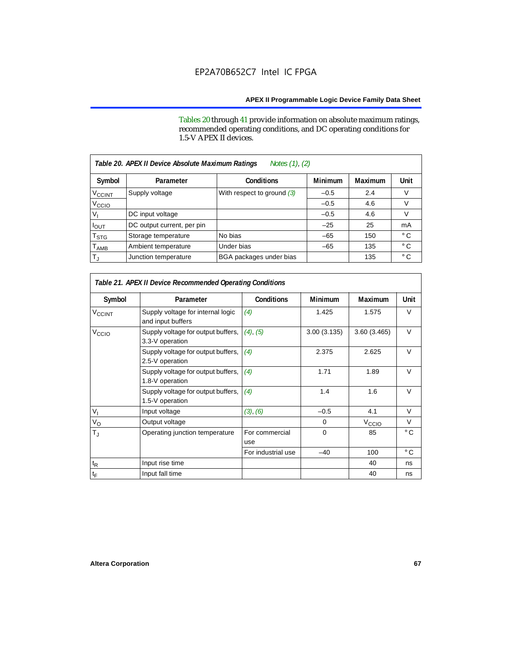Tables 20 through 41 provide information on absolute maximum ratings, recommended operating conditions, and DC operating conditions for 1.5-V APEX II devices.

|                             | Notes (1), (2)<br>Table 20. APEX II Device Absolute Maximum Ratings |                              |                |         |              |  |  |
|-----------------------------|---------------------------------------------------------------------|------------------------------|----------------|---------|--------------|--|--|
| Symbol                      | Parameter                                                           | <b>Conditions</b>            | <b>Minimum</b> | Maximum | Unit         |  |  |
| $V_{\text{CCINT}}$          | Supply voltage                                                      | With respect to ground $(3)$ | $-0.5$         | 2.4     | V            |  |  |
| V <sub>CCIO</sub>           |                                                                     |                              | $-0.5$         | 4.6     | V            |  |  |
| v,                          | DC input voltage                                                    |                              | $-0.5$         | 4.6     | V            |  |  |
| <b>POUT</b>                 | DC output current, per pin                                          |                              | $-25$          | 25      | mA           |  |  |
| T <sub>STG</sub>            | Storage temperature                                                 | No bias                      | $-65$          | 150     | $^{\circ}$ C |  |  |
| $\mathsf{T}_{\mathsf{AMB}}$ | Ambient temperature                                                 | Under bias                   | $-65$          | 135     | $^{\circ}$ C |  |  |
| $T_{\rm J}$                 | Junction temperature                                                | BGA packages under bias      |                | 135     | $^{\circ}$ C |  |  |

|                             | Table 21. APEX II Device Recommended Operating Conditions |                       |                |                   |              |  |  |
|-----------------------------|-----------------------------------------------------------|-----------------------|----------------|-------------------|--------------|--|--|
| Symbol                      | Parameter                                                 | <b>Conditions</b>     | <b>Minimum</b> | <b>Maximum</b>    | Unit         |  |  |
| $V_{CCINT}$                 | Supply voltage for internal logic<br>and input buffers    | (4)                   | 1.425          | 1.575             | $\vee$       |  |  |
| V <sub>CCIO</sub>           | Supply voltage for output buffers,<br>3.3-V operation     | (4), (5)              | 3.00(3.135)    | 3.60(3.465)       | $\vee$       |  |  |
|                             | Supply voltage for output buffers,<br>2.5-V operation     | (4)                   | 2.375          | 2.625             | $\vee$       |  |  |
|                             | Supply voltage for output buffers,<br>1.8-V operation     | (4)                   | 1.71           | 1.89              | $\vee$       |  |  |
|                             | Supply voltage for output buffers,<br>1.5-V operation     | (4)                   | 1.4            | 1.6               | $\vee$       |  |  |
| $V_{\parallel}$             | Input voltage                                             | (3), (6)              | $-0.5$         | 4.1               | V            |  |  |
| $V_{\rm O}$                 | Output voltage                                            |                       | 0              | V <sub>CCIO</sub> | V            |  |  |
| $T_{\rm J}$                 | Operating junction temperature                            | For commercial<br>use | $\Omega$       | 85                | $^{\circ}$ C |  |  |
|                             |                                                           | For industrial use    | $-40$          | 100               | $^{\circ}$ C |  |  |
| $\mathfrak{t}_{\mathsf{R}}$ | Input rise time                                           |                       |                | 40                | ns           |  |  |
| $t_{\mathsf{F}}$            | Input fall time                                           |                       |                | 40                | ns           |  |  |

Г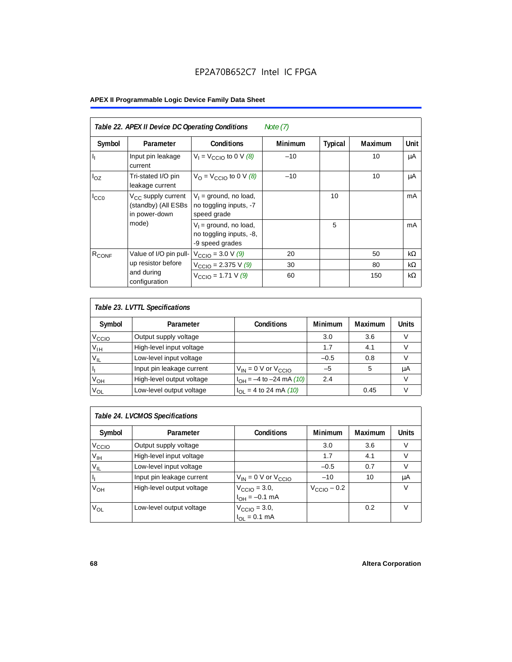| <b>APEX II Programmable Logic Device Family Data Sheet</b> |  |  |  |
|------------------------------------------------------------|--|--|--|
|------------------------------------------------------------|--|--|--|

|                           | Table 22. APEX II Device DC Operating Conditions<br>Note $(7)$         |                                                                        |                |                |                |           |  |
|---------------------------|------------------------------------------------------------------------|------------------------------------------------------------------------|----------------|----------------|----------------|-----------|--|
| Symbol                    | Parameter                                                              | <b>Conditions</b>                                                      | <b>Minimum</b> | <b>Typical</b> | <b>Maximum</b> | Unit      |  |
| $\mathbf{I}_{\mathbf{I}}$ | Input pin leakage<br>current                                           | $V_1 = V_{\text{CCIO}}$ to 0 V $(8)$                                   | $-10$          |                | 10             | μA        |  |
| $I_{OZ}$                  | Tri-stated I/O pin<br>leakage current                                  | $V_{\text{O}} = V_{\text{CCIO}}$ to 0 V (8)                            | $-10$          |                | 10             | μA        |  |
| $I_{CC0}$                 | V <sub>CC</sub> supply current<br>(standby) (All ESBs<br>in power-down | $V_1$ = ground, no load,<br>no toggling inputs, -7<br>speed grade      |                | 10             |                | mA        |  |
|                           | mode)                                                                  | $V_1$ = ground, no load,<br>no toggling inputs, -8,<br>-9 speed grades |                | 5              |                | mA        |  |
| $R_{CONF}$                | Value of I/O pin pull-                                                 | $V_{\text{CCIO}} = 3.0 \text{ V } (9)$                                 | 20             |                | 50             | $k\Omega$ |  |
|                           | up resistor before                                                     | $V_{\text{CCIO}} = 2.375 \text{ V} (9)$                                | 30             |                | 80             | $k\Omega$ |  |
|                           | and during<br>configuration                                            | $V_{\text{CCIO}} = 1.71 V (9)$                                         | 60             |                | 150            | $k\Omega$ |  |

| Table 23. LVTTL Specifications |                           |                                |         |         |              |  |
|--------------------------------|---------------------------|--------------------------------|---------|---------|--------------|--|
| Symbol                         | Parameter                 | <b>Conditions</b>              | Minimum | Maximum | <b>Units</b> |  |
| V <sub>CCIO</sub>              | Output supply voltage     |                                | 3.0     | 3.6     |              |  |
| $V_{IH}$                       | High-level input voltage  |                                | 1.7     | 4.1     |              |  |
| $V_{IL}$                       | Low-level input voltage   |                                | $-0.5$  | 0.8     |              |  |
| H                              | Input pin leakage current | $V_{IN} = 0$ V or $V_{CCIO}$   | $-5$    | 5       | μA           |  |
| $V_{OH}$                       | High-level output voltage | $I_{OH} = -4$ to $-24$ mA (10) | 2.4     |         | V            |  |
| $V_{OL}$                       | Low-level output voltage  | $I_{OL}$ = 4 to 24 mA (10)     |         | 0.45    |              |  |

| Table 24. LVCMOS Specifications |                           |                                                               |                         |                |        |  |
|---------------------------------|---------------------------|---------------------------------------------------------------|-------------------------|----------------|--------|--|
| Symbol                          | Parameter                 | <b>Conditions</b>                                             | Minimum                 | <b>Maximum</b> | Units  |  |
| V <sub>CCIO</sub>               | Output supply voltage     |                                                               | 3.0                     | 3.6            | v      |  |
| $V_{\text{IH}}$                 | High-level input voltage  |                                                               | 1.7                     | 4.1            | $\vee$ |  |
| $V_{IL}$                        | Low-level input voltage   |                                                               | $-0.5$                  | 0.7            | V      |  |
| H,                              | Input pin leakage current | $V_{IN}$ = 0 V or $V_{CCIO}$                                  | $-10$                   | 10             | μA     |  |
| $V_{OH}$                        | High-level output voltage | $V_{\text{CCIO}} = 3.0,$<br>$I_{\text{OH}} = -0.1 \text{ mA}$ | $V_{\text{CCIO}} - 0.2$ |                | v      |  |
| $V_{OL}$                        | Low-level output voltage  | $V_{\text{CCIO}} = 3.0,$<br>$I_{OL} = 0.1$ mA                 |                         | 0.2            | V      |  |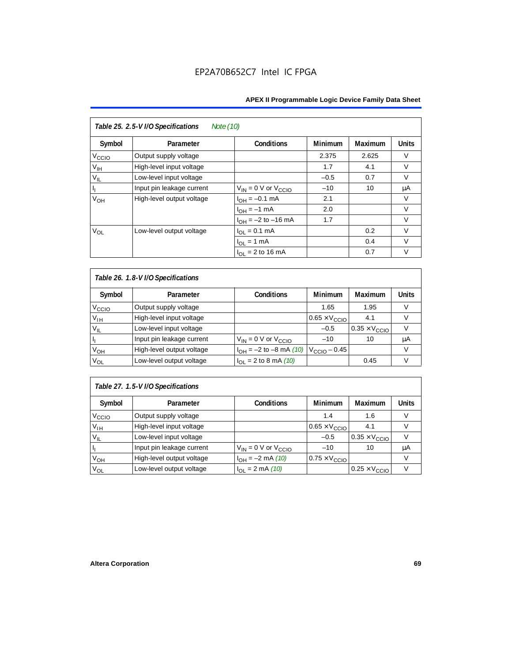| Table 25. 2.5-V I/O Specifications<br>Note (10) |                           |                              |                |         |              |  |
|-------------------------------------------------|---------------------------|------------------------------|----------------|---------|--------------|--|
| Symbol                                          | Parameter                 | <b>Conditions</b>            | <b>Minimum</b> | Maximum | <b>Units</b> |  |
| V <sub>ccio</sub>                               | Output supply voltage     |                              | 2.375          | 2.625   | $\vee$       |  |
| $V_{\text{IH}}$                                 | High-level input voltage  |                              | 1.7            | 4.1     | $\vee$       |  |
| $V_{IL}$                                        | Low-level input voltage   |                              | $-0.5$         | 0.7     | $\vee$       |  |
| $\mathsf{I}_\mathrm{L}$                         | Input pin leakage current | $V_{IN} = 0$ V or $V_{CCIO}$ | $-10$          | 10      | μA           |  |
| V <sub>OH</sub>                                 | High-level output voltage | $I_{OH} = -0.1$ mA           | 2.1            |         | V            |  |
|                                                 |                           | $I_{OH} = -1$ mA             | 2.0            |         | $\vee$       |  |
|                                                 |                           | $I_{OH} = -2$ to $-16$ mA    | 1.7            |         | $\vee$       |  |
| $V_{OL}$                                        | Low-level output voltage  | $I_{OL} = 0.1$ mA            |                | 0.2     | $\vee$       |  |
|                                                 |                           | $I_{OL}$ = 1 mA              |                | 0.4     | $\vee$       |  |
|                                                 |                           | $I_{\Omega I}$ = 2 to 16 mA  |                | 0.7     | v            |  |

| Table 26. 1.8-V I/O Specifications |                           |                                                 |                               |                               |              |  |
|------------------------------------|---------------------------|-------------------------------------------------|-------------------------------|-------------------------------|--------------|--|
| Symbol                             | Parameter                 | <b>Conditions</b>                               | <b>Minimum</b>                | Maximum                       | <b>Units</b> |  |
| V <sub>ccio</sub>                  | Output supply voltage     |                                                 | 1.65                          | 1.95                          | V            |  |
| $V_{IH}$                           | High-level input voltage  |                                                 | $0.65 \times V_{\text{CCIO}}$ | 4.1                           | V            |  |
| $V_{IL}$                           | Low-level input voltage   |                                                 | $-0.5$                        | $0.35 \times V_{\text{CCIO}}$ |              |  |
| П                                  | Input pin leakage current | $V_{IN} = 0$ V or $V_{CCIO}$                    | $-10$                         | 10                            | μA           |  |
| V <sub>OH</sub>                    | High-level output voltage | $I_{OH} = -2$ to $-8$ mA (10) $V_{CCIO} - 0.45$ |                               |                               | V            |  |
| $V_{OL}$                           | Low-level output voltage  | $I_{OL}$ = 2 to 8 mA (10)                       |                               | 0.45                          | V            |  |

# *Table 27. 1.5-V I/O Specifications*

| Symbol            | Parameter                 | <b>Conditions</b>            | <b>Minimum</b>                | <b>Maximum</b>                | <b>Units</b> |
|-------------------|---------------------------|------------------------------|-------------------------------|-------------------------------|--------------|
| V <sub>CCIO</sub> | Output supply voltage     |                              | 1.4                           | 1.6                           |              |
| $V_{\text{IH}}$   | High-level input voltage  |                              | $0.65 \times V_{\text{CCIO}}$ | 4.1                           |              |
| $V_{IL}$          | Low-level input voltage   |                              | $-0.5$                        | $0.35 \times V_{\text{CCIO}}$ |              |
| П                 | Input pin leakage current | $V_{IN} = 0$ V or $V_{CCIO}$ | $-10$                         | 10                            | μA           |
| V <sub>OH</sub>   | High-level output voltage | $I_{OH} = -2$ mA (10)        | $0.75 \times V_{\text{CCIO}}$ |                               |              |
| $V_{OL}$          | Low-level output voltage  | $I_{OL} = 2 \text{ mA} (10)$ |                               | $0.25 \times V_{\text{CCIO}}$ |              |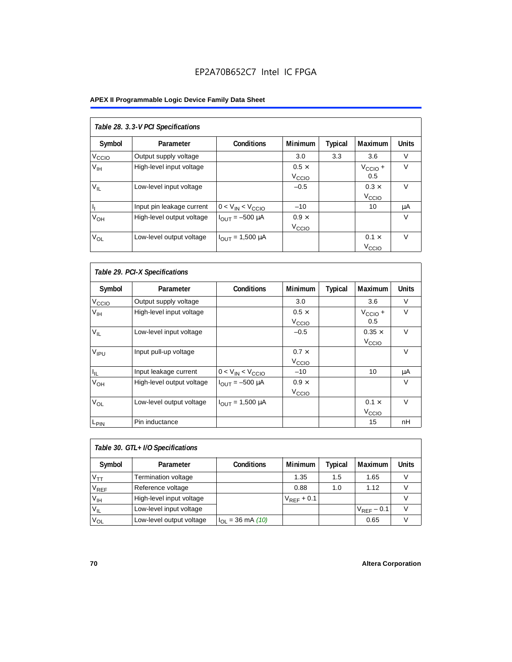# EP2A70B652C7 Intel IC FPGA

# **APEX II Programmable Logic Device Family Data Sheet**

| Table 28. 3.3-V PCI Specifications |                           |                                |                                   |         |                                   |              |  |  |
|------------------------------------|---------------------------|--------------------------------|-----------------------------------|---------|-----------------------------------|--------------|--|--|
| Symbol                             | Parameter                 | <b>Conditions</b>              | <b>Minimum</b>                    | Typical | Maximum                           | <b>Units</b> |  |  |
| V <sub>CCIO</sub>                  | Output supply voltage     |                                | 3.0                               | 3.3     | 3.6                               | V            |  |  |
| V <sub>IH</sub>                    | High-level input voltage  |                                | $0.5 \times$<br>V <sub>CCIO</sub> |         | $V_{\text{CCIO}} +$<br>0.5        | $\vee$       |  |  |
| $V_{IL}$                           | Low-level input voltage   |                                | $-0.5$                            |         | $0.3 \times$<br>V <sub>CCIO</sub> | $\vee$       |  |  |
| h,                                 | Input pin leakage current | $0 < V_{IN} < V_{CCIO}$        | $-10$                             |         | 10                                | μA           |  |  |
| $V_{OH}$                           | High-level output voltage | $I_{OUIT} = -500 \mu A$        | $0.9 \times$<br>V <sub>CCIO</sub> |         |                                   | $\vee$       |  |  |
| $V_{OL}$                           | Low-level output voltage  | $I_{\text{OUT}} = 1,500 \mu A$ |                                   |         | $0.1 \times$<br>V <sub>ccio</sub> | $\vee$       |  |  |

| Table 29. PCI-X Specifications |                           |                                |                                   |         |                                    |              |  |  |
|--------------------------------|---------------------------|--------------------------------|-----------------------------------|---------|------------------------------------|--------------|--|--|
| Symbol                         | Parameter                 | <b>Conditions</b>              | <b>Minimum</b>                    | Typical | Maximum                            | <b>Units</b> |  |  |
| V <sub>ccio</sub>              | Output supply voltage     |                                | 3.0                               |         | 3.6                                | $\vee$       |  |  |
| $V_{\text{IH}}$                | High-level input voltage  |                                | $0.5 \times$<br>V <sub>CCIO</sub> |         | $V_{\text{CCIO}} +$<br>0.5         | $\vee$       |  |  |
| $V_{IL}$                       | Low-level input voltage   |                                | $-0.5$                            |         | $0.35 \times$<br>V <sub>CCIO</sub> | $\vee$       |  |  |
| V <sub>IPU</sub>               | Input pull-up voltage     |                                | $0.7 \times$<br>V <sub>CCIO</sub> |         |                                    | $\vee$       |  |  |
| $I_{\parallel L}$              | Input leakage current     | $0 < V_{IN} < V_{CCIO}$        | $-10$                             |         | 10                                 | μA           |  |  |
| V <sub>OH</sub>                | High-level output voltage | $I_{\text{OUT}} = -500 \mu A$  | $0.9 \times$<br>V <sub>CCIO</sub> |         |                                    | $\vee$       |  |  |
| $V_{OL}$                       | Low-level output voltage  | $I_{\text{OUT}} = 1,500 \mu A$ |                                   |         | $0.1 \times$<br>V <sub>CCIO</sub>  | $\vee$       |  |  |
| L <sub>PIN</sub>               | Pin inductance            |                                |                                   |         | 15                                 | nH           |  |  |

| Table 30. GTL+ I/O Specifications |                            |                             |                 |         |                 |       |  |
|-----------------------------------|----------------------------|-----------------------------|-----------------|---------|-----------------|-------|--|
| Symbol                            | Parameter                  | <b>Conditions</b>           | <b>Minimum</b>  | Typical | <b>Maximum</b>  | Units |  |
| $V_{TT}$                          | <b>Termination voltage</b> |                             | 1.35            | 1.5     | 1.65            |       |  |
| $V_{REF}$                         | Reference voltage          |                             | 0.88            | 1.0     | 1.12            |       |  |
| $V_{\text{IH}}$                   | High-level input voltage   |                             | $V_{REF}$ + 0.1 |         |                 |       |  |
| $V_{IL}$                          | Low-level input voltage    |                             |                 |         | $V_{REF}$ – 0.1 |       |  |
| <b>V<sub>OL</sub></b>             | Low-level output voltage   | $I_{\Omega I}$ = 36 mA (10) |                 |         | 0.65            |       |  |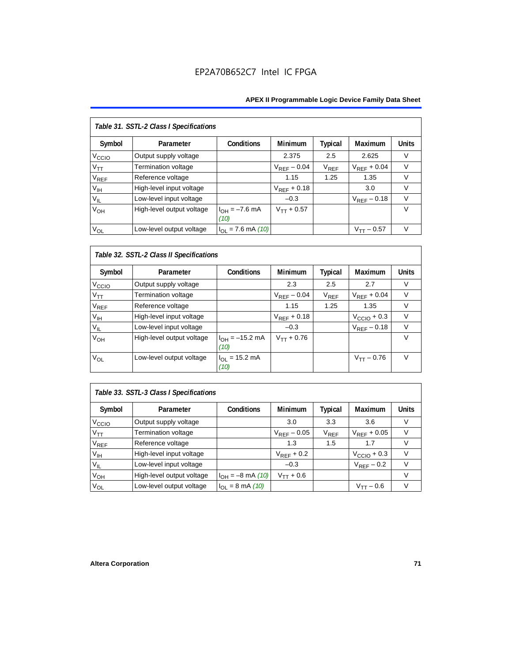| Table 31. SSTL-2 Class I Specifications |                            |                            |                  |                |                  |              |  |  |
|-----------------------------------------|----------------------------|----------------------------|------------------|----------------|------------------|--------------|--|--|
| Symbol                                  | Parameter                  | <b>Conditions</b>          | <b>Minimum</b>   | <b>Typical</b> | Maximum          | <b>Units</b> |  |  |
| V <sub>ccio</sub>                       | Output supply voltage      |                            | 2.375            | 2.5            | 2.625            | $\vee$       |  |  |
| $V_{TT}$                                | <b>Termination voltage</b> |                            | $V_{RFF}$ – 0.04 | $V_{REF}$      | $V_{RFF}$ + 0.04 | $\vee$       |  |  |
| <b>V<sub>REF</sub></b>                  | Reference voltage          |                            | 1.15             | 1.25           | 1.35             | $\vee$       |  |  |
| $V_{\text{IH}}$                         | High-level input voltage   |                            | $V_{REF}$ + 0.18 |                | 3.0              | $\vee$       |  |  |
| $V_{IL}$                                | Low-level input voltage    |                            | $-0.3$           |                | $V_{RFF}$ – 0.18 | $\vee$       |  |  |
| V <sub>OH</sub>                         | High-level output voltage  | $I_{OH} = -7.6$ mA<br>(10) | $V_{TT} + 0.57$  |                |                  | $\vee$       |  |  |
| $V_{OL}$                                | Low-level output voltage   | $I_{OL}$ = 7.6 mA (10)     |                  |                | $V_{TT}$ – 0.57  | $\vee$       |  |  |

# *Table 32. SSTL-2 Class II Specifications*

| Symbol            | Parameter                 | <b>Conditions</b>           | <b>Minimum</b>   | Typical   | <b>Maximum</b>          | <b>Units</b> |
|-------------------|---------------------------|-----------------------------|------------------|-----------|-------------------------|--------------|
| V <sub>CCIO</sub> | Output supply voltage     |                             | 2.3              | 2.5       | 2.7                     | V            |
| $V_{TT}$          | Termination voltage       |                             | $V_{RFF}$ – 0.04 | $V_{REF}$ | $V_{RFF}$ + 0.04        | $\vee$       |
| $V_{REF}$         | Reference voltage         |                             | 1.15             | 1.25      | 1.35                    | V            |
| $V_{\text{IH}}$   | High-level input voltage  |                             | $V_{REF}$ + 0.18 |           | $V_{\text{CCIO}} + 0.3$ | v            |
| $V_{IL}$          | Low-level input voltage   |                             | $-0.3$           |           | $V_{REF}$ – 0.18        | $\vee$       |
| V <sub>OH</sub>   | High-level output voltage | $I_{OH} = -15.2$ mA<br>(10) | $V_{TT} + 0.76$  |           |                         | v            |
| Vol               | Low-level output voltage  | $I_{OL}$ = 15.2 mA<br>(10)  |                  |           | $V_{TT} - 0.76$         | $\vee$       |

# *Table 33. SSTL-3 Class I Specifications*

| Symbol            | Parameter                 | <b>Conditions</b>            | <b>Minimum</b>   | Typical                     | Maximum                 | <b>Units</b> |
|-------------------|---------------------------|------------------------------|------------------|-----------------------------|-------------------------|--------------|
| V <sub>ccio</sub> | Output supply voltage     |                              | 3.0              | 3.3                         | 3.6                     |              |
| $V_{TT}$          | Termination voltage       |                              | $V_{REF}$ – 0.05 | $\mathsf{V}_{\mathsf{REF}}$ | $V_{RFF}$ + 0.05        |              |
| $V_{REF}$         | Reference voltage         |                              | 1.3              | 1.5                         | 1.7                     |              |
| V <sub>IH</sub>   | High-level input voltage  |                              | $V_{RFF}$ + 0.2  |                             | $V_{\text{CCIO}} + 0.3$ |              |
| $V_{IL}$          | Low-level input voltage   |                              | $-0.3$           |                             | $V_{REF}$ – 0.2         |              |
| V <sub>OH</sub>   | High-level output voltage | $I_{OH} = -8$ mA (10)        | $V_{TT} + 0.6$   |                             |                         |              |
| $V_{OL}$          | Low-level output voltage  | $I_{OL} = 8 \text{ mA} (10)$ |                  |                             | $V_{TT}$ – 0.6          |              |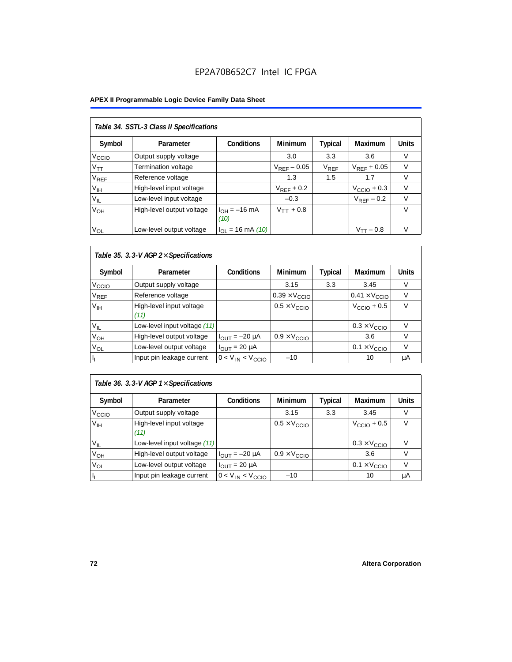#### **APEX II Programmable Logic Device Family Data Sheet**

| Table 34. SSTL-3 Class II Specifications |                           |                           |                  |           |                  |              |  |  |  |
|------------------------------------------|---------------------------|---------------------------|------------------|-----------|------------------|--------------|--|--|--|
| Symbol                                   | Parameter                 | <b>Conditions</b>         | <b>Minimum</b>   | Typical   | Maximum          | <b>Units</b> |  |  |  |
| V <sub>CCIO</sub>                        | Output supply voltage     |                           | 3.0              | 3.3       | 3.6              | V            |  |  |  |
| $V_{TT}$                                 | Termination voltage       |                           | $V_{RFF}$ – 0.05 | $V_{REF}$ | $V_{RFF}$ + 0.05 | $\vee$       |  |  |  |
| <b>V<sub>REF</sub></b>                   | Reference voltage         |                           | 1.3              | 1.5       | 1.7              | V            |  |  |  |
| V <sub>IH</sub>                          | High-level input voltage  |                           | $V_{RFF}$ + 0.2  |           | $VCCIO + 0.3$    | $\vee$       |  |  |  |
| $V_{IL}$                                 | Low-level input voltage   |                           | $-0.3$           |           | $V_{RFF}$ – 0.2  | $\vee$       |  |  |  |
| V <sub>OH</sub>                          | High-level output voltage | $I_{OH} = -16$ mA<br>(10) | $V_{TT} + 0.8$   |           |                  | $\vee$       |  |  |  |
| $V_{OL}$                                 | Low-level output voltage  | $I_{OL}$ = 16 mA (10)     |                  |           | $V_{TT} - 0.8$   | $\vee$       |  |  |  |

## *Table 35. 3.3-V AGP 2*× *Specifications*

| Symbol            | Parameter                        | <b>Conditions</b>       | <b>Minimum</b>                | <b>Typical</b> | <b>Maximum</b>                | <b>Units</b> |
|-------------------|----------------------------------|-------------------------|-------------------------------|----------------|-------------------------------|--------------|
| V <sub>CCIO</sub> | Output supply voltage            |                         | 3.15                          | 3.3            | 3.45                          | V            |
| $\rm V_{REF}$     | Reference voltage                |                         | $0.39 \times V_{\text{CCIO}}$ |                | $0.41 \times V_{\text{CCIO}}$ |              |
| V <sub>IH</sub>   | High-level input voltage<br>(11) |                         | $0.5 \times V_{\text{CCIO}}$  |                | $V_{\text{CCIO}} + 0.5$       | $\vee$       |
| $V_{IL}$          | Low-level input voltage (11)     |                         |                               |                | $0.3 \times V_{\text{CCIO}}$  | v            |
| V <sub>OH</sub>   | High-level output voltage        | $I_{OUT} = -20 \mu A$   | $0.9 \times V_{\text{CCIO}}$  |                | 3.6                           | V            |
| V <sub>OL</sub>   | Low-level output voltage         | $I_{OUIT}$ = 20 µA      |                               |                | $0.1 \times V_{\text{CCIO}}$  | V            |
|                   | Input pin leakage current        | $0 < V_{IN} < V_{CCIO}$ | $-10$                         |                | 10                            | μA           |

### *Table 36. 3.3-V AGP 1*× *Specifications*

| Symbol            | Parameter                        | <b>Conditions</b>       | Minimum                      | <b>Typical</b> | Maximum                      | Units |
|-------------------|----------------------------------|-------------------------|------------------------------|----------------|------------------------------|-------|
| V <sub>CCIO</sub> | Output supply voltage            |                         | 3.15                         | 3.3            | 3.45                         | V     |
| V <sub>IH</sub>   | High-level input voltage<br>(11) |                         | $0.5 \times V_{\text{CCIO}}$ |                | $VCCIO + 0.5$                | v     |
| $V_{IL}$          | Low-level input voltage (11)     |                         |                              |                | $0.3 \times V_{\text{CCIO}}$ |       |
| V <sub>ОН</sub>   | High-level output voltage        | $I_{OUT} = -20 \mu A$   | $0.9 \times V_{\text{CCIO}}$ |                | 3.6                          |       |
| $V_{OL}$          | Low-level output voltage         | $I_{OUT}$ = 20 µA       |                              |                | $0.1 \times V_{\text{CCIO}}$ |       |
|                   | Input pin leakage current        | $0 < V_{IN} < V_{CCIO}$ | $-10$                        |                | 10                           | μA    |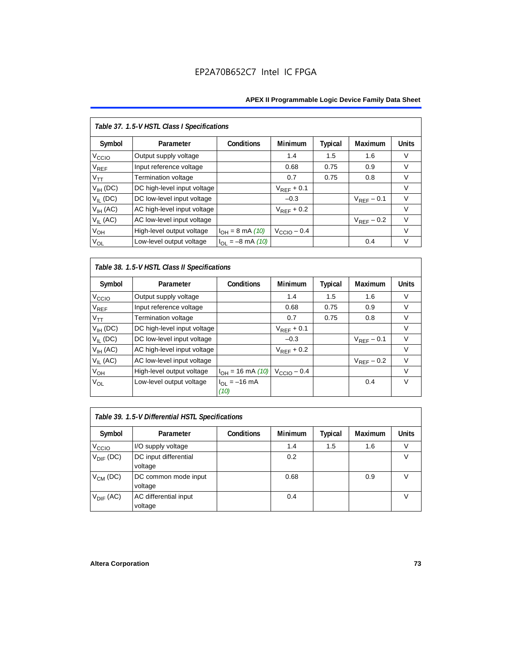| Table 37. 1.5-V HSTL Class I Specifications |                             |                       |                         |                |                 |              |  |  |  |
|---------------------------------------------|-----------------------------|-----------------------|-------------------------|----------------|-----------------|--------------|--|--|--|
| Symbol                                      | Parameter                   | Conditions            | Minimum                 | <b>Typical</b> | Maximum         | <b>Units</b> |  |  |  |
| V <sub>CCIO</sub>                           | Output supply voltage       |                       | 1.4                     | 1.5            | 1.6             | $\vee$       |  |  |  |
| $\rm V_{REF}$                               | Input reference voltage     |                       | 0.68                    | 0.75           | 0.9             | V            |  |  |  |
| $V_{TT}$                                    | Termination voltage         |                       | 0.7                     | 0.75           | 0.8             | V            |  |  |  |
| $V_{IH}$ (DC)                               | DC high-level input voltage |                       | $V_{REF}$ + 0.1         |                |                 | V            |  |  |  |
| $V_{IL}$ (DC)                               | DC low-level input voltage  |                       | $-0.3$                  |                | $V_{RFF}$ – 0.1 | $\vee$       |  |  |  |
| $V_{IH}$ (AC)                               | AC high-level input voltage |                       | $V_{RFF}$ + 0.2         |                |                 | $\vee$       |  |  |  |
| $V_{IL}$ (AC)                               | AC low-level input voltage  |                       |                         |                | $V_{REF}$ – 0.2 | $\vee$       |  |  |  |
| V <sub>OH</sub>                             | High-level output voltage   | $I_{OH} = 8$ mA (10)  | $V_{\text{CCIO}} - 0.4$ |                |                 | $\vee$       |  |  |  |
| $V_{OL}$                                    | Low-level output voltage    | $I_{OL} = -8$ mA (10) |                         |                | 0.4             | $\vee$       |  |  |  |

*Table 38. 1.5-V HSTL Class II Specifications*

| Symbol                      | Parameter                   | Conditions                | <b>Minimum</b>          | Typical | Maximum         | <b>Units</b> |
|-----------------------------|-----------------------------|---------------------------|-------------------------|---------|-----------------|--------------|
| V <sub>CCIO</sub>           | Output supply voltage       |                           | 1.4                     | 1.5     | 1.6             | V            |
| $\mathsf{V}_{\mathsf{REF}}$ | Input reference voltage     |                           | 0.68                    | 0.75    | 0.9             | V            |
| $V_{TT}$                    | Termination voltage         |                           | 0.7                     | 0.75    | 0.8             | $\vee$       |
| $V_{IH}$ (DC)               | DC high-level input voltage |                           | $V_{REF}$ + 0.1         |         |                 | V            |
| $V_{IL}$ (DC)               | DC low-level input voltage  |                           | $-0.3$                  |         | $V_{RFF}$ – 0.1 | $\vee$       |
| $V_{IH}$ (AC)               | AC high-level input voltage |                           | $V_{REF}$ + 0.2         |         |                 | V            |
| $V_{II}$ (AC)               | AC low-level input voltage  |                           |                         |         | $V_{RFF}$ – 0.2 | $\vee$       |
| $V_{OH}$                    | High-level output voltage   | $I_{OH} = 16$ mA (10)     | $V_{\text{CCIO}} - 0.4$ |         |                 | $\vee$       |
| V <sub>OL</sub>             | Low-level output voltage    | $I_{OL} = -16$ mA<br>(10) |                         |         | 0.4             | $\vee$       |

| Table 39. 1.5-V Differential HSTL Specifications |                                  |                   |                |         |                |              |  |  |
|--------------------------------------------------|----------------------------------|-------------------|----------------|---------|----------------|--------------|--|--|
| Symbol                                           | Parameter                        | <b>Conditions</b> | <b>Minimum</b> | Typical | <b>Maximum</b> | <b>Units</b> |  |  |
| V <sub>CCIO</sub>                                | I/O supply voltage               |                   | 1.4            | 1.5     | 1.6            |              |  |  |
| $V_{\text{DIF}}$ (DC)                            | DC input differential<br>voltage |                   | 0.2            |         |                | V            |  |  |
| $V_{CM}$ (DC)                                    | DC common mode input<br>voltage  |                   | 0.68           |         | 0.9            | v            |  |  |
| $V_{\text{DIF}}$ (AC)                            | AC differential input<br>voltage |                   | 0.4            |         |                |              |  |  |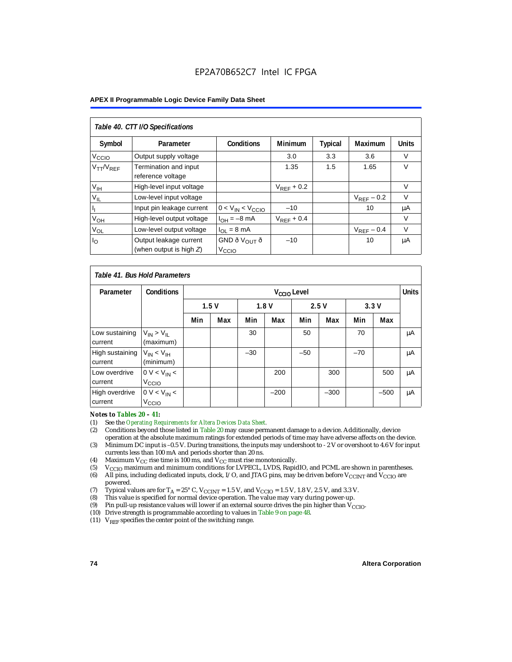| Table 40. CTT I/O Specifications |                                                      |                                               |                 |                |                 |              |  |  |
|----------------------------------|------------------------------------------------------|-----------------------------------------------|-----------------|----------------|-----------------|--------------|--|--|
| Symbol                           | Parameter                                            | <b>Conditions</b>                             | <b>Minimum</b>  | <b>Typical</b> | Maximum         | <b>Units</b> |  |  |
| V <sub>CCIO</sub>                | Output supply voltage                                |                                               | 3.0             | 3.3            | 3.6             | V            |  |  |
| $V_{TT}/V_{REF}$                 | Termination and input<br>reference voltage           |                                               | 1.35            | 1.5            | 1.65            | $\vee$       |  |  |
| V <sub>IH</sub>                  | High-level input voltage                             |                                               | $V_{RFF}$ + 0.2 |                |                 | V            |  |  |
| $V_{IL}$                         | Low-level input voltage                              |                                               |                 |                | $V_{RFF}$ – 0.2 | $\vee$       |  |  |
|                                  | Input pin leakage current                            | $0 < V_{IN} < V_{CCIO}$                       | $-10$           |                | 10              | μA           |  |  |
| $V_{OH}$                         | High-level output voltage                            | $I_{OH} = -8$ mA                              | $V_{REF}$ + 0.4 |                |                 | V            |  |  |
| $V_{OL}$                         | Low-level output voltage                             | $I_{OL} = 8 \text{ mA}$                       |                 |                | $V_{REF}$ – 0.4 | $\vee$       |  |  |
| $I_{\rm O}$                      | Output leakage current<br>(when output is high $Z$ ) | GND ð V <sub>OUT</sub> ð<br>V <sub>CCIO</sub> | $-10$           |                | 10              | μA           |  |  |

|                            | Table 41, Bus Hold Parameters       |     |              |       |                         |       |        |       |        |              |
|----------------------------|-------------------------------------|-----|--------------|-------|-------------------------|-------|--------|-------|--------|--------------|
| Parameter                  | <b>Conditions</b>                   |     |              |       | V <sub>CCIO</sub> Level |       |        |       |        | <b>Units</b> |
|                            |                                     |     | 1.5V<br>1.8V |       | 2.5V                    |       | 3.3V   |       |        |              |
|                            |                                     | Min | Max          | Min   | Max                     | Min   | Max    | Min   | Max    |              |
| Low sustaining<br>current  | $V_{IN}$ > $V_{II}$<br>(maximum)    |     |              | 30    |                         | 50    |        | 70    |        | μA           |
| High sustaining<br>current | $V_{IN}$ < $V_{IH}$<br>(minimum)    |     |              | $-30$ |                         | $-50$ |        | $-70$ |        | μA           |
| Low overdrive<br>current   | $0 V < V_{IN}$<br>V <sub>CCIO</sub> |     |              |       | 200                     |       | 300    |       | 500    | μA           |
| High overdrive<br>current  | $0 V < V_{IN}$<br>V <sub>CCIO</sub> |     |              |       | $-200$                  |       | $-300$ |       | $-500$ | μA           |

# *Notes to Tables 20 – 41:*<br>(1) See the *Operating Res*

- (1) See the *Operating Requirements for Altera Devices Data Sheet.*
- (2) Conditions beyond those listed in Table 20 may cause permanent damage to a device. Additionally, device operation at the absolute maximum ratings for extended periods of time may have adverse affects on the device.
- (3) Minimum DC input is –0.5 V. During transitions, the inputs may undershoot to 2 V or overshoot to 4.6 V for input currents less than 100 mA and periods shorter than 20 ns.
- (4) Maximum  $V_{CC}$  rise time is 100 ms, and  $V_{CC}$  must rise monotonically.<br>(5)  $V_{CC}$  maximum and minimum conditions for LVPECL, LVDS, Rapic
- V<sub>CCIO</sub> maximum and minimum conditions for LVPECL, LVDS, RapidIO, and PCML are shown in parentheses.
- (6) All pins, including dedicated inputs, clock, I/O, and JTAG pins, may be driven before V<sub>CCINT</sub> and V<sub>CCIO</sub> are powered.
- (7) Typical values are for  $T_A = 25^\circ$  C,  $V_{\text{CCINT}} = 1.5$  V, and  $V_{\text{CCIO}} = 1.5$  V, 1.8 V, 2.5 V, and 3.3 V.<br>(8) This value is specified for normal device operation. The value may vary during power-up.
- This value is specified for normal device operation. The value may vary during power-up.
- (9) Pin pull-up resistance values will lower if an external source drives the pin higher than  $V_{\text{CCIO}}$ .
- (10) Drive strength is programmable according to values in Table 9 on page 48.
- (11)  $V_{REF}$  specifies the center point of the switching range.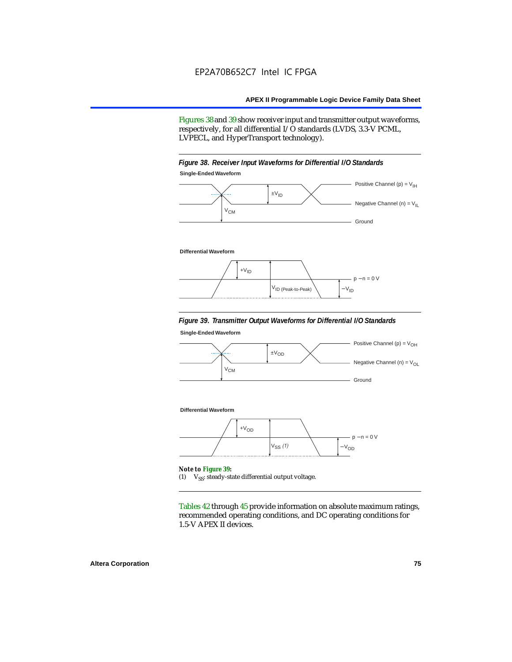Figures 38 and 39 show receiver input and transmitter output waveforms, respectively, for all differential I/O standards (LVDS, 3.3-V PCML, LVPECL, and HyperTransport technology).

#### *Figure 38. Receiver Input Waveforms for Differential I/O Standards* **Single-Ended Waveform**



#### **Differential Waveform**



#### *Figure 39. Transmitter Output Waveforms for Differential I/O Standards*

**Single-Ended Waveform**



(1)  $V_{SS}$ : steady-state differential output voltage.

Tables 42 through 45 provide information on absolute maximum ratings, recommended operating conditions, and DC operating conditions for 1.5-V APEX II devices.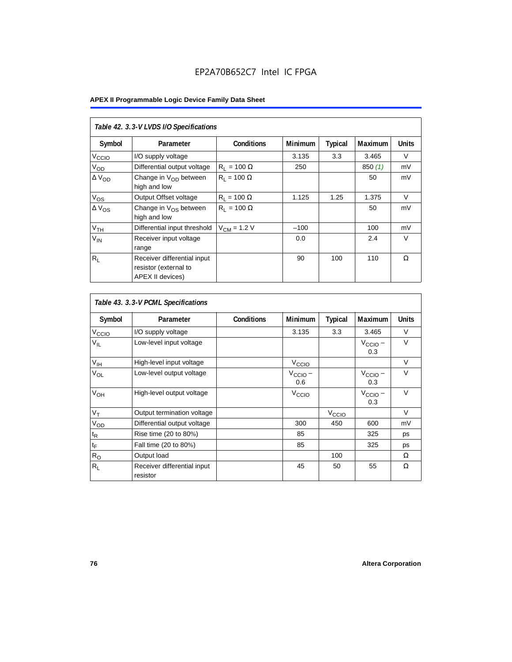|                   | Table 42. 3.3-V LVDS I/O Specifications                                  |                    |                |                |                |              |  |  |  |  |
|-------------------|--------------------------------------------------------------------------|--------------------|----------------|----------------|----------------|--------------|--|--|--|--|
| Symbol            | Parameter                                                                | <b>Conditions</b>  | <b>Minimum</b> | <b>Typical</b> | <b>Maximum</b> | <b>Units</b> |  |  |  |  |
| V <sub>CCIO</sub> | I/O supply voltage                                                       |                    | 3.135          | 3.3            | 3.465          | V            |  |  |  |  |
| V <sub>OD</sub>   | Differential output voltage                                              | $R_1 = 100 \Omega$ | 250            |                | 850(1)         | mV           |  |  |  |  |
| $\Delta V_{OD}$   | Change in V <sub>OD</sub> between<br>high and low                        | $R_1 = 100 \Omega$ |                |                | 50             | mV           |  |  |  |  |
| $V_{OS}$          | Output Offset voltage                                                    | $R_1 = 100 \Omega$ | 1.125          | 1.25           | 1.375          | $\vee$       |  |  |  |  |
| $\Delta V_{OS}$   | Change in $V_{OS}$ between<br>high and low                               | $R_1 = 100 \Omega$ |                |                | 50             | mV           |  |  |  |  |
| V <sub>TH</sub>   | Differential input threshold                                             | $V_{CM}$ = 1.2 V   | $-100$         |                | 100            | mV           |  |  |  |  |
| $V_{IN}$          | Receiver input voltage<br>range                                          |                    | 0.0            |                | 2.4            | $\vee$       |  |  |  |  |
| $R_{\rm L}$       | Receiver differential input<br>resistor (external to<br>APEX II devices) |                    | 90             | 100            | 110            | Ω            |  |  |  |  |

|                   | Table 43. 3.3-V PCML Specifications     |                   |                            |                   |                            |              |
|-------------------|-----------------------------------------|-------------------|----------------------------|-------------------|----------------------------|--------------|
| Symbol            | Parameter                               | <b>Conditions</b> | Minimum                    | <b>Typical</b>    | <b>Maximum</b>             | <b>Units</b> |
| V <sub>CCIO</sub> | I/O supply voltage                      |                   | 3.135                      | 3.3               | 3.465                      | V            |
| $V_{IL}$          | Low-level input voltage                 |                   |                            |                   | $V_{\text{CCIO}}$ –<br>0.3 | $\vee$       |
| $V_{\text{IH}}$   | High-level input voltage                |                   | $V_{\text{CCIO}}$          |                   |                            | $\vee$       |
| $V_{OL}$          | Low-level output voltage                |                   | $V_{\text{CCIO}}$ –<br>0.6 |                   | $V_{\text{CCIO}}$ –<br>0.3 | $\vee$       |
| V <sub>OH</sub>   | High-level output voltage               |                   | V <sub>CCIO</sub>          |                   | $V_{\text{CCIO}}$ –<br>0.3 | $\vee$       |
| $V_T$             | Output termination voltage              |                   |                            | V <sub>CCIO</sub> |                            | $\vee$       |
| $V_{OD}$          | Differential output voltage             |                   | 300                        | 450               | 600                        | mV           |
| $t_{\mathsf{R}}$  | Rise time (20 to 80%)                   |                   | 85                         |                   | 325                        | ps           |
| $t_{\mathsf{F}}$  | Fall time (20 to 80%)                   |                   | 85                         |                   | 325                        | ps           |
| $R_{\rm O}$       | Output load                             |                   |                            | 100               |                            | $\Omega$     |
| $R_L$             | Receiver differential input<br>resistor |                   | 45                         | 50                | 55                         | Ω            |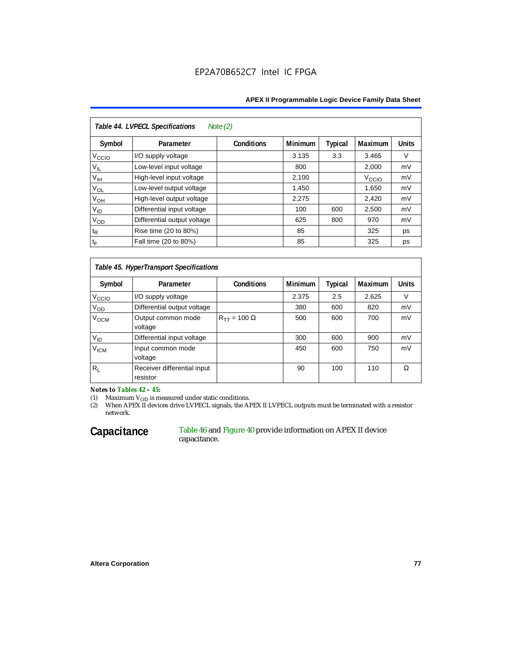#### **APEX II Programmable Logic Device Family Data Sheet**

| Table 44. LVPECL Specifications<br>Note $(2)$ |                             |                   |                |         |                   |              |  |  |  |
|-----------------------------------------------|-----------------------------|-------------------|----------------|---------|-------------------|--------------|--|--|--|
| Symbol                                        | Parameter                   | <b>Conditions</b> | <b>Minimum</b> | Typical | Maximum           | <b>Units</b> |  |  |  |
| V <sub>CCIO</sub>                             | I/O supply voltage          |                   | 3.135          | 3.3     | 3.465             | V            |  |  |  |
| $V_{IL}$                                      | Low-level input voltage     |                   | 800            |         | 2,000             | mV           |  |  |  |
| $V_{\text{IH}}$                               | High-level input voltage    |                   | 2,100          |         | V <sub>CCIO</sub> | mV           |  |  |  |
| $V_{OL}$                                      | Low-level output voltage    |                   | 1,450          |         | 1,650             | mV           |  |  |  |
| $V_{OH}$                                      | High-level output voltage   |                   | 2,275          |         | 2,420             | mV           |  |  |  |
| $V_{ID}$                                      | Differential input voltage  |                   | 100            | 600     | 2,500             | mV           |  |  |  |
| $V_{OD}$                                      | Differential output voltage |                   | 625            | 800     | 970               | mV           |  |  |  |
| $t_{\mathsf{R}}$                              | Rise time (20 to 80%)       |                   | 85             |         | 325               | ps           |  |  |  |
| $t_{\mathsf{F}}$                              | Fall time (20 to 80%)       |                   | 85             |         | 325               | ps           |  |  |  |

#### *Table 45. HyperTransport Specifications*

| Symbol            | Parameter                               | <b>Conditions</b>       | <b>Minimum</b> | <b>Typical</b> | <b>Maximum</b> | <b>Units</b> |
|-------------------|-----------------------------------------|-------------------------|----------------|----------------|----------------|--------------|
| V <sub>CCIO</sub> | I/O supply voltage                      |                         | 2.375          | 2.5            | 2.625          | v            |
| Vod               | Differential output voltage             |                         | 380            | 600            | 820            | mV           |
| V <sub>OCM</sub>  | Output common mode<br>voltage           | $R_{TT}$ = 100 $\Omega$ | 500            | 600            | 700            | mV           |
| $V_{ID}$          | Differential input voltage              |                         | 300            | 600            | 900            | mV           |
| V <sub>ICM</sub>  | Input common mode<br>voltage            |                         | 450            | 600            | 750            | mV           |
| $R_L$             | Receiver differential input<br>resistor |                         | 90             | 100            | 110            | Ω            |

*Notes to Tables 42 – 45:*

(1) Maximum V<sub>OD</sub> is measured under static conditions.<br>(2) When APEX II devices drive LVPECL signals, the APEX II LVPECL outputs must be terminated with a resistor network.

#### Capacitance Table 46 and Figure 40 provide information on APEX II device capacitance.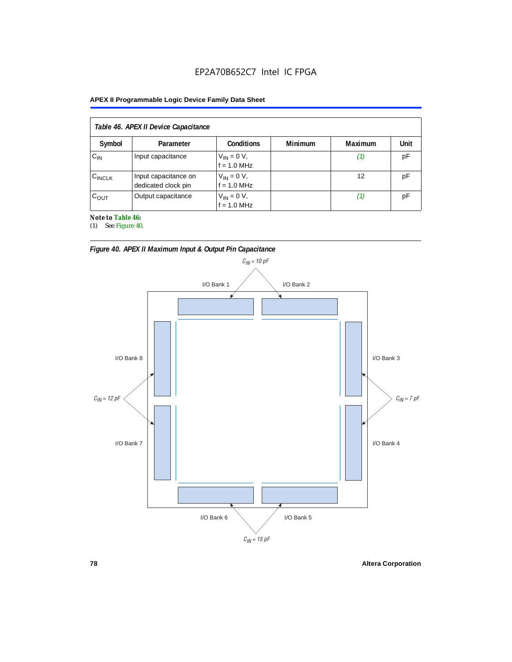#### **APEX II Programmable Logic Device Family Data Sheet**

| Table 46. APEX II Device Capacitance |                                             |                                |                |                |      |  |  |  |
|--------------------------------------|---------------------------------------------|--------------------------------|----------------|----------------|------|--|--|--|
| Symbol                               | Parameter                                   | <b>Conditions</b>              | <b>Minimum</b> | <b>Maximum</b> | Unit |  |  |  |
| $C_{IN}$                             | Input capacitance                           | $V_{IN} = 0 V,$<br>f = 1.0 MHz |                | Ί,             | pF   |  |  |  |
| $C_{\text{INCLK}}$                   | Input capacitance on<br>dedicated clock pin | $V_{IN} = 0 V,$<br>f = 1.0 MHz |                | 12             | рF   |  |  |  |
| $C_{OUT}$                            | Output capacitance                          | $V_{IN} = 0 V,$<br>f = 1.0 MHz |                | (1)            | рF   |  |  |  |

*Note to Table 46:*

(1) See Figure 40.





**78 Altera Corporation**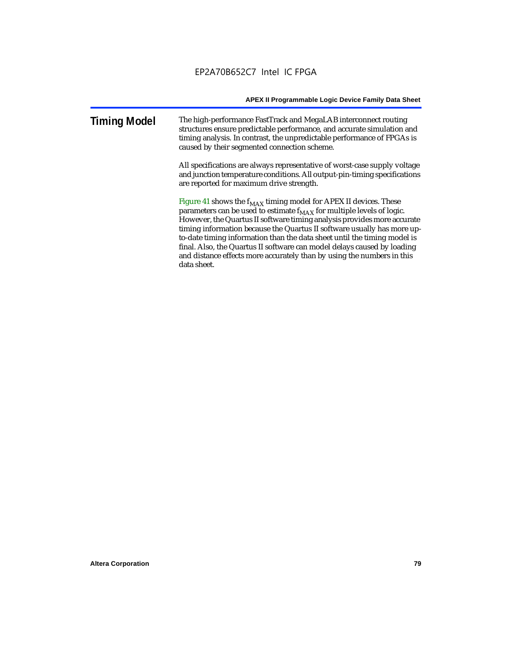#### **Timing Model** The high-performance FastTrack and MegaLAB interconnect routing structures ensure predictable performance, and accurate simulation and timing analysis. In contrast, the unpredictable performance of FPGAs is caused by their segmented connection scheme.

All specifications are always representative of worst-case supply voltage and junction temperature conditions. All output-pin-timing specifications are reported for maximum drive strength.

Figure 41 shows the  $f_{MAX}$  timing model for APEX II devices. These parameters can be used to estimate  $f_{MAX}$  for multiple levels of logic. However, the Quartus II software timing analysis provides more accurate timing information because the Quartus II software usually has more upto-date timing information than the data sheet until the timing model is final. Also, the Quartus II software can model delays caused by loading and distance effects more accurately than by using the numbers in this data sheet.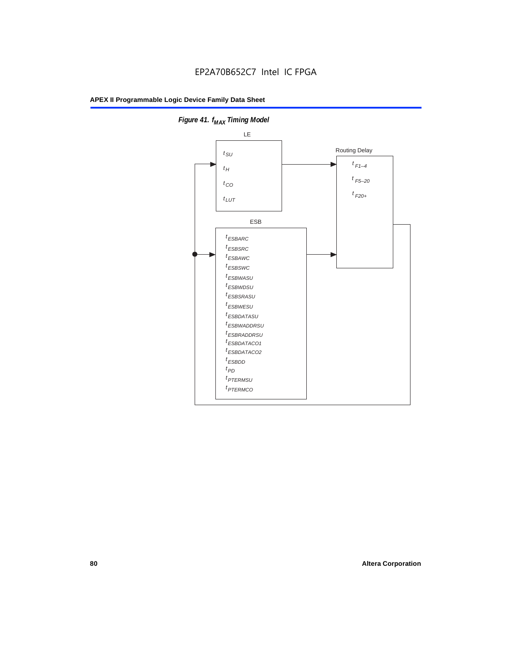

**Figure 41. f**<sub>MAX</sub> Timing Model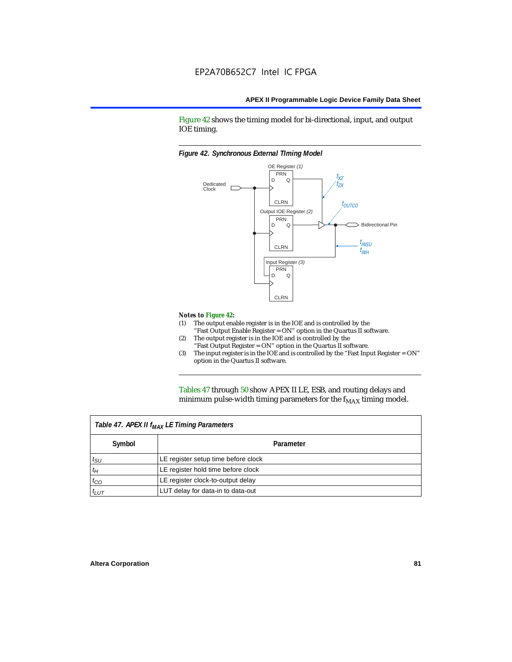Figure 42 shows the timing model for bi-directional, input, and output IOE timing.

#### *Figure 42. Synchronous External TIming Model*



#### *Notes to Figure 42:*

- (1) The output enable register is in the IOE and is controlled by the "Fast Output Enable Register = ON" option in the Quartus II software.
- (2) The output register is in the IOE and is controlled by the "Fast Output Register = ON" option in the Quartus II software.
- (3) The input register is in the IOE and is controlled by the "Fast Input Register = ON" option in the Quartus II software.

Tables 47 through 50 show APEX II LE, ESB, and routing delays and minimum pulse-width timing parameters for the  $f_{MAX}$  timing model.

| Table 47. APEX II f <sub>MAX</sub> LE Timing Parameters |                                     |  |  |  |  |
|---------------------------------------------------------|-------------------------------------|--|--|--|--|
| Symbol                                                  | Parameter                           |  |  |  |  |
| $t_{\rm SU}$                                            | LE register setup time before clock |  |  |  |  |
| $t_H$                                                   | LE register hold time before clock  |  |  |  |  |
| $t_{CO}$                                                | LE register clock-to-output delay   |  |  |  |  |
| $t_{LUT}$                                               | LUT delay for data-in to data-out   |  |  |  |  |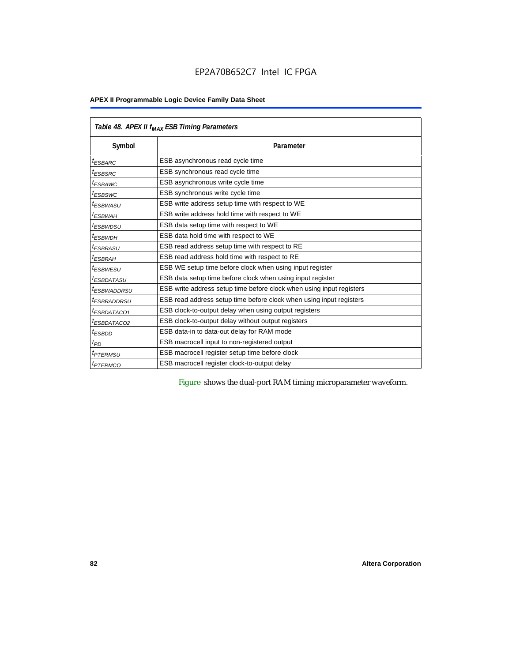|                         | Table 48. APEX II f <sub>MAX</sub> ESB Timing Parameters             |  |  |  |  |  |  |
|-------------------------|----------------------------------------------------------------------|--|--|--|--|--|--|
| Symbol                  | Parameter                                                            |  |  |  |  |  |  |
| <sup>t</sup> ESBARC     | ESB asynchronous read cycle time                                     |  |  |  |  |  |  |
| <sup>t</sup> ESBSRC     | ESB synchronous read cycle time                                      |  |  |  |  |  |  |
| <sup>t</sup> ESBAWC     | ESB asynchronous write cycle time                                    |  |  |  |  |  |  |
| <sup>t</sup> ESBSWC     | ESB synchronous write cycle time                                     |  |  |  |  |  |  |
| <sup>t</sup> ESBWASU    | ESB write address setup time with respect to WE                      |  |  |  |  |  |  |
| <sup>t</sup> ESBWАН     | ESB write address hold time with respect to WE                       |  |  |  |  |  |  |
| <sup>t</sup> ESBWDSU    | ESB data setup time with respect to WE                               |  |  |  |  |  |  |
| <sup>t</sup> ESBWDH     | ESB data hold time with respect to WE                                |  |  |  |  |  |  |
| <sup>t</sup> ESBRASU    | ESB read address setup time with respect to RE                       |  |  |  |  |  |  |
| <sup>t</sup> ESBRAH     | ESB read address hold time with respect to RE                        |  |  |  |  |  |  |
| <sup>t</sup> ESBWESU    | ESB WE setup time before clock when using input register             |  |  |  |  |  |  |
| <sup>I</sup> ESBDATASU  | ESB data setup time before clock when using input register           |  |  |  |  |  |  |
| <sup>t</sup> ESBWADDRSU | ESB write address setup time before clock when using input registers |  |  |  |  |  |  |
| <sup>t</sup> ESBRADDRSU | ESB read address setup time before clock when using input registers  |  |  |  |  |  |  |
| <sup>t</sup> ESBDATACO1 | ESB clock-to-output delay when using output registers                |  |  |  |  |  |  |
| <sup>t</sup> ESBDATACO2 | ESB clock-to-output delay without output registers                   |  |  |  |  |  |  |
| <sup>t</sup> ESBDD      | ESB data-in to data-out delay for RAM mode                           |  |  |  |  |  |  |
| t <sub>PD</sub>         | ESB macrocell input to non-registered output                         |  |  |  |  |  |  |
| <i><b>TPTERMSU</b></i>  | ESB macrocell register setup time before clock                       |  |  |  |  |  |  |
| <sup>t</sup> PTERMCO    | ESB macrocell register clock-to-output delay                         |  |  |  |  |  |  |

Figure shows the dual-port RAM timing microparameter waveform.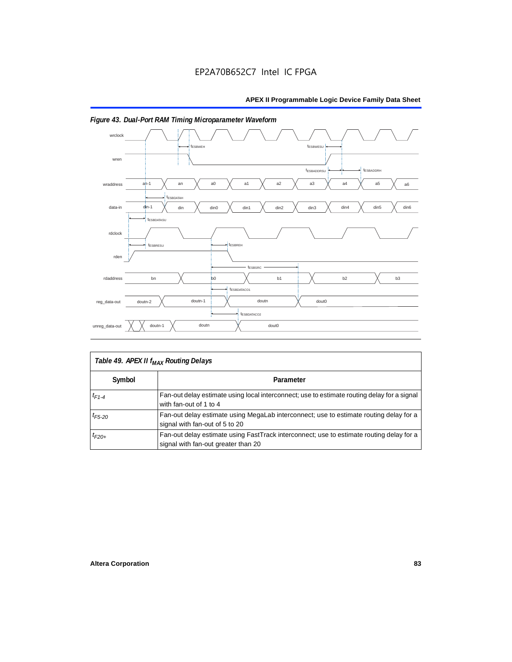

## *Figure 43. Dual-Port RAM Timing Microparameter Waveform*

| Table 49. APEX II f <sub>MAX</sub> Routing Delays |                                                                                                                                 |  |  |  |  |
|---------------------------------------------------|---------------------------------------------------------------------------------------------------------------------------------|--|--|--|--|
| Symbol                                            | Parameter                                                                                                                       |  |  |  |  |
| $t_{F1-4}$                                        | Fan-out delay estimate using local interconnect; use to estimate routing delay for a signal<br>with fan-out of 1 to 4           |  |  |  |  |
| $t_{F5-20}$                                       | Fan-out delay estimate using MegaLab interconnect; use to estimate routing delay for a<br>signal with fan-out of 5 to 20        |  |  |  |  |
| $t_{F20+}$                                        | Fan-out delay estimate using FastTrack interconnect; use to estimate routing delay for a<br>signal with fan-out greater than 20 |  |  |  |  |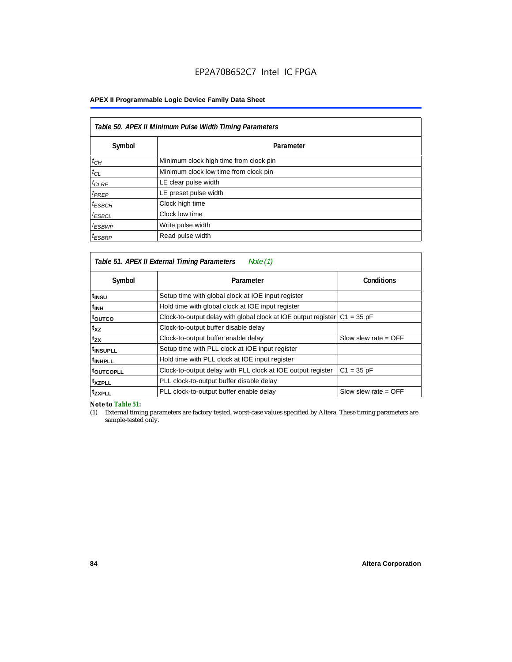| Table 50. APEX II Minimum Pulse Width Timing Parameters |                                        |  |  |  |  |
|---------------------------------------------------------|----------------------------------------|--|--|--|--|
| Symbol                                                  | Parameter                              |  |  |  |  |
| $t_{CH}$                                                | Minimum clock high time from clock pin |  |  |  |  |
| $t_{CL}$                                                | Minimum clock low time from clock pin  |  |  |  |  |
| $t_{CLRP}$                                              | LE clear pulse width                   |  |  |  |  |
| $t_{PREF}$                                              | LE preset pulse width                  |  |  |  |  |
| <sup>t</sup> ESBCH                                      | Clock high time                        |  |  |  |  |
| <sup>t</sup> ESBCL                                      | Clock low time                         |  |  |  |  |
| $t_{ESBWP}$                                             | Write pulse width                      |  |  |  |  |
| <sup>t</sup> ESBRP                                      | Read pulse width                       |  |  |  |  |

| Table 51. APEX II External Timing Parameters<br>Note (1) |                                                                              |                        |  |  |  |  |  |
|----------------------------------------------------------|------------------------------------------------------------------------------|------------------------|--|--|--|--|--|
| Symbol                                                   | Parameter                                                                    | <b>Conditions</b>      |  |  |  |  |  |
| t <sub>INSU</sub>                                        | Setup time with global clock at IOE input register                           |                        |  |  |  |  |  |
| $t_{\rm INH}$                                            | Hold time with global clock at IOE input register                            |                        |  |  |  |  |  |
| toutco                                                   | Clock-to-output delay with global clock at IOE output register $ C1 = 35$ pF |                        |  |  |  |  |  |
| t <sub>XZ</sub>                                          | Clock-to-output buffer disable delay                                         |                        |  |  |  |  |  |
| t <sub>zx</sub>                                          | Clock-to-output buffer enable delay                                          | Slow slew rate $=$ OFF |  |  |  |  |  |
| t <sub>INSUPLL</sub>                                     | Setup time with PLL clock at IOE input register                              |                        |  |  |  |  |  |
| <sup>t</sup> INHPLL                                      | Hold time with PLL clock at IOE input register                               |                        |  |  |  |  |  |
| <b>toutcopll</b>                                         | Clock-to-output delay with PLL clock at IOE output register                  | $C1 = 35 pF$           |  |  |  |  |  |
| txzpll                                                   | PLL clock-to-output buffer disable delay                                     |                        |  |  |  |  |  |
| <sup>t</sup> zxpll                                       | PLL clock-to-output buffer enable delay                                      | Slow slew rate $=$ OFF |  |  |  |  |  |

*Note to Table 51:*

(1) External timing parameters are factory tested, worst-case values specified by Altera. These timing parameters are sample-tested only.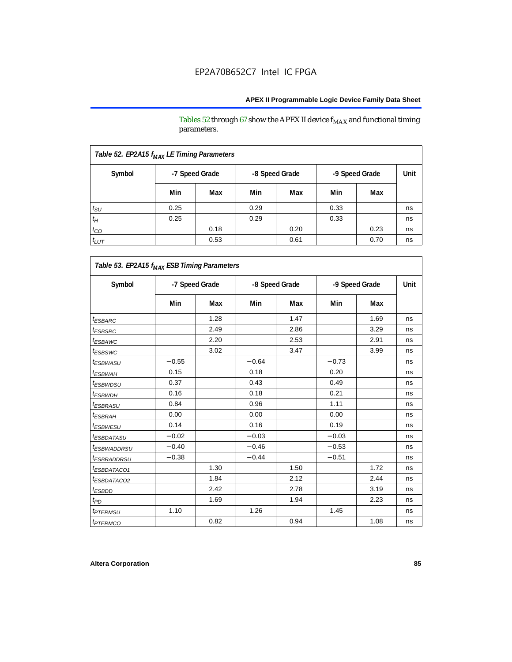Tables 52 through 67 show the APEX II device  $\rm f_{MAX}$  and functional timing parameters.

| Table 52. EP2A15 f <sub>MAX</sub> LE Timing Parameters |                |      |                |      |                |      |      |
|--------------------------------------------------------|----------------|------|----------------|------|----------------|------|------|
| Symbol                                                 | -7 Speed Grade |      | -8 Speed Grade |      | -9 Speed Grade |      | Unit |
|                                                        | Min            | Max  | Min            | Max  | Min            | Max  |      |
| $t_{\rm SU}$                                           | 0.25           |      | 0.29           |      | 0.33           |      | ns   |
| $t_H$                                                  | 0.25           |      | 0.29           |      | 0.33           |      | ns   |
| $t_{CO}$                                               |                | 0.18 |                | 0.20 |                | 0.23 | ns   |
| $t_{LUT}$                                              |                | 0.53 |                | 0.61 |                | 0.70 | ns   |

| Symbol                       |         | -7 Speed Grade |         | -8 Speed Grade |         | -9 Speed Grade | Unit |
|------------------------------|---------|----------------|---------|----------------|---------|----------------|------|
|                              | Min     | Max            | Min     | Max            | Min     | Max            |      |
| <i>t<sub>ESBARC</sub></i>    |         | 1.28           |         | 1.47           |         | 1.69           | ns   |
| <sup>t</sup> ESBSRC          |         | 2.49           |         | 2.86           |         | 3.29           | ns   |
| <sup>t</sup> ESBAWC          |         | 2.20           |         | 2.53           |         | 2.91           | ns   |
| t <sub>ESBSWC</sub>          |         | 3.02           |         | 3.47           |         | 3.99           | ns   |
| <sup>t</sup> ESBWASU         | $-0.55$ |                | $-0.64$ |                | $-0.73$ |                | ns   |
| t <sub>ESBWAH</sub>          | 0.15    |                | 0.18    |                | 0.20    |                | ns   |
| <sup>t</sup> ESBWDSU         | 0.37    |                | 0.43    |                | 0.49    |                | ns   |
| <sup>t</sup> ESBWDH          | 0.16    |                | 0.18    |                | 0.21    |                | ns   |
| <sup>t</sup> ESBRASU         | 0.84    |                | 0.96    |                | 1.11    |                | ns   |
| <sup>t</sup> ESBRAH          | 0.00    |                | 0.00    |                | 0.00    |                | ns   |
| <i>t<sub>ESBWESU</sub></i>   | 0.14    |                | 0.16    |                | 0.19    |                | ns   |
| <sup>t</sup> ESBDATASU       | $-0.02$ |                | $-0.03$ |                | $-0.03$ |                | ns   |
| <sup>t</sup> ESBWADDRSU      | $-0.40$ |                | $-0.46$ |                | $-0.53$ |                | ns   |
| <sup>t</sup> ESBRADDRSU      | $-0.38$ |                | $-0.44$ |                | $-0.51$ |                | ns   |
| <i>ESBDATACO1</i>            |         | 1.30           |         | 1.50           |         | 1.72           | ns   |
| <sup>t</sup> ESBDATACO2      |         | 1.84           |         | 2.12           |         | 2.44           | ns   |
| <sup>t</sup> ESBDD           |         | 2.42           |         | 2.78           |         | 3.19           | ns   |
| t <sub>PD</sub>              |         | 1.69           |         | 1.94           |         | 2.23           | ns   |
| <i><b><i>FTERMSU</i></b></i> | 1.10    |                | 1.26    |                | 1.45    |                | ns   |
| <i>t<sub>PTERMCO</sub></i>   |         | 0.82           |         | 0.94           |         | 1.08           | ns   |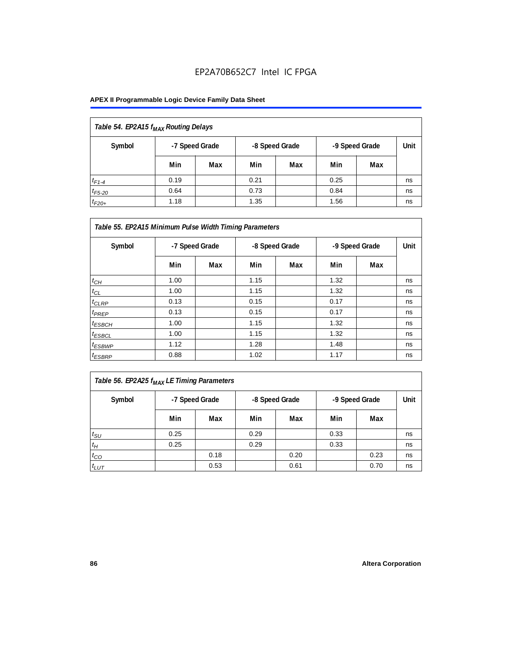| Table 54. EP2A15 f <sub>MAX</sub> Routing Delays |      |                |                |     |                |     |      |
|--------------------------------------------------|------|----------------|----------------|-----|----------------|-----|------|
| Symbol                                           |      | -7 Speed Grade | -8 Speed Grade |     | -9 Speed Grade |     | Unit |
|                                                  | Min  | Max            | Min            | Max | Min            | Max |      |
| $t_{F1-4}$                                       | 0.19 |                | 0.21           |     | 0.25           |     | ns   |
| $t_{F5-20}$                                      | 0.64 |                | 0.73           |     | 0.84           |     | ns   |
| $t_{F20+}$                                       | 1.18 |                | 1.35           |     | 1.56           |     | ns   |

| Table 55. EP2A15 Minimum Pulse Width Timing Parameters |                |     |      |                |      |                |    |
|--------------------------------------------------------|----------------|-----|------|----------------|------|----------------|----|
| Symbol                                                 | -7 Speed Grade |     |      | -8 Speed Grade |      | -9 Speed Grade |    |
|                                                        | Min            | Max | Min  | Max            | Min  | Max            |    |
| $t_{CH}$                                               | 1.00           |     | 1.15 |                | 1.32 |                | ns |
| $t_{CL}$                                               | 1.00           |     | 1.15 |                | 1.32 |                | ns |
| $t_{CLRP}$                                             | 0.13           |     | 0.15 |                | 0.17 |                | ns |
| $t_{PREF}$                                             | 0.13           |     | 0.15 |                | 0.17 |                | ns |
| $t_{ESBCH}$                                            | 1.00           |     | 1.15 |                | 1.32 |                | ns |
| $t_{ESBCL}$                                            | 1.00           |     | 1.15 |                | 1.32 |                | ns |
| <sup>t</sup> ESBWP                                     | 1.12           |     | 1.28 |                | 1.48 |                | ns |
| $t_{ESBRP}$                                            | 0.88           |     | 1.02 |                | 1.17 |                | ns |

|--|

| Symbol       | -7 Speed Grade |      | -8 Speed Grade |      | -9 Speed Grade |      | Unit |
|--------------|----------------|------|----------------|------|----------------|------|------|
|              | Min            | Max  | Min            | Max  | Min            | Max  |      |
| $t_{\rm SU}$ | 0.25           |      | 0.29           |      | 0.33           |      | ns   |
| $t_H$        | 0.25           |      | 0.29           |      | 0.33           |      | ns   |
| $t_{CO}$     |                | 0.18 |                | 0.20 |                | 0.23 | ns   |
| $t_{LUT}$    |                | 0.53 |                | 0.61 |                | 0.70 | ns   |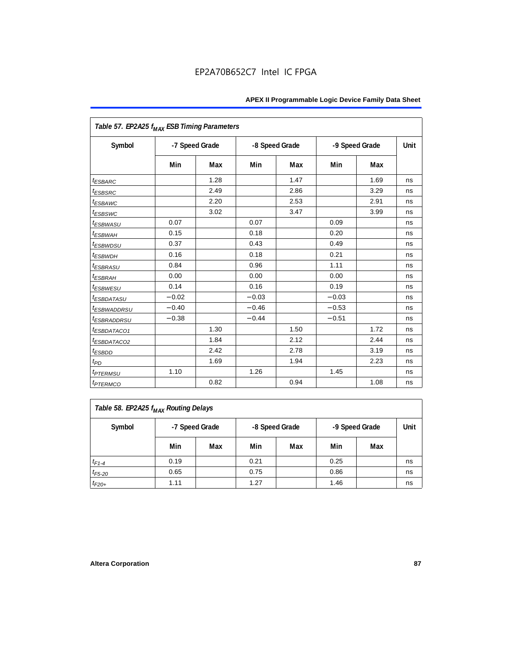| Table 57. EP2A25 f <sub>MAX</sub> ESB Timing Parameters |                |      |         |                |         |                |      |
|---------------------------------------------------------|----------------|------|---------|----------------|---------|----------------|------|
| Symbol                                                  | -7 Speed Grade |      |         | -8 Speed Grade |         | -9 Speed Grade | Unit |
|                                                         | Min            | Max  | Min     | Max            | Min     | Max            |      |
| <i><b>ESBARC</b></i>                                    |                | 1.28 |         | 1.47           |         | 1.69           | ns   |
| <sup>t</sup> ESBSRC                                     |                | 2.49 |         | 2.86           |         | 3.29           | ns   |
| t <sub>ESBAWC</sub>                                     |                | 2.20 |         | 2.53           |         | 2.91           | ns   |
| <sup>t</sup> ESBSWC                                     |                | 3.02 |         | 3.47           |         | 3.99           | ns   |
| <sup>t</sup> ESBWASU                                    | 0.07           |      | 0.07    |                | 0.09    |                | ns   |
| <sup>t</sup> ESBWAH                                     | 0.15           |      | 0.18    |                | 0.20    |                | ns   |
| <i>t<sub>ESBWDSU</sub></i>                              | 0.37           |      | 0.43    |                | 0.49    |                | ns   |
| <sup>t</sup> ESBWDH                                     | 0.16           |      | 0.18    |                | 0.21    |                | ns   |
| <sup>t</sup> ESBRASU                                    | 0.84           |      | 0.96    |                | 1.11    |                | ns   |
| <sup>t</sup> ESBRAH                                     | 0.00           |      | 0.00    |                | 0.00    |                | ns   |
| <sup>t</sup> ESBWESU                                    | 0.14           |      | 0.16    |                | 0.19    |                | ns   |
| <sup>t</sup> ESBDATASU                                  | $-0.02$        |      | $-0.03$ |                | $-0.03$ |                | ns   |
| <sup>t</sup> ESBWADDRSU                                 | $-0.40$        |      | $-0.46$ |                | $-0.53$ |                | ns   |
| <sup>t</sup> ESBRADDRSU                                 | $-0.38$        |      | $-0.44$ |                | $-0.51$ |                | ns   |
| <sup>t</sup> ESBDATACO1                                 |                | 1.30 |         | 1.50           |         | 1.72           | ns   |
| <sup>t</sup> ESBDATACO2                                 |                | 1.84 |         | 2.12           |         | 2.44           | ns   |
| <sup>t</sup> ESBDD                                      |                | 2.42 |         | 2.78           |         | 3.19           | ns   |
| t <sub>PD</sub>                                         |                | 1.69 |         | 1.94           |         | 2.23           | ns   |
| <i><b><i>EPTERMSU</i></b></i>                           | 1.10           |      | 1.26    |                | 1.45    |                | ns   |
| <i><b><i>EPTERMCO</i></b></i>                           |                | 0.82 |         | 0.94           |         | 1.08           | ns   |

| Table 58. EP2A25 f <sub>MAX</sub> Routing Delays |                                                    |     |      |     |      |     |    |  |  |
|--------------------------------------------------|----------------------------------------------------|-----|------|-----|------|-----|----|--|--|
| Symbol                                           | -8 Speed Grade<br>-9 Speed Grade<br>-7 Speed Grade |     |      |     |      |     |    |  |  |
|                                                  | Min                                                | Max | Min  | Max | Min  | Max |    |  |  |
| $t_{F1-4}$                                       | 0.19                                               |     | 0.21 |     | 0.25 |     | ns |  |  |
| $t_{F5-20}$                                      | 0.65                                               |     | 0.75 |     | 0.86 |     | ns |  |  |
| $t_{F20+}$                                       | 1.11                                               |     | 1.27 |     | 1.46 |     | ns |  |  |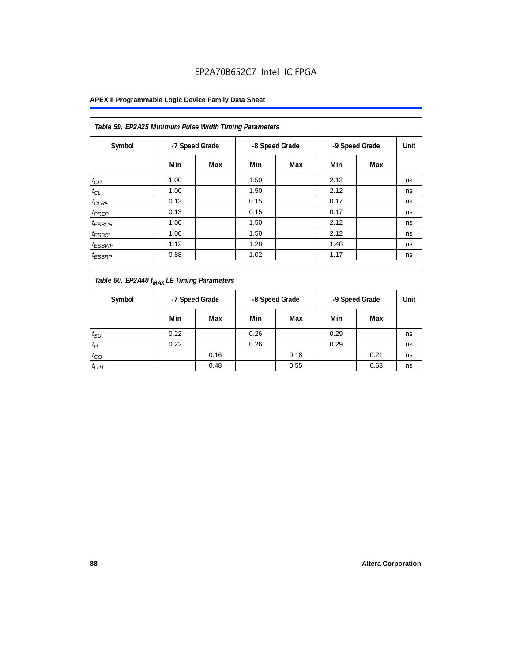| Table 59. EP2A25 Minimum Pulse Width Timing Parameters |      |                |                |     |                |     |      |  |  |  |
|--------------------------------------------------------|------|----------------|----------------|-----|----------------|-----|------|--|--|--|
| Symbol                                                 |      | -7 Speed Grade | -8 Speed Grade |     | -9 Speed Grade |     | Unit |  |  |  |
|                                                        | Min  | Max            | Min            | Max | Min            | Max |      |  |  |  |
| $t_{CH}$                                               | 1.00 |                | 1.50           |     | 2.12           |     | ns   |  |  |  |
| $t_{CL}$                                               | 1.00 |                | 1.50           |     | 2.12           |     | ns   |  |  |  |
| $t_{CLRP}$                                             | 0.13 |                | 0.15           |     | 0.17           |     | ns   |  |  |  |
| t <sub>PREP</sub>                                      | 0.13 |                | 0.15           |     | 0.17           |     | ns   |  |  |  |
| <sup>t</sup> ESBCH                                     | 1.00 |                | 1.50           |     | 2.12           |     | ns   |  |  |  |
| <sup>t</sup> ESBCL                                     | 1.00 |                | 1.50           |     | 2.12           |     | ns   |  |  |  |
| <sup>t</sup> ESBWP                                     | 1.12 |                | 1.28           |     | 1.48           |     | ns   |  |  |  |
| <sup>t</sup> ESBRP                                     | 0.88 |                | 1.02           |     | 1.17           |     | ns   |  |  |  |

| Table 60. EP2A40 f <sub>MAX</sub> LE Timing Parameters |      |                |                |      |                |      |      |
|--------------------------------------------------------|------|----------------|----------------|------|----------------|------|------|
| Symbol                                                 |      | -7 Speed Grade | -8 Speed Grade |      | -9 Speed Grade |      | Unit |
|                                                        | Min  | Max            | Min            | Max  | Min            | Max  |      |
| $t_{\text{SU}}$                                        | 0.22 |                | 0.26           |      | 0.29           |      | ns   |
| $t_H$                                                  | 0.22 |                | 0.26           |      | 0.29           |      | ns   |
| $t_{CO}$                                               |      | 0.16           |                | 0.18 |                | 0.21 | ns   |
| $t_{LUT}$                                              |      | 0.48           |                | 0.55 |                | 0.63 | ns   |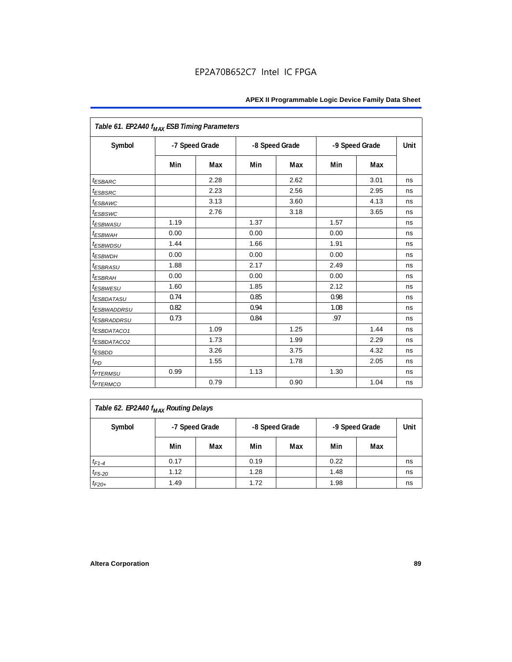| Table 61. EP2A40 f <sub>MAX</sub> ESB Timing Parameters |      |                |      |                |      |                |      |
|---------------------------------------------------------|------|----------------|------|----------------|------|----------------|------|
| Symbol                                                  |      | -7 Speed Grade |      | -8 Speed Grade |      | -9 Speed Grade | Unit |
|                                                         | Min  | Max            | Min  | Max            | Min  | Max            |      |
| <i><b>ESBARC</b></i>                                    |      | 2.28           |      | 2.62           |      | 3.01           | ns   |
| <sup>t</sup> ESBSRC                                     |      | 2.23           |      | 2.56           |      | 2.95           | ns   |
| t <sub>ESBAWC</sub>                                     |      | 3.13           |      | 3.60           |      | 4.13           | ns   |
| <sup>t</sup> ESBSWC                                     |      | 2.76           |      | 3.18           |      | 3.65           | ns   |
| <sup>t</sup> ESBWASU                                    | 1.19 |                | 1.37 |                | 1.57 |                | ns   |
| <sup>t</sup> ESBWAH                                     | 0.00 |                | 0.00 |                | 0.00 |                | ns   |
| <i>t<sub>ESBWDSU</sub></i>                              | 1.44 |                | 1.66 |                | 1.91 |                | ns   |
| <sup>t</sup> ESBWDH                                     | 0.00 |                | 0.00 |                | 0.00 |                | ns   |
| <sup>t</sup> ESBRASU                                    | 1.88 |                | 2.17 |                | 2.49 |                | ns   |
| <sup>t</sup> ESBRAH                                     | 0.00 |                | 0.00 |                | 0.00 |                | ns   |
| <sup>t</sup> ESBWESU                                    | 1.60 |                | 1.85 |                | 2.12 |                | ns   |
| <sup>t</sup> ESBDATASU                                  | 0.74 |                | 0.85 |                | 0.98 |                | ns   |
| <sup>t</sup> ESBWADDRSU                                 | 0.82 |                | 0.94 |                | 1.08 |                | ns   |
| <sup>t</sup> ESBRADDRSU                                 | 0.73 |                | 0.84 |                | .97  |                | ns   |
| ESBDATACO1                                              |      | 1.09           |      | 1.25           |      | 1.44           | ns   |
| <sup>t</sup> ESBDATACO2                                 |      | 1.73           |      | 1.99           |      | 2.29           | ns   |
| <sup>t</sup> ESBDD                                      |      | 3.26           |      | 3.75           |      | 4.32           | ns   |
| t <sub>PD</sub>                                         |      | 1.55           |      | 1.78           |      | 2.05           | ns   |
| <i><b><i>EPTERMSU</i></b></i>                           | 0.99 |                | 1.13 |                | 1.30 |                | ns   |
| <i><b><i>EPTERMCO</i></b></i>                           |      | 0.79           |      | 0.90           |      | 1.04           | ns   |

| Table 62. EP2A40 f <sub>MAX</sub> Routing Delays |      |                                                    |      |     |      |     |    |  |  |
|--------------------------------------------------|------|----------------------------------------------------|------|-----|------|-----|----|--|--|
| Symbol                                           |      | -8 Speed Grade<br>-9 Speed Grade<br>-7 Speed Grade |      |     |      |     |    |  |  |
|                                                  | Min  | Max                                                | Min  | Max | Min  | Max |    |  |  |
| $t_{F1-4}$                                       | 0.17 |                                                    | 0.19 |     | 0.22 |     | ns |  |  |
| $t_{F5-20}$                                      | 1.12 |                                                    | 1.28 |     | 1.48 |     | ns |  |  |
| $t_{F20+}$                                       | 1.49 |                                                    | 1.72 |     | 1.98 |     | ns |  |  |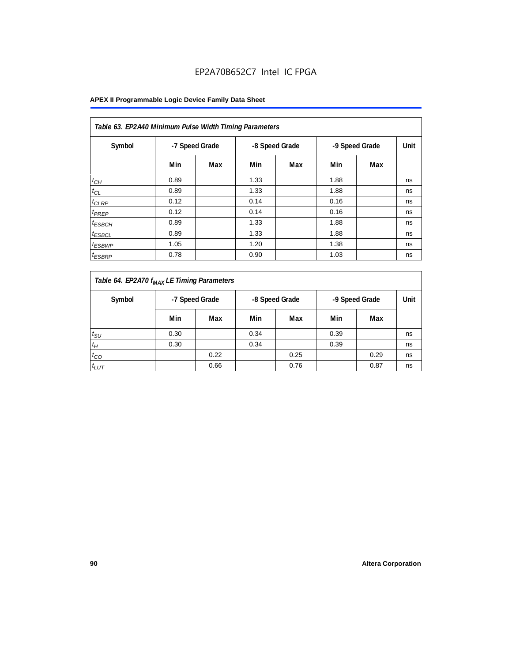| Table 63. EP2A40 Minimum Pulse Width Timing Parameters |                |     |      |                |      |                |      |  |  |  |  |
|--------------------------------------------------------|----------------|-----|------|----------------|------|----------------|------|--|--|--|--|
| Symbol                                                 | -7 Speed Grade |     |      | -8 Speed Grade |      | -9 Speed Grade | Unit |  |  |  |  |
|                                                        | Min            | Max | Min  | Max            | Min  | Max            |      |  |  |  |  |
| $t_{CH}$                                               | 0.89           |     | 1.33 |                | 1.88 |                | ns   |  |  |  |  |
| $t_{CL}$                                               | 0.89           |     | 1.33 |                | 1.88 |                | ns   |  |  |  |  |
| $t_{CLRP}$                                             | 0.12           |     | 0.14 |                | 0.16 |                | ns   |  |  |  |  |
| t <sub>PREP</sub>                                      | 0.12           |     | 0.14 |                | 0.16 |                | ns   |  |  |  |  |
| $t_{ESBCH}$                                            | 0.89           |     | 1.33 |                | 1.88 |                | ns   |  |  |  |  |
| <sup>t</sup> ESBCL                                     | 0.89           |     | 1.33 |                | 1.88 |                | ns   |  |  |  |  |
| <sup>t</sup> ESBWP                                     | 1.05           |     | 1.20 |                | 1.38 |                | ns   |  |  |  |  |
| <sup>t</sup> ESBRP                                     | 0.78           |     | 0.90 |                | 1.03 |                | ns   |  |  |  |  |

| Table 64. EP2A70 f <sub>MAX</sub> LE Timing Parameters |                |      |                |      |                |      |      |
|--------------------------------------------------------|----------------|------|----------------|------|----------------|------|------|
| Symbol                                                 | -7 Speed Grade |      | -8 Speed Grade |      | -9 Speed Grade |      | Unit |
|                                                        | Min            | Max  | Min            | Max  | Min            | Max  |      |
| $t_{\text{SU}}$                                        | 0.30           |      | 0.34           |      | 0.39           |      | ns   |
| $t_H$                                                  | 0.30           |      | 0.34           |      | 0.39           |      | ns   |
| $t_{CO}$                                               |                | 0.22 |                | 0.25 |                | 0.29 | ns   |
| $t_{LUT}$                                              |                | 0.66 |                | 0.76 |                | 0.87 | ns   |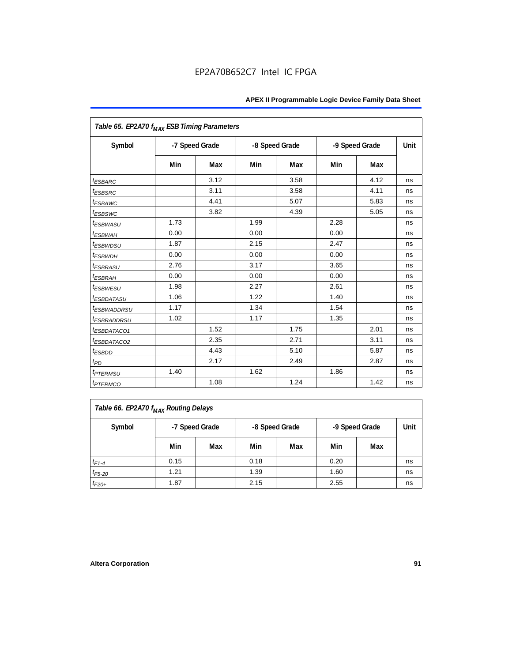| Table 65. EP2A70 f <sub>MAX</sub> ESB Timing Parameters |      |                |      |                |      |                |      |
|---------------------------------------------------------|------|----------------|------|----------------|------|----------------|------|
| Symbol                                                  |      | -7 Speed Grade |      | -8 Speed Grade |      | -9 Speed Grade | Unit |
|                                                         | Min  | Max            | Min  | Max            | Min  | Max            |      |
| <i><b>ESBARC</b></i>                                    |      | 3.12           |      | 3.58           |      | 4.12           | ns   |
| <sup>t</sup> ESBSRC                                     |      | 3.11           |      | 3.58           |      | 4.11           | ns   |
| t <sub>ESBAWC</sub>                                     |      | 4.41           |      | 5.07           |      | 5.83           | ns   |
| <i>t<sub>ESBSWC</sub></i>                               |      | 3.82           |      | 4.39           |      | 5.05           | ns   |
| <sup>t</sup> ESBWASU                                    | 1.73 |                | 1.99 |                | 2.28 |                | ns   |
| <sup>t</sup> ESBWАН                                     | 0.00 |                | 0.00 |                | 0.00 |                | ns   |
| <i>t<sub>ESBWDSU</sub></i>                              | 1.87 |                | 2.15 |                | 2.47 |                | ns   |
| <sup>t</sup> ESBWDH                                     | 0.00 |                | 0.00 |                | 0.00 |                | ns   |
| <sup>t</sup> ESBRASU                                    | 2.76 |                | 3.17 |                | 3.65 |                | ns   |
| <sup>t</sup> ESBRAH                                     | 0.00 |                | 0.00 |                | 0.00 |                | ns   |
| <sup>t</sup> ESBWESU                                    | 1.98 |                | 2.27 |                | 2.61 |                | ns   |
| <sup>t</sup> ESBDATASU                                  | 1.06 |                | 1.22 |                | 1.40 |                | ns   |
| <sup>t</sup> ESBWADDRSU                                 | 1.17 |                | 1.34 |                | 1.54 |                | ns   |
| <sup>t</sup> ESBRADDRSU                                 | 1.02 |                | 1.17 |                | 1.35 |                | ns   |
| <sup>t</sup> ESBDATACO1                                 |      | 1.52           |      | 1.75           |      | 2.01           | ns   |
| <sup>t</sup> ESBDATACO2                                 |      | 2.35           |      | 2.71           |      | 3.11           | ns   |
| <sup>t</sup> ESBDD                                      |      | 4.43           |      | 5.10           |      | 5.87           | ns   |
| t <sub>PD</sub>                                         |      | 2.17           |      | 2.49           |      | 2.87           | ns   |
| <i><b><i>EPTERMSU</i></b></i>                           | 1.40 |                | 1.62 |                | 1.86 |                | ns   |
| <i><b><i>ETERMCO</i></b></i>                            |      | 1.08           |      | 1.24           |      | 1.42           | ns   |

| Table 66. EP2A70 f <sub>MAX</sub> Routing Delays |      |                                                    |      |     |      |     |    |  |  |
|--------------------------------------------------|------|----------------------------------------------------|------|-----|------|-----|----|--|--|
| Symbol                                           |      | -8 Speed Grade<br>-9 Speed Grade<br>-7 Speed Grade |      |     |      |     |    |  |  |
|                                                  | Min  | Max                                                | Min  | Max | Min  | Max |    |  |  |
| $t_{F1-4}$                                       | 0.15 |                                                    | 0.18 |     | 0.20 |     | ns |  |  |
| $t_{F5-20}$                                      | 1.21 |                                                    | 1.39 |     | 1.60 |     | ns |  |  |
| $t_{F20+}$                                       | 1.87 |                                                    | 2.15 |     | 2.55 |     | ns |  |  |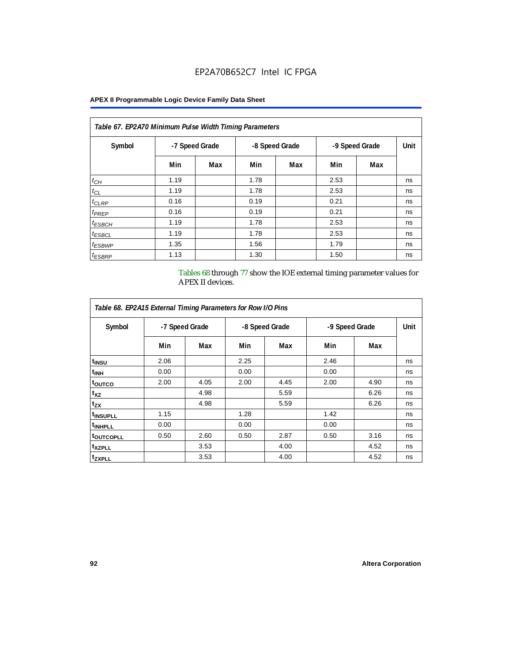| Table 67. EP2A70 Minimum Pulse Width Timing Parameters |                |     |      |                |                |     |      |  |  |  |
|--------------------------------------------------------|----------------|-----|------|----------------|----------------|-----|------|--|--|--|
| Symbol                                                 | -7 Speed Grade |     |      | -8 Speed Grade | -9 Speed Grade |     | Unit |  |  |  |
|                                                        | Min            | Max | Min  | Max            | Min            | Max |      |  |  |  |
| $t_{CH}$                                               | 1.19           |     | 1.78 |                | 2.53           |     | ns   |  |  |  |
| $t_{CL}$                                               | 1.19           |     | 1.78 |                | 2.53           |     | ns   |  |  |  |
| $t_{CLRP}$                                             | 0.16           |     | 0.19 |                | 0.21           |     | ns   |  |  |  |
| t <sub>PREP</sub>                                      | 0.16           |     | 0.19 |                | 0.21           |     | ns   |  |  |  |
| $t_{ESBCH}$                                            | 1.19           |     | 1.78 |                | 2.53           |     | ns   |  |  |  |
| <sup>t</sup> ESBCL                                     | 1.19           |     | 1.78 |                | 2.53           |     | ns   |  |  |  |
| <sup>t</sup> ESBWP                                     | 1.35           |     | 1.56 |                | 1.79           |     | ns   |  |  |  |
| <sup>t</sup> ESBRP                                     | 1.13           |     | 1.30 |                | 1.50           |     | ns   |  |  |  |

Tables 68 through 77 show the IOE external timing parameter values for APEX II devices.

| Table 68. EP2A15 External Timing Parameters for Row I/O Pins |                |      |      |                |      |                |      |  |  |  |  |  |
|--------------------------------------------------------------|----------------|------|------|----------------|------|----------------|------|--|--|--|--|--|
| Symbol                                                       | -7 Speed Grade |      |      | -8 Speed Grade |      | -9 Speed Grade | Unit |  |  |  |  |  |
|                                                              | Min            | Max  | Min  | Max            | Min  | Max            |      |  |  |  |  |  |
| t <sub>INSU</sub>                                            | 2.06           |      | 2.25 |                | 2.46 |                | ns   |  |  |  |  |  |
| <sup>t</sup> inh                                             | 0.00           |      | 0.00 |                | 0.00 |                | ns   |  |  |  |  |  |
| <sup>t</sup> outco                                           | 2.00           | 4.05 | 2.00 | 4.45           | 2.00 | 4.90           | ns   |  |  |  |  |  |
| $t_{XZ}$                                                     |                | 4.98 |      | 5.59           |      | 6.26           | ns   |  |  |  |  |  |
| $t_{ZX}$                                                     |                | 4.98 |      | 5.59           |      | 6.26           | ns   |  |  |  |  |  |
| <sup>t</sup> INSUPLL                                         | 1.15           |      | 1.28 |                | 1.42 |                | ns   |  |  |  |  |  |
| <sup>t</sup> INHPLL                                          | 0.00           |      | 0.00 |                | 0.00 |                | ns   |  |  |  |  |  |
| <sup>t</sup> outcopll                                        | 0.50           | 2.60 | 0.50 | 2.87           | 0.50 | 3.16           | ns   |  |  |  |  |  |
| <sup>t</sup> XZPLL                                           |                | 3.53 |      | 4.00           |      | 4.52           | ns   |  |  |  |  |  |
| <sup>t</sup> zxpll                                           |                | 3.53 |      | 4.00           |      | 4.52           | ns   |  |  |  |  |  |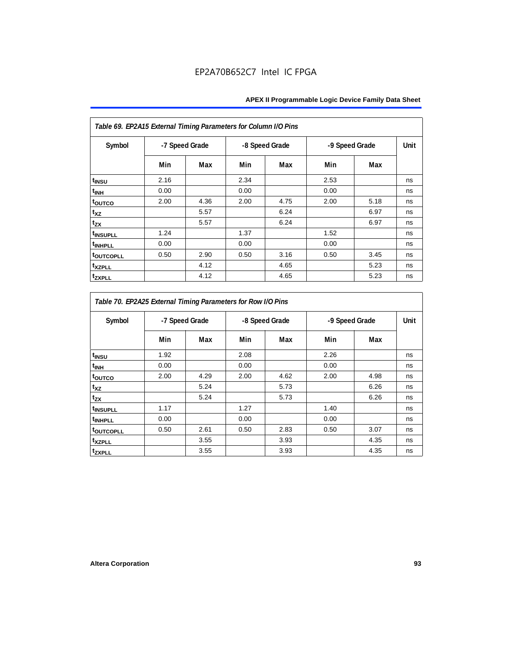| Table 69. EP2A15 External Timing Parameters for Column I/O Pins |                |      |      |                |                |      |      |
|-----------------------------------------------------------------|----------------|------|------|----------------|----------------|------|------|
| Symbol                                                          | -7 Speed Grade |      |      | -8 Speed Grade | -9 Speed Grade |      | Unit |
|                                                                 | Min            | Max  | Min  | Max            | Min            | Max  |      |
| t <sub>INSU</sub>                                               | 2.16           |      | 2.34 |                | 2.53           |      | ns   |
| $t_{\rm INH}$                                                   | 0.00           |      | 0.00 |                | 0.00           |      | ns   |
| toutco                                                          | 2.00           | 4.36 | 2.00 | 4.75           | 2.00           | 5.18 | ns   |
| t <sub>XZ</sub>                                                 |                | 5.57 |      | 6.24           |                | 6.97 | ns   |
| $t_{ZX}$                                                        |                | 5.57 |      | 6.24           |                | 6.97 | ns   |
| <sup>t</sup> INSUPLL                                            | 1.24           |      | 1.37 |                | 1.52           |      | ns   |
| <sup>t</sup> INHPLL                                             | 0.00           |      | 0.00 |                | 0.00           |      | ns   |
| <b>toutcopll</b>                                                | 0.50           | 2.90 | 0.50 | 3.16           | 0.50           | 3.45 | ns   |
| t <sub>XZPLL</sub>                                              |                | 4.12 |      | 4.65           |                | 5.23 | ns   |
| <sup>t</sup> zxpll                                              |                | 4.12 |      | 4.65           |                | 5.23 | ns   |

| Table 70. EP2A25 External Timing Parameters for Row I/O Pins |                |      |      |                |      |                |      |
|--------------------------------------------------------------|----------------|------|------|----------------|------|----------------|------|
| Symbol                                                       | -7 Speed Grade |      |      | -8 Speed Grade |      | -9 Speed Grade | Unit |
|                                                              | Min            | Max  | Min  | Max            | Min  | Max            |      |
| t <sub>INSU</sub>                                            | 1.92           |      | 2.08 |                | 2.26 |                | ns   |
| $t_{\rm INH}$                                                | 0.00           |      | 0.00 |                | 0.00 |                | ns   |
| t <sub>outco</sub>                                           | 2.00           | 4.29 | 2.00 | 4.62           | 2.00 | 4.98           | ns   |
| t <sub>XZ</sub>                                              |                | 5.24 |      | 5.73           |      | 6.26           | ns   |
| $t_{ZX}$                                                     |                | 5.24 |      | 5.73           |      | 6.26           | ns   |
| <i>t</i> INSUPLL                                             | 1.17           |      | 1.27 |                | 1.40 |                | ns   |
| <sup>t</sup> INHPLL                                          | 0.00           |      | 0.00 |                | 0.00 |                | ns   |
| t <sub>outcopll</sub>                                        | 0.50           | 2.61 | 0.50 | 2.83           | 0.50 | 3.07           | ns   |
| <sup>t</sup> xzpll                                           |                | 3.55 |      | 3.93           |      | 4.35           | ns   |
| tzxpll                                                       |                | 3.55 |      | 3.93           |      | 4.35           | ns   |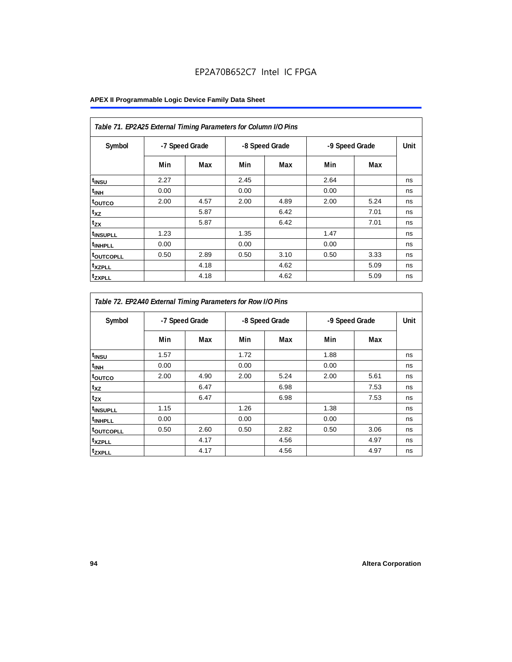| Table 71. EP2A25 External Timing Parameters for Column I/O Pins |                |      |      |                |                |      |      |
|-----------------------------------------------------------------|----------------|------|------|----------------|----------------|------|------|
| Symbol                                                          | -7 Speed Grade |      |      | -8 Speed Grade | -9 Speed Grade |      | Unit |
|                                                                 | Min            | Max  | Min  | Max            | Min            | Max  |      |
| t <sub>INSU</sub>                                               | 2.27           |      | 2.45 |                | 2.64           |      | ns   |
| t <sub>INH</sub>                                                | 0.00           |      | 0.00 |                | 0.00           |      | ns   |
| toutco                                                          | 2.00           | 4.57 | 2.00 | 4.89           | 2.00           | 5.24 | ns   |
| $t_{XZ}$                                                        |                | 5.87 |      | 6.42           |                | 7.01 | ns   |
| $t_{ZX}$                                                        |                | 5.87 |      | 6.42           |                | 7.01 | ns   |
| <sup>t</sup> INSUPLL                                            | 1.23           |      | 1.35 |                | 1.47           |      | ns   |
| <sup>t</sup> INHPLL                                             | 0.00           |      | 0.00 |                | 0.00           |      | ns   |
| <b>toutcopll</b>                                                | 0.50           | 2.89 | 0.50 | 3.10           | 0.50           | 3.33 | ns   |
| <sup>t</sup> xzpll                                              |                | 4.18 |      | 4.62           |                | 5.09 | ns   |
| <sup>t</sup> ZXPLL                                              |                | 4.18 |      | 4.62           |                | 5.09 | ns   |

| Table 72. EP2A40 External Timing Parameters for Row I/O Pins |                |      |      |                |      |                |    |
|--------------------------------------------------------------|----------------|------|------|----------------|------|----------------|----|
| Symbol                                                       | -7 Speed Grade |      |      | -8 Speed Grade |      | -9 Speed Grade |    |
|                                                              | Min            | Max  | Min  | Max            | Min  | Max            |    |
| t <sub>INSU</sub>                                            | 1.57           |      | 1.72 |                | 1.88 |                | ns |
| $t_{\mathsf{INH}}$                                           | 0.00           |      | 0.00 |                | 0.00 |                | ns |
| toutco                                                       | 2.00           | 4.90 | 2.00 | 5.24           | 2.00 | 5.61           | ns |
| $t_{XZ}$                                                     |                | 6.47 |      | 6.98           |      | 7.53           | ns |
| tzx                                                          |                | 6.47 |      | 6.98           |      | 7.53           | ns |
| t <sub>INSUPLL</sub>                                         | 1.15           |      | 1.26 |                | 1.38 |                | ns |
| t <sub>INHPLL</sub>                                          | 0.00           |      | 0.00 |                | 0.00 |                | ns |
| toutcopll                                                    | 0.50           | 2.60 | 0.50 | 2.82           | 0.50 | 3.06           | ns |
| t <sub>XZPLL</sub>                                           |                | 4.17 |      | 4.56           |      | 4.97           | ns |
| tzxpll                                                       |                | 4.17 |      | 4.56           |      | 4.97           | ns |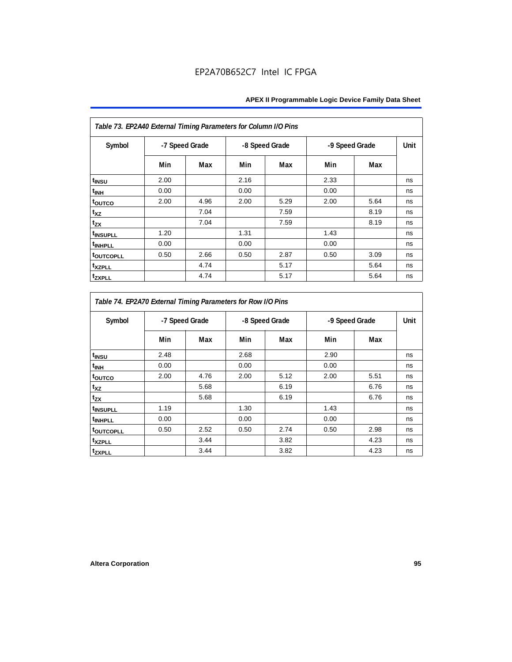| Table 73. EP2A40 External Timing Parameters for Column I/O Pins |                |      |      |                |      |                |    |
|-----------------------------------------------------------------|----------------|------|------|----------------|------|----------------|----|
| Symbol                                                          | -7 Speed Grade |      |      | -8 Speed Grade |      | -9 Speed Grade |    |
|                                                                 | Min            | Max  | Min  | Max            | Min  | Max            |    |
| t <sub>INSU</sub>                                               | 2.00           |      | 2.16 |                | 2.33 |                | ns |
| $t_{\rm INH}$                                                   | 0.00           |      | 0.00 |                | 0.00 |                | ns |
| toutco                                                          | 2.00           | 4.96 | 2.00 | 5.29           | 2.00 | 5.64           | ns |
| t <sub>XZ</sub>                                                 |                | 7.04 |      | 7.59           |      | 8.19           | ns |
| $t_{ZX}$                                                        |                | 7.04 |      | 7.59           |      | 8.19           | ns |
| <sup>t</sup> INSUPLL                                            | 1.20           |      | 1.31 |                | 1.43 |                | ns |
| <sup>t</sup> INHPLL                                             | 0.00           |      | 0.00 |                | 0.00 |                | ns |
| <b>toutcopll</b>                                                | 0.50           | 2.66 | 0.50 | 2.87           | 0.50 | 3.09           | ns |
| t <sub>XZPLL</sub>                                              |                | 4.74 |      | 5.17           |      | 5.64           | ns |
| <sup>t</sup> zxpll                                              |                | 4.74 |      | 5.17           |      | 5.64           | ns |

| Table 74. EP2A70 External Timing Parameters for Row I/O Pins |                |      |                                  |      |      |      |    |
|--------------------------------------------------------------|----------------|------|----------------------------------|------|------|------|----|
| Symbol                                                       | -7 Speed Grade |      | -8 Speed Grade<br>-9 Speed Grade |      |      | Unit |    |
|                                                              | Min            | Max  | Min                              | Max  | Min  | Max  |    |
| t <sub>INSU</sub>                                            | 2.48           |      | 2.68                             |      | 2.90 |      | ns |
| <sup>t</sup> INH                                             | 0.00           |      | 0.00                             |      | 0.00 |      | ns |
| toutco                                                       | 2.00           | 4.76 | 2.00                             | 5.12 | 2.00 | 5.51 | ns |
| t <sub>XZ</sub>                                              |                | 5.68 |                                  | 6.19 |      | 6.76 | ns |
| t <sub>zx</sub>                                              |                | 5.68 |                                  | 6.19 |      | 6.76 | ns |
| <sup>t</sup> INSUPLL                                         | 1.19           |      | 1.30                             |      | 1.43 |      | ns |
| <sup>t</sup> INHPLL                                          | 0.00           |      | 0.00                             |      | 0.00 |      | ns |
| t <sub>outcopll</sub>                                        | 0.50           | 2.52 | 0.50                             | 2.74 | 0.50 | 2.98 | ns |
| <sup>t</sup> xzpll                                           |                | 3.44 |                                  | 3.82 |      | 4.23 | ns |
| tzxpll                                                       |                | 3.44 |                                  | 3.82 |      | 4.23 | ns |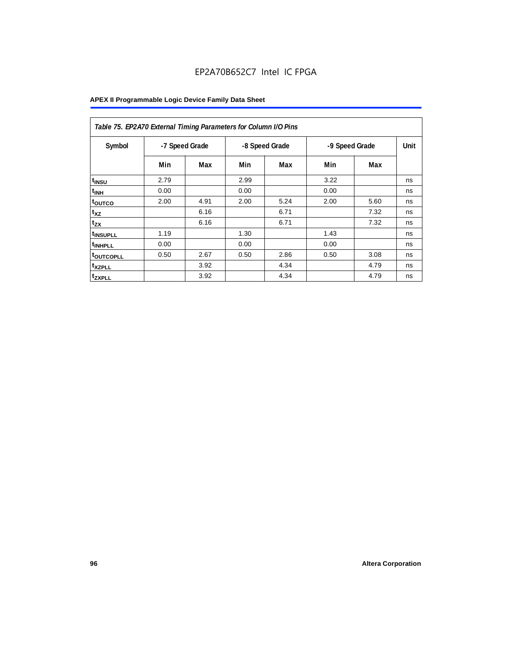| Table 75. EP2A70 External Timing Parameters for Column I/O Pins |                |      |      |                |      |                |    |
|-----------------------------------------------------------------|----------------|------|------|----------------|------|----------------|----|
| Symbol                                                          | -7 Speed Grade |      |      | -8 Speed Grade |      | -9 Speed Grade |    |
|                                                                 | Min            | Max  | Min  | Max            | Min  | Max            |    |
| t <sub>INSU</sub>                                               | 2.79           |      | 2.99 |                | 3.22 |                | ns |
| $t_{\text{INH}}$                                                | 0.00           |      | 0.00 |                | 0.00 |                | ns |
| toutco                                                          | 2.00           | 4.91 | 2.00 | 5.24           | 2.00 | 5.60           | ns |
| t <sub>XZ</sub>                                                 |                | 6.16 |      | 6.71           |      | 7.32           | ns |
| $t_{ZX}$                                                        |                | 6.16 |      | 6.71           |      | 7.32           | ns |
| <sup>t</sup> INSUPLL                                            | 1.19           |      | 1.30 |                | 1.43 |                | ns |
| <sup>t</sup> INHPLL                                             | 0.00           |      | 0.00 |                | 0.00 |                | ns |
| <b>toutcopll</b>                                                | 0.50           | 2.67 | 0.50 | 2.86           | 0.50 | 3.08           | ns |
| <sup>t</sup> xzpll                                              |                | 3.92 |      | 4.34           |      | 4.79           | ns |
| <sup>t</sup> zxpll                                              |                | 3.92 |      | 4.34           |      | 4.79           | ns |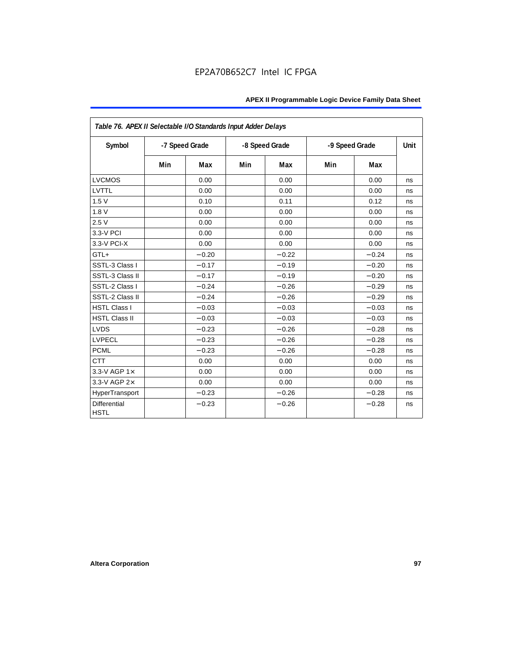| Table 76. APEX II Selectable I/O Standards Input Adder Delays |     |                |     |                |                |         |      |
|---------------------------------------------------------------|-----|----------------|-----|----------------|----------------|---------|------|
| Symbol                                                        |     | -7 Speed Grade |     | -8 Speed Grade | -9 Speed Grade |         | Unit |
|                                                               | Min | Max            | Min | Max            | Min            | Max     |      |
| <b>LVCMOS</b>                                                 |     | 0.00           |     | 0.00           |                | 0.00    | ns   |
| LVTTL                                                         |     | 0.00           |     | 0.00           |                | 0.00    | ns   |
| 1.5V                                                          |     | 0.10           |     | 0.11           |                | 0.12    | ns   |
| 1.8V                                                          |     | 0.00           |     | 0.00           |                | 0.00    | ns   |
| 2.5V                                                          |     | 0.00           |     | 0.00           |                | 0.00    | ns   |
| 3.3-V PCI                                                     |     | 0.00           |     | 0.00           |                | 0.00    | ns   |
| 3.3-V PCI-X                                                   |     | 0.00           |     | 0.00           |                | 0.00    | ns   |
| GTL+                                                          |     | $-0.20$        |     | $-0.22$        |                | $-0.24$ | ns   |
| SSTL-3 Class I                                                |     | $-0.17$        |     | $-0.19$        |                | $-0.20$ | ns   |
| SSTL-3 Class II                                               |     | $-0.17$        |     | $-0.19$        |                | $-0.20$ | ns   |
| SSTL-2 Class I                                                |     | $-0.24$        |     | $-0.26$        |                | $-0.29$ | ns   |
| SSTL-2 Class II                                               |     | $-0.24$        |     | $-0.26$        |                | $-0.29$ | ns   |
| <b>HSTL Class I</b>                                           |     | $-0.03$        |     | $-0.03$        |                | $-0.03$ | ns   |
| <b>HSTL Class II</b>                                          |     | $-0.03$        |     | $-0.03$        |                | $-0.03$ | ns   |
| <b>LVDS</b>                                                   |     | $-0.23$        |     | $-0.26$        |                | $-0.28$ | ns   |
| <b>LVPECL</b>                                                 |     | $-0.23$        |     | $-0.26$        |                | $-0.28$ | ns   |
| <b>PCML</b>                                                   |     | $-0.23$        |     | $-0.26$        |                | $-0.28$ | ns   |
| <b>CTT</b>                                                    |     | 0.00           |     | 0.00           |                | 0.00    | ns   |
| 3.3-V AGP $1\times$                                           |     | 0.00           |     | 0.00           |                | 0.00    | ns   |
| 3.3-V AGP 2×                                                  |     | 0.00           |     | 0.00           |                | 0.00    | ns   |
| HyperTransport                                                |     | $-0.23$        |     | $-0.26$        |                | $-0.28$ | ns   |
| <b>Differential</b><br><b>HSTL</b>                            |     | $-0.23$        |     | $-0.26$        |                | $-0.28$ | ns   |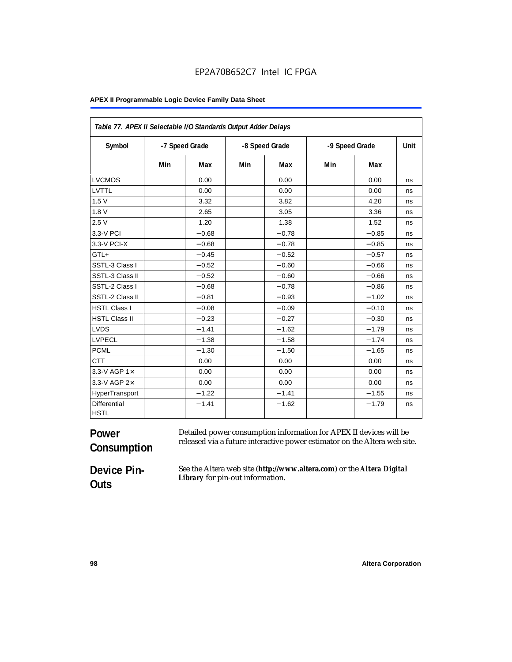| Table 77. APEX II Selectable I/O Standards Output Adder Delays |     |                |     |                |                |         |      |
|----------------------------------------------------------------|-----|----------------|-----|----------------|----------------|---------|------|
| Symbol                                                         |     | -7 Speed Grade |     | -8 Speed Grade | -9 Speed Grade |         | Unit |
|                                                                | Min | Max            | Min | Max            | Min            | Max     |      |
| <b>LVCMOS</b>                                                  |     | 0.00           |     | 0.00           |                | 0.00    | ns   |
| LVTTL                                                          |     | 0.00           |     | 0.00           |                | 0.00    | ns   |
| 1.5V                                                           |     | 3.32           |     | 3.82           |                | 4.20    | ns   |
| 1.8V                                                           |     | 2.65           |     | 3.05           |                | 3.36    | ns   |
| 2.5V                                                           |     | 1.20           |     | 1.38           |                | 1.52    | ns   |
| 3.3-V PCI                                                      |     | $-0.68$        |     | $-0.78$        |                | $-0.85$ | ns   |
| 3.3-V PCI-X                                                    |     | $-0.68$        |     | $-0.78$        |                | $-0.85$ | ns   |
| GTL+                                                           |     | $-0.45$        |     | $-0.52$        |                | $-0.57$ | ns   |
| SSTL-3 Class I                                                 |     | $-0.52$        |     | $-0.60$        |                | $-0.66$ | ns   |
| SSTL-3 Class II                                                |     | $-0.52$        |     | $-0.60$        |                | $-0.66$ | ns   |
| SSTL-2 Class I                                                 |     | $-0.68$        |     | $-0.78$        |                | $-0.86$ | ns   |
| SSTL-2 Class II                                                |     | $-0.81$        |     | $-0.93$        |                | $-1.02$ | ns   |
| <b>HSTL Class I</b>                                            |     | $-0.08$        |     | $-0.09$        |                | $-0.10$ | ns   |
| <b>HSTL Class II</b>                                           |     | $-0.23$        |     | $-0.27$        |                | $-0.30$ | ns   |
| <b>LVDS</b>                                                    |     | $-1.41$        |     | $-1.62$        |                | $-1.79$ | ns   |
| <b>LVPECL</b>                                                  |     | $-1.38$        |     | $-1.58$        |                | $-1.74$ | ns   |
| <b>PCML</b>                                                    |     | $-1.30$        |     | $-1.50$        |                | $-1.65$ | ns   |
| <b>CTT</b>                                                     |     | 0.00           |     | 0.00           |                | 0.00    | ns   |
| 3.3-V AGP 1×                                                   |     | 0.00           |     | 0.00           |                | 0.00    | ns   |
| 3.3-V AGP 2×                                                   |     | 0.00           |     | 0.00           |                | 0.00    | ns   |
| HyperTransport                                                 |     | $-1.22$        |     | $-1.41$        |                | $-1.55$ | ns   |
| <b>Differential</b><br><b>HSTL</b>                             |     | $-1.41$        |     | $-1.62$        |                | $-1.79$ | ns   |

#### **Power Consumption** Detailed power consumption information for APEX II devices will be released via a future interactive power estimator on the Altera web site.

**Device Pin-Outs**

See the Altera web site (**http://www.altera.com**) or the *Altera Digital Library* for pin-out information.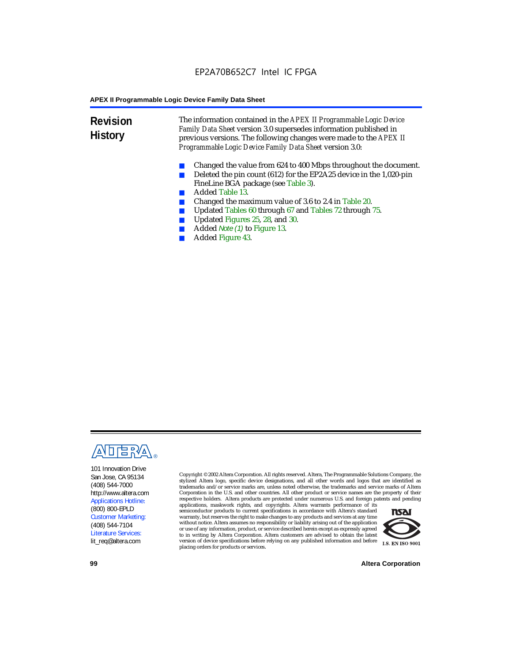**Revision History** The information contained in the *APEX II Programmable Logic Device Family Data Sheet* version 3.0 supersedes information published in previous versions. The following changes were made to the *APEX II Programmable Logic Device Family Data Sheet* version 3.0:

- Changed the value from 624 to 400 Mbps throughout the document.
- Deleted the pin count (612) for the EP2A25 device in the 1,020-pin FineLine BGA package (see Table 3).
- Added Table 13.
- Changed the maximum value of 3.6 to 2.4 in Table 20.
- Updated Tables 60 through 67 and Tables 72 through 75.<br>■ Updated Figures 25, 28, and 30
- Updated Figures 25, 28, and 30.
- Added *Note (1)* to Figure 13.
- Added Figure 43.



101 Innovation Drive San Jose, CA 95134 (408) 544-7000 http://www.altera.com Applications Hotline: (800) 800-EPLD Customer Marketing: (408) 544-7104 Literature Services: lit\_req@altera.com

Copyright © 2002 Altera Corporation. All rights reserved. Altera, The Programmable Solutions Company, the stylized Altera logo, specific device designations, and all other words and logos that are identified as trademarks and/or service marks are, unless noted otherwise, the trademarks and service marks of Altera Corporation in the U.S. and other countries. All other product or service names are the property of their respective holders. Altera products are protected under numerous U.S. and foreign patents and pending

applications, maskwork rights, and copyrights. Altera warrants performance of its semiconductor products to current specifications in accordance with Altera's standard warranty, but reserves the right to make changes to any products and services at any time without notice. Altera assumes no responsibility or liability arising out of the application or use of any information, product, or service described herein except as expressly agreed to in writing by Altera Corporation. Altera customers are advised to obtain the latest version of device specifications before relying on any published information and before placing orders for products or services.



**99 Altera Corporation**